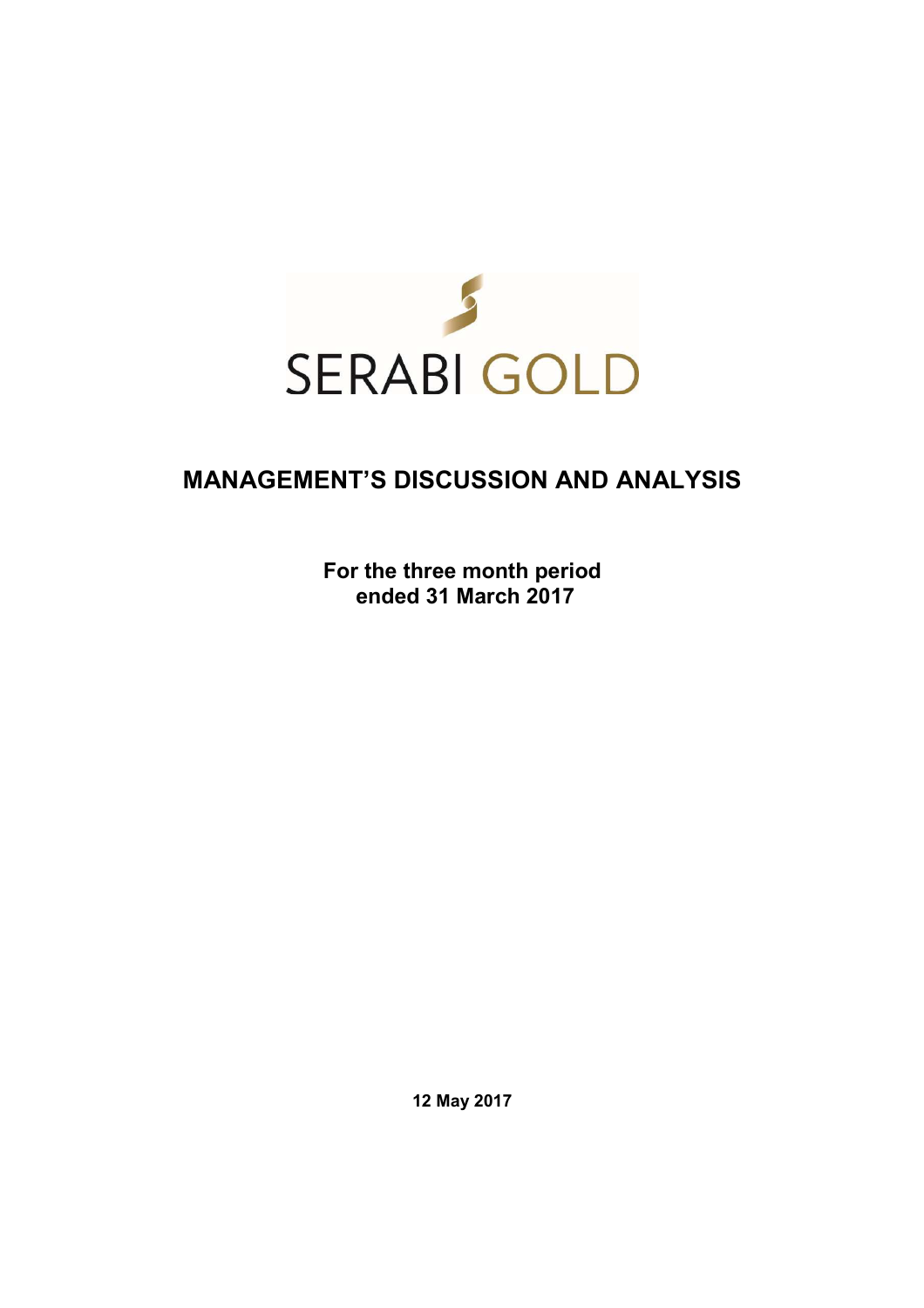

# **MANAGEMENT'S DISCUSSION AND ANALYSIS**

**For the three month period ended 31 March 2017** 

**12 May 2017**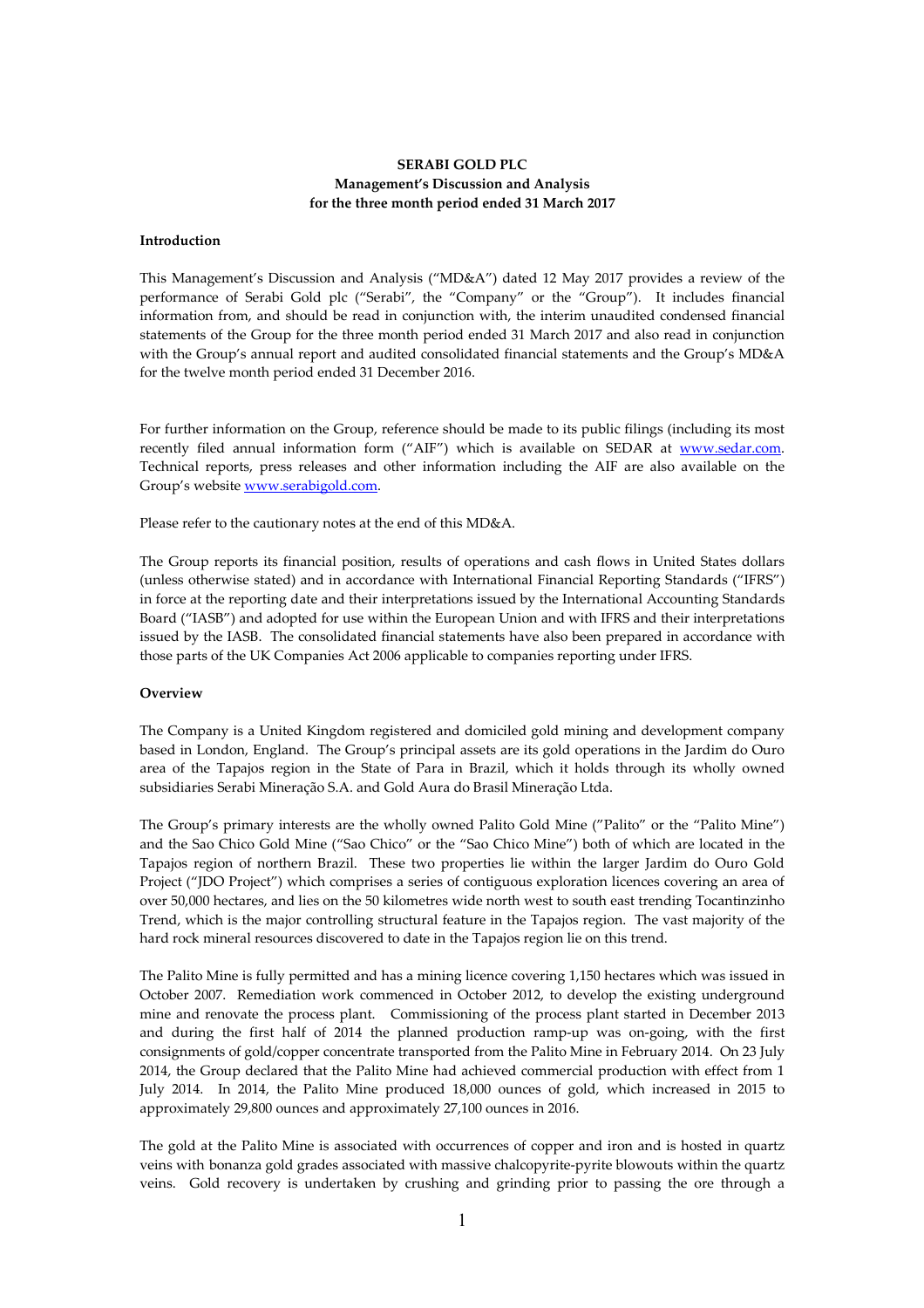# **SERABI GOLD PLC Management's Discussion and Analysis for the three month period ended 31 March 2017**

#### **Introduction**

This Management's Discussion and Analysis ("MD&A") dated 12 May 2017 provides a review of the performance of Serabi Gold plc ("Serabi", the "Company" or the "Group"). It includes financial information from, and should be read in conjunction with, the interim unaudited condensed financial statements of the Group for the three month period ended 31 March 2017 and also read in conjunction with the Group's annual report and audited consolidated financial statements and the Group's MD&A for the twelve month period ended 31 December 2016.

For further information on the Group, reference should be made to its public filings (including its most recently filed annual information form ("AIF") which is available on SEDAR at www.sedar.com. Technical reports, press releases and other information including the AIF are also available on the Group's website www.serabigold.com.

Please refer to the cautionary notes at the end of this MD&A.

The Group reports its financial position, results of operations and cash flows in United States dollars (unless otherwise stated) and in accordance with International Financial Reporting Standards ("IFRS") in force at the reporting date and their interpretations issued by the International Accounting Standards Board ("IASB") and adopted for use within the European Union and with IFRS and their interpretations issued by the IASB. The consolidated financial statements have also been prepared in accordance with those parts of the UK Companies Act 2006 applicable to companies reporting under IFRS.

#### **Overview**

The Company is a United Kingdom registered and domiciled gold mining and development company based in London, England. The Group's principal assets are its gold operations in the Jardim do Ouro area of the Tapajos region in the State of Para in Brazil, which it holds through its wholly owned subsidiaries Serabi Mineração S.A. and Gold Aura do Brasil Mineração Ltda.

The Group's primary interests are the wholly owned Palito Gold Mine ("Palito" or the "Palito Mine") and the Sao Chico Gold Mine ("Sao Chico" or the "Sao Chico Mine") both of which are located in the Tapajos region of northern Brazil. These two properties lie within the larger Jardim do Ouro Gold Project ("JDO Project") which comprises a series of contiguous exploration licences covering an area of over 50,000 hectares, and lies on the 50 kilometres wide north west to south east trending Tocantinzinho Trend, which is the major controlling structural feature in the Tapajos region. The vast majority of the hard rock mineral resources discovered to date in the Tapajos region lie on this trend.

The Palito Mine is fully permitted and has a mining licence covering 1,150 hectares which was issued in October 2007. Remediation work commenced in October 2012, to develop the existing underground mine and renovate the process plant. Commissioning of the process plant started in December 2013 and during the first half of 2014 the planned production ramp-up was on-going, with the first consignments of gold/copper concentrate transported from the Palito Mine in February 2014. On 23 July 2014, the Group declared that the Palito Mine had achieved commercial production with effect from 1 July 2014. In 2014, the Palito Mine produced 18,000 ounces of gold, which increased in 2015 to approximately 29,800 ounces and approximately 27,100 ounces in 2016.

The gold at the Palito Mine is associated with occurrences of copper and iron and is hosted in quartz veins with bonanza gold grades associated with massive chalcopyrite-pyrite blowouts within the quartz veins. Gold recovery is undertaken by crushing and grinding prior to passing the ore through a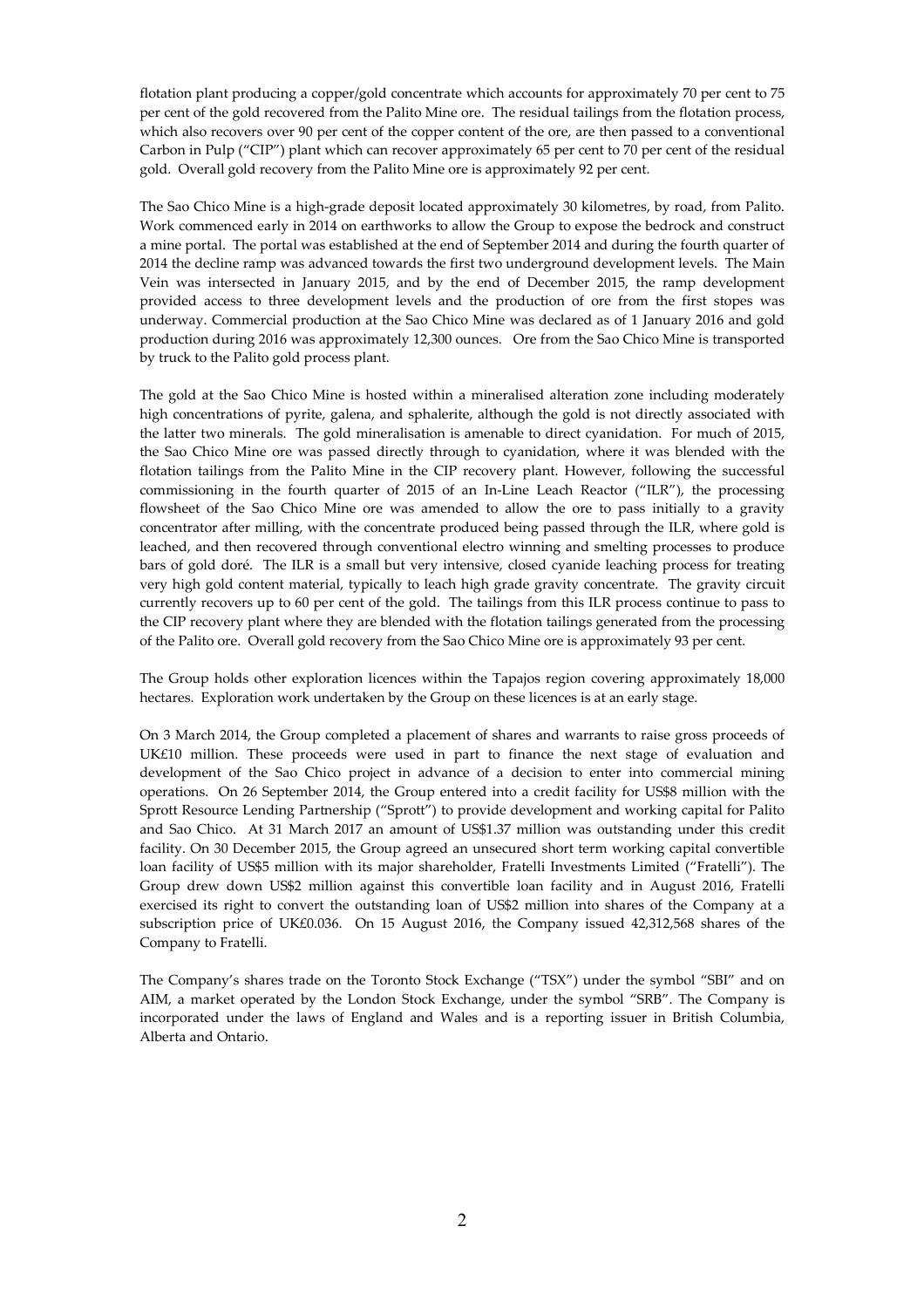flotation plant producing a copper/gold concentrate which accounts for approximately 70 per cent to 75 per cent of the gold recovered from the Palito Mine ore. The residual tailings from the flotation process, which also recovers over 90 per cent of the copper content of the ore, are then passed to a conventional Carbon in Pulp ("CIP") plant which can recover approximately 65 per cent to 70 per cent of the residual gold. Overall gold recovery from the Palito Mine ore is approximately 92 per cent.

The Sao Chico Mine is a high-grade deposit located approximately 30 kilometres, by road, from Palito. Work commenced early in 2014 on earthworks to allow the Group to expose the bedrock and construct a mine portal. The portal was established at the end of September 2014 and during the fourth quarter of 2014 the decline ramp was advanced towards the first two underground development levels. The Main Vein was intersected in January 2015, and by the end of December 2015, the ramp development provided access to three development levels and the production of ore from the first stopes was underway. Commercial production at the Sao Chico Mine was declared as of 1 January 2016 and gold production during 2016 was approximately 12,300 ounces. Ore from the Sao Chico Mine is transported by truck to the Palito gold process plant.

The gold at the Sao Chico Mine is hosted within a mineralised alteration zone including moderately high concentrations of pyrite, galena, and sphalerite, although the gold is not directly associated with the latter two minerals. The gold mineralisation is amenable to direct cyanidation. For much of 2015, the Sao Chico Mine ore was passed directly through to cyanidation, where it was blended with the flotation tailings from the Palito Mine in the CIP recovery plant. However, following the successful commissioning in the fourth quarter of 2015 of an In-Line Leach Reactor ("ILR"), the processing flowsheet of the Sao Chico Mine ore was amended to allow the ore to pass initially to a gravity concentrator after milling, with the concentrate produced being passed through the ILR, where gold is leached, and then recovered through conventional electro winning and smelting processes to produce bars of gold doré. The ILR is a small but very intensive, closed cyanide leaching process for treating very high gold content material, typically to leach high grade gravity concentrate. The gravity circuit currently recovers up to 60 per cent of the gold. The tailings from this ILR process continue to pass to the CIP recovery plant where they are blended with the flotation tailings generated from the processing of the Palito ore. Overall gold recovery from the Sao Chico Mine ore is approximately 93 per cent.

The Group holds other exploration licences within the Tapajos region covering approximately 18,000 hectares. Exploration work undertaken by the Group on these licences is at an early stage.

On 3 March 2014, the Group completed a placement of shares and warrants to raise gross proceeds of UK£10 million. These proceeds were used in part to finance the next stage of evaluation and development of the Sao Chico project in advance of a decision to enter into commercial mining operations. On 26 September 2014, the Group entered into a credit facility for US\$8 million with the Sprott Resource Lending Partnership ("Sprott") to provide development and working capital for Palito and Sao Chico. At 31 March 2017 an amount of US\$1.37 million was outstanding under this credit facility. On 30 December 2015, the Group agreed an unsecured short term working capital convertible loan facility of US\$5 million with its major shareholder, Fratelli Investments Limited ("Fratelli"). The Group drew down US\$2 million against this convertible loan facility and in August 2016, Fratelli exercised its right to convert the outstanding loan of US\$2 million into shares of the Company at a subscription price of UK£0.036. On 15 August 2016, the Company issued 42,312,568 shares of the Company to Fratelli.

The Company's shares trade on the Toronto Stock Exchange ("TSX") under the symbol "SBI" and on AIM, a market operated by the London Stock Exchange, under the symbol "SRB". The Company is incorporated under the laws of England and Wales and is a reporting issuer in British Columbia, Alberta and Ontario.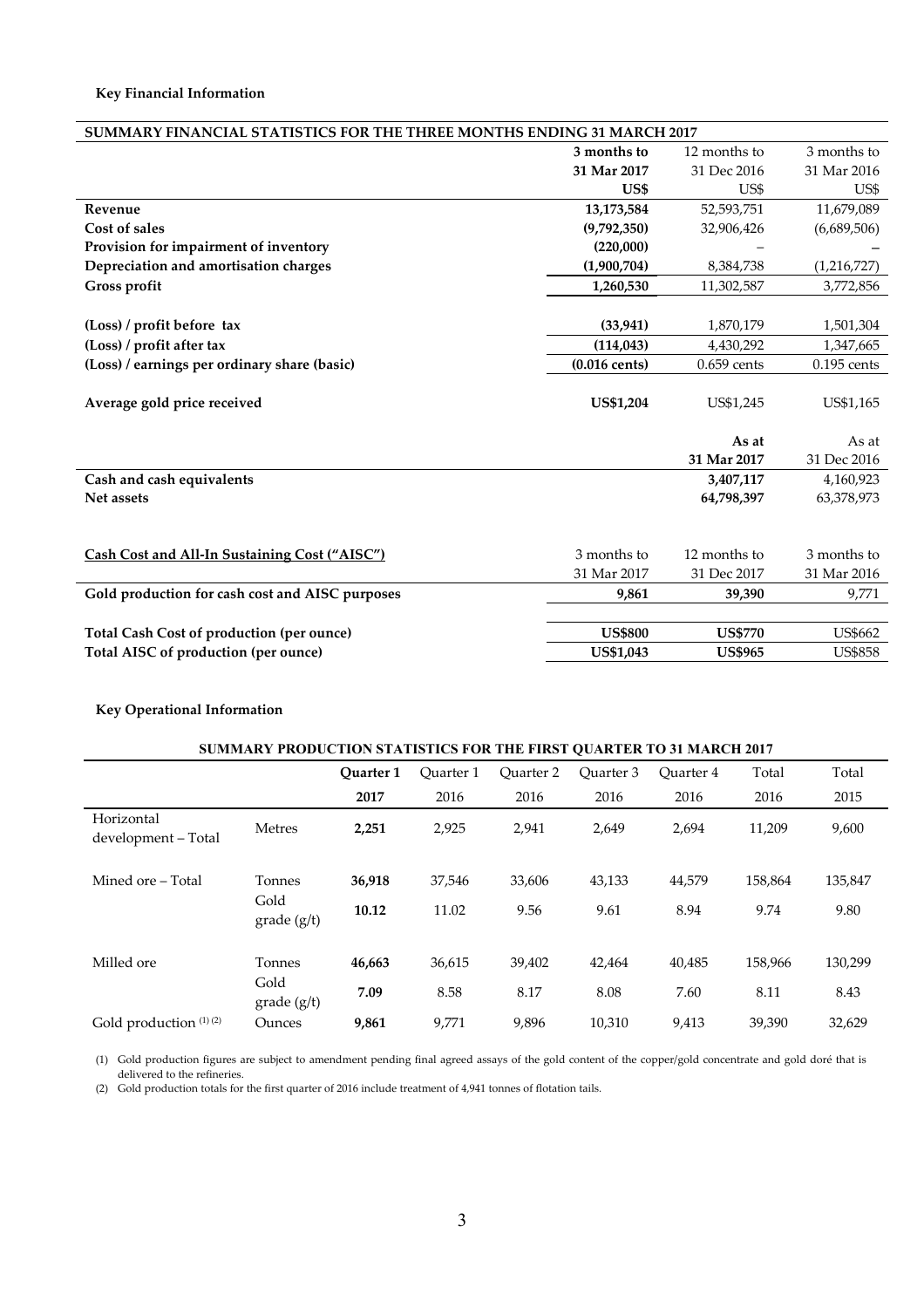| SUMMARY FINANCIAL STATISTICS FOR THE THREE MONTHS ENDING 31 MARCH 2017 |                         |                |                |  |  |
|------------------------------------------------------------------------|-------------------------|----------------|----------------|--|--|
|                                                                        | 3 months to             | 12 months to   | 3 months to    |  |  |
|                                                                        | 31 Mar 2017             | 31 Dec 2016    | 31 Mar 2016    |  |  |
|                                                                        | US\$                    | US\$           | US\$           |  |  |
| Revenue                                                                | 13,173,584              | 52,593,751     | 11,679,089     |  |  |
| Cost of sales                                                          | (9,792,350)             | 32,906,426     | (6,689,506)    |  |  |
| Provision for impairment of inventory                                  | (220,000)               |                |                |  |  |
| Depreciation and amortisation charges                                  | (1,900,704)             | 8,384,738      | (1,216,727)    |  |  |
| Gross profit                                                           | 1,260,530               | 11,302,587     | 3,772,856      |  |  |
|                                                                        |                         |                |                |  |  |
| (Loss) / profit before tax                                             | (33, 941)               | 1,870,179      | 1,501,304      |  |  |
| (Loss) / profit after tax                                              | (114, 043)              | 4,430,292      | 1,347,665      |  |  |
| (Loss) / earnings per ordinary share (basic)                           | $(0.016 \text{ cents})$ | $0.659$ cents  | $0.195$ cents  |  |  |
|                                                                        |                         |                |                |  |  |
| Average gold price received                                            | <b>US\$1,204</b>        | US\$1,245      | US\$1,165      |  |  |
|                                                                        |                         |                |                |  |  |
|                                                                        |                         | As at          | As at          |  |  |
|                                                                        |                         | 31 Mar 2017    | 31 Dec 2016    |  |  |
| Cash and cash equivalents                                              |                         | 3,407,117      | 4,160,923      |  |  |
| Net assets                                                             |                         | 64,798,397     | 63,378,973     |  |  |
|                                                                        |                         |                |                |  |  |
|                                                                        |                         |                |                |  |  |
| Cash Cost and All-In Sustaining Cost ("AISC")                          | 3 months to             | 12 months to   | 3 months to    |  |  |
|                                                                        | 31 Mar 2017             | 31 Dec 2017    | 31 Mar 2016    |  |  |
| Gold production for cash cost and AISC purposes                        | 9,861                   | 39,390         | 9,771          |  |  |
|                                                                        |                         |                |                |  |  |
| Total Cash Cost of production (per ounce)                              | <b>US\$800</b>          | <b>US\$770</b> | <b>US\$662</b> |  |  |
| Total AISC of production (per ounce)                                   | US\$1,043               | <b>US\$965</b> | <b>US\$858</b> |  |  |
|                                                                        |                         |                |                |  |  |

# **Key Operational Information**

| <b>SUMMARY PRODUCTION STATISTICS FOR THE FIRST QUARTER TO 31 MARCH 2017</b> |                       |           |           |                  |           |           |         |         |
|-----------------------------------------------------------------------------|-----------------------|-----------|-----------|------------------|-----------|-----------|---------|---------|
|                                                                             |                       | Ouarter 1 | Ouarter 1 | <b>Ouarter 2</b> | Ouarter 3 | Ouarter 4 | Total   | Total   |
|                                                                             |                       | 2017      | 2016      | 2016             | 2016      | 2016      | 2016    | 2015    |
| Horizontal<br>development - Total                                           | Metres                | 2,251     | 2,925     | 2,941            | 2,649     | 2,694     | 11,209  | 9,600   |
| Mined ore – Total                                                           | Tonnes                | 36,918    | 37,546    | 33,606           | 43,133    | 44,579    | 158.864 | 135,847 |
|                                                                             | Gold<br>$grade$ (g/t) | 10.12     | 11.02     | 9.56             | 9.61      | 8.94      | 9.74    | 9.80    |
| Milled ore                                                                  | Tonnes                | 46,663    | 36,615    | 39,402           | 42,464    | 40,485    | 158,966 | 130,299 |
|                                                                             | Gold<br>$grade$ (g/t) | 7.09      | 8.58      | 8.17             | 8.08      | 7.60      | 8.11    | 8.43    |
| Gold production $(1)(2)$                                                    | Ounces                | 9,861     | 9,771     | 9,896            | 10,310    | 9,413     | 39.390  | 32,629  |

(1) Gold production figures are subject to amendment pending final agreed assays of the gold content of the copper/gold concentrate and gold doré that is delivered to the refineries.

(2) Gold production totals for the first quarter of 2016 include treatment of 4,941 tonnes of flotation tails.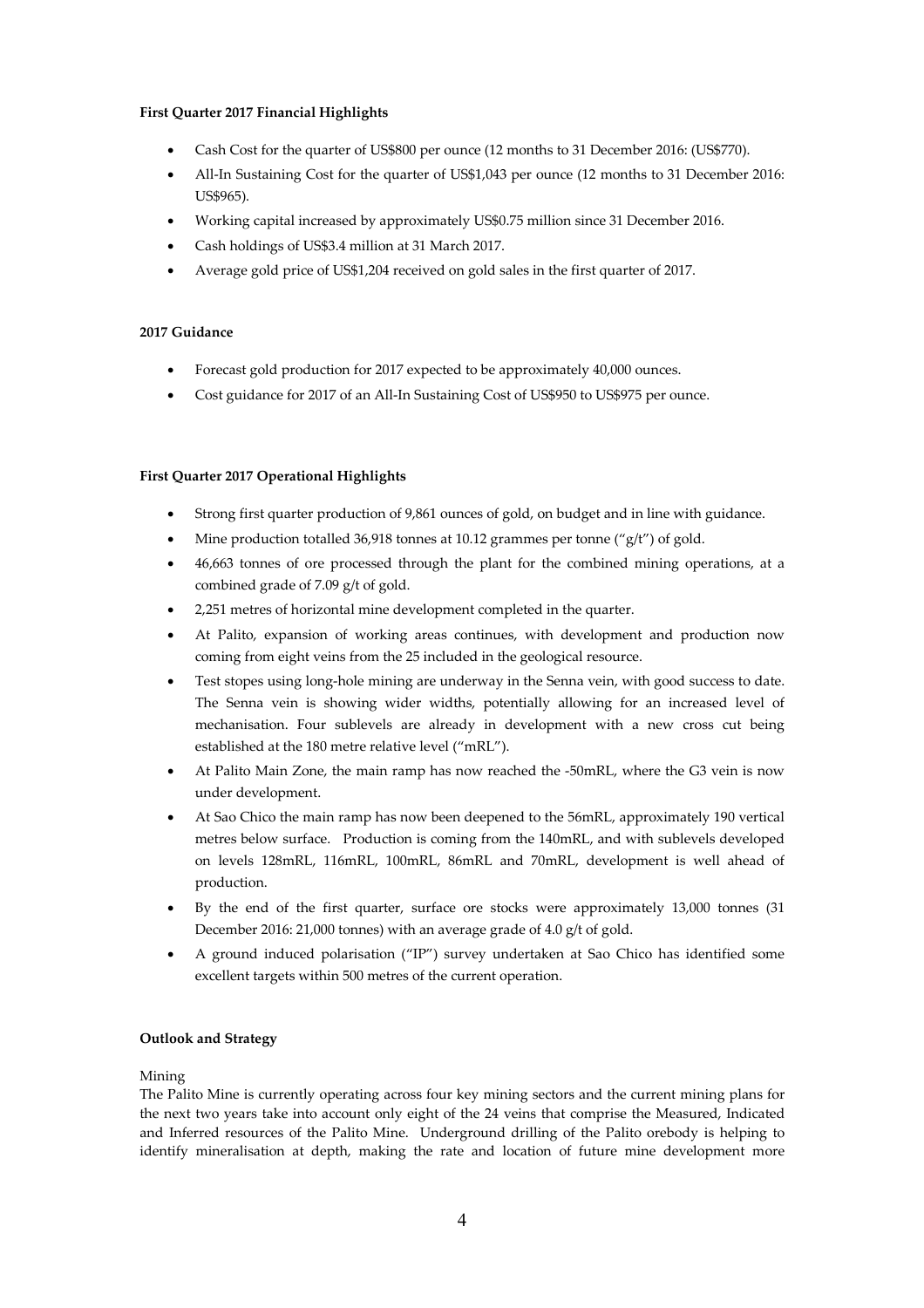# **First Quarter 2017 Financial Highlights**

- Cash Cost for the quarter of US\$800 per ounce (12 months to 31 December 2016: (US\$770).
- All-In Sustaining Cost for the quarter of US\$1,043 per ounce (12 months to 31 December 2016: US\$965).
- Working capital increased by approximately US\$0.75 million since 31 December 2016.
- Cash holdings of US\$3.4 million at 31 March 2017.
- Average gold price of US\$1,204 received on gold sales in the first quarter of 2017.

# **2017 Guidance**

- Forecast gold production for 2017 expected to be approximately 40,000 ounces.
- Cost guidance for 2017 of an All-In Sustaining Cost of US\$950 to US\$975 per ounce.

# **First Quarter 2017 Operational Highlights**

- Strong first quarter production of 9,861 ounces of gold, on budget and in line with guidance.
- Mine production totalled 36,918 tonnes at 10.12 grammes per tonne ("g/t") of gold.
- 46,663 tonnes of ore processed through the plant for the combined mining operations, at a combined grade of 7.09 g/t of gold.
- 2,251 metres of horizontal mine development completed in the quarter.
- At Palito, expansion of working areas continues, with development and production now coming from eight veins from the 25 included in the geological resource.
- Test stopes using long-hole mining are underway in the Senna vein, with good success to date. The Senna vein is showing wider widths, potentially allowing for an increased level of mechanisation. Four sublevels are already in development with a new cross cut being established at the 180 metre relative level ("mRL").
- At Palito Main Zone, the main ramp has now reached the -50mRL, where the G3 vein is now under development.
- At Sao Chico the main ramp has now been deepened to the 56mRL, approximately 190 vertical metres below surface. Production is coming from the 140mRL, and with sublevels developed on levels 128mRL, 116mRL, 100mRL, 86mRL and 70mRL, development is well ahead of production.
- By the end of the first quarter, surface ore stocks were approximately 13,000 tonnes (31 December 2016: 21,000 tonnes) with an average grade of 4.0 g/t of gold.
- A ground induced polarisation ("IP") survey undertaken at Sao Chico has identified some excellent targets within 500 metres of the current operation.

# **Outlook and Strategy**

# Mining

The Palito Mine is currently operating across four key mining sectors and the current mining plans for the next two years take into account only eight of the 24 veins that comprise the Measured, Indicated and Inferred resources of the Palito Mine. Underground drilling of the Palito orebody is helping to identify mineralisation at depth, making the rate and location of future mine development more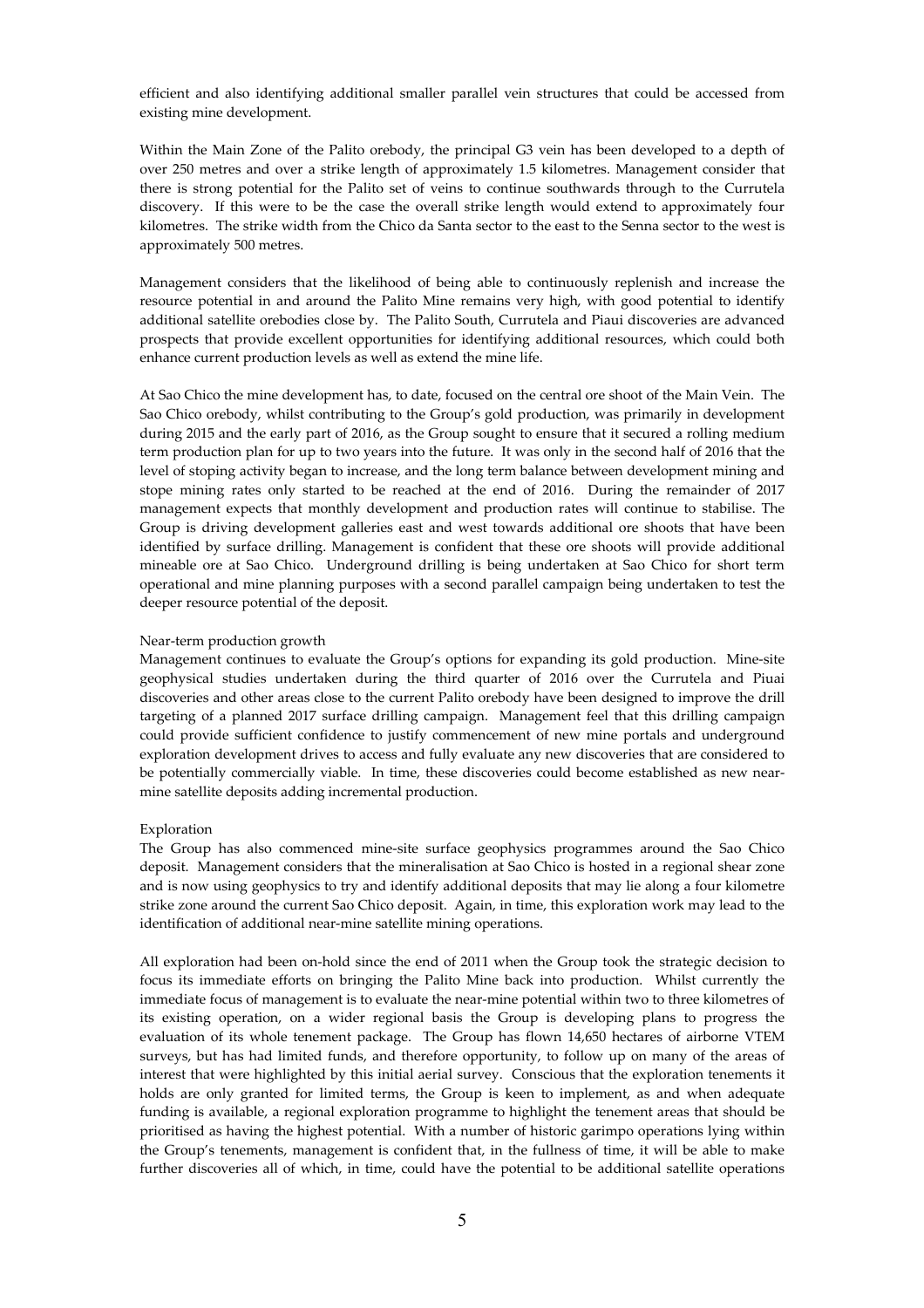efficient and also identifying additional smaller parallel vein structures that could be accessed from existing mine development.

Within the Main Zone of the Palito orebody, the principal G3 vein has been developed to a depth of over 250 metres and over a strike length of approximately 1.5 kilometres. Management consider that there is strong potential for the Palito set of veins to continue southwards through to the Currutela discovery. If this were to be the case the overall strike length would extend to approximately four kilometres. The strike width from the Chico da Santa sector to the east to the Senna sector to the west is approximately 500 metres.

Management considers that the likelihood of being able to continuously replenish and increase the resource potential in and around the Palito Mine remains very high, with good potential to identify additional satellite orebodies close by. The Palito South, Currutela and Piaui discoveries are advanced prospects that provide excellent opportunities for identifying additional resources, which could both enhance current production levels as well as extend the mine life.

At Sao Chico the mine development has, to date, focused on the central ore shoot of the Main Vein. The Sao Chico orebody, whilst contributing to the Group's gold production, was primarily in development during 2015 and the early part of 2016, as the Group sought to ensure that it secured a rolling medium term production plan for up to two years into the future. It was only in the second half of 2016 that the level of stoping activity began to increase, and the long term balance between development mining and stope mining rates only started to be reached at the end of 2016. During the remainder of 2017 management expects that monthly development and production rates will continue to stabilise. The Group is driving development galleries east and west towards additional ore shoots that have been identified by surface drilling. Management is confident that these ore shoots will provide additional mineable ore at Sao Chico. Underground drilling is being undertaken at Sao Chico for short term operational and mine planning purposes with a second parallel campaign being undertaken to test the deeper resource potential of the deposit.

#### Near-term production growth

Management continues to evaluate the Group's options for expanding its gold production. Mine-site geophysical studies undertaken during the third quarter of 2016 over the Currutela and Piuai discoveries and other areas close to the current Palito orebody have been designed to improve the drill targeting of a planned 2017 surface drilling campaign. Management feel that this drilling campaign could provide sufficient confidence to justify commencement of new mine portals and underground exploration development drives to access and fully evaluate any new discoveries that are considered to be potentially commercially viable. In time, these discoveries could become established as new nearmine satellite deposits adding incremental production.

#### Exploration

The Group has also commenced mine-site surface geophysics programmes around the Sao Chico deposit. Management considers that the mineralisation at Sao Chico is hosted in a regional shear zone and is now using geophysics to try and identify additional deposits that may lie along a four kilometre strike zone around the current Sao Chico deposit. Again, in time, this exploration work may lead to the identification of additional near-mine satellite mining operations.

All exploration had been on-hold since the end of 2011 when the Group took the strategic decision to focus its immediate efforts on bringing the Palito Mine back into production. Whilst currently the immediate focus of management is to evaluate the near-mine potential within two to three kilometres of its existing operation, on a wider regional basis the Group is developing plans to progress the evaluation of its whole tenement package. The Group has flown 14,650 hectares of airborne VTEM surveys, but has had limited funds, and therefore opportunity, to follow up on many of the areas of interest that were highlighted by this initial aerial survey. Conscious that the exploration tenements it holds are only granted for limited terms, the Group is keen to implement, as and when adequate funding is available, a regional exploration programme to highlight the tenement areas that should be prioritised as having the highest potential. With a number of historic garimpo operations lying within the Group's tenements, management is confident that, in the fullness of time, it will be able to make further discoveries all of which, in time, could have the potential to be additional satellite operations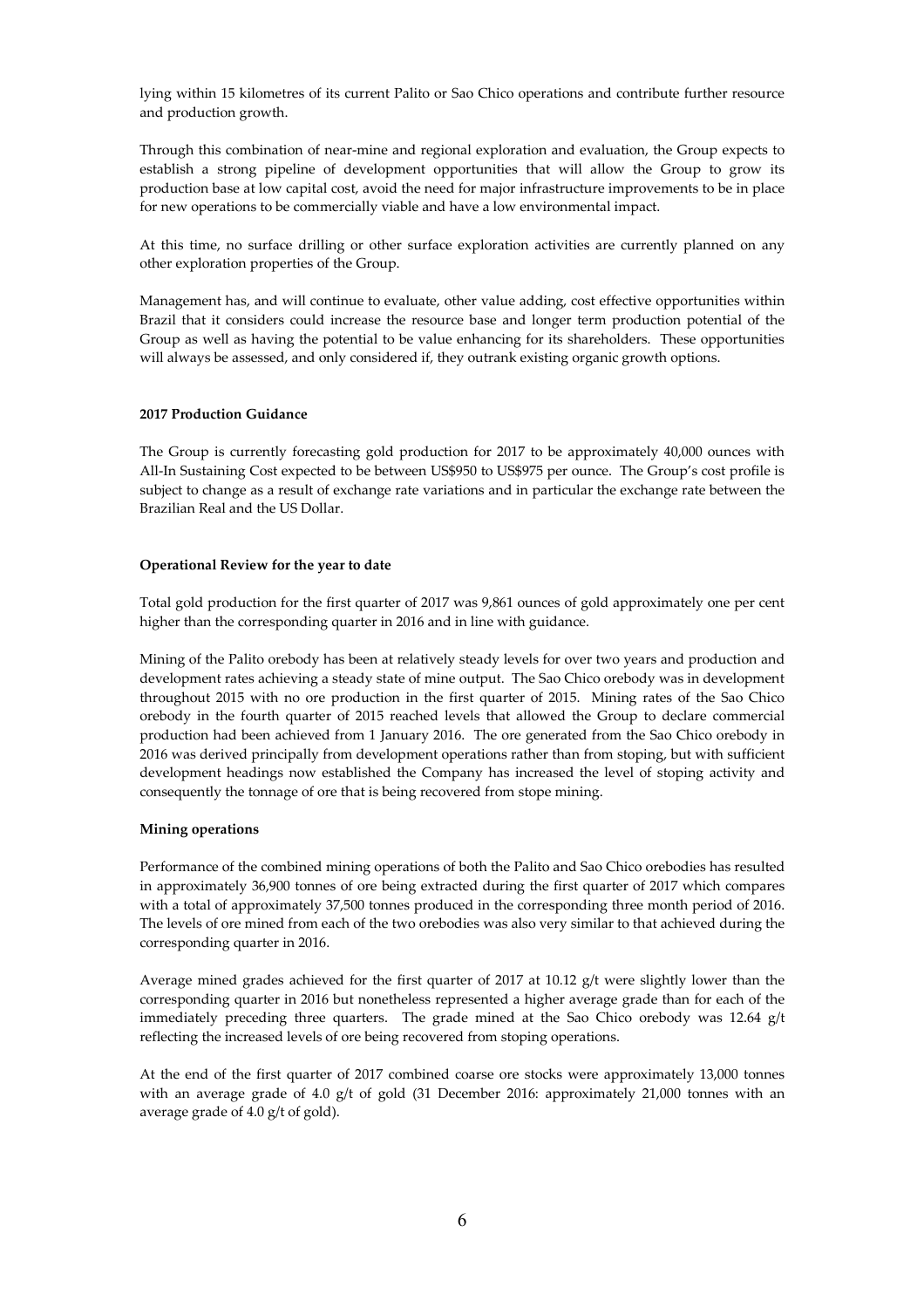lying within 15 kilometres of its current Palito or Sao Chico operations and contribute further resource and production growth.

Through this combination of near-mine and regional exploration and evaluation, the Group expects to establish a strong pipeline of development opportunities that will allow the Group to grow its production base at low capital cost, avoid the need for major infrastructure improvements to be in place for new operations to be commercially viable and have a low environmental impact.

At this time, no surface drilling or other surface exploration activities are currently planned on any other exploration properties of the Group.

Management has, and will continue to evaluate, other value adding, cost effective opportunities within Brazil that it considers could increase the resource base and longer term production potential of the Group as well as having the potential to be value enhancing for its shareholders. These opportunities will always be assessed, and only considered if, they outrank existing organic growth options.

### **2017 Production Guidance**

The Group is currently forecasting gold production for 2017 to be approximately 40,000 ounces with All-In Sustaining Cost expected to be between US\$950 to US\$975 per ounce. The Group's cost profile is subject to change as a result of exchange rate variations and in particular the exchange rate between the Brazilian Real and the US Dollar.

## **Operational Review for the year to date**

Total gold production for the first quarter of 2017 was 9,861 ounces of gold approximately one per cent higher than the corresponding quarter in 2016 and in line with guidance.

Mining of the Palito orebody has been at relatively steady levels for over two years and production and development rates achieving a steady state of mine output. The Sao Chico orebody was in development throughout 2015 with no ore production in the first quarter of 2015. Mining rates of the Sao Chico orebody in the fourth quarter of 2015 reached levels that allowed the Group to declare commercial production had been achieved from 1 January 2016. The ore generated from the Sao Chico orebody in 2016 was derived principally from development operations rather than from stoping, but with sufficient development headings now established the Company has increased the level of stoping activity and consequently the tonnage of ore that is being recovered from stope mining.

### **Mining operations**

Performance of the combined mining operations of both the Palito and Sao Chico orebodies has resulted in approximately 36,900 tonnes of ore being extracted during the first quarter of 2017 which compares with a total of approximately 37,500 tonnes produced in the corresponding three month period of 2016. The levels of ore mined from each of the two orebodies was also very similar to that achieved during the corresponding quarter in 2016.

Average mined grades achieved for the first quarter of 2017 at 10.12 g/t were slightly lower than the corresponding quarter in 2016 but nonetheless represented a higher average grade than for each of the immediately preceding three quarters. The grade mined at the Sao Chico orebody was 12.64 g/t reflecting the increased levels of ore being recovered from stoping operations.

At the end of the first quarter of 2017 combined coarse ore stocks were approximately 13,000 tonnes with an average grade of 4.0 g/t of gold (31 December 2016: approximately 21,000 tonnes with an average grade of 4.0 g/t of gold).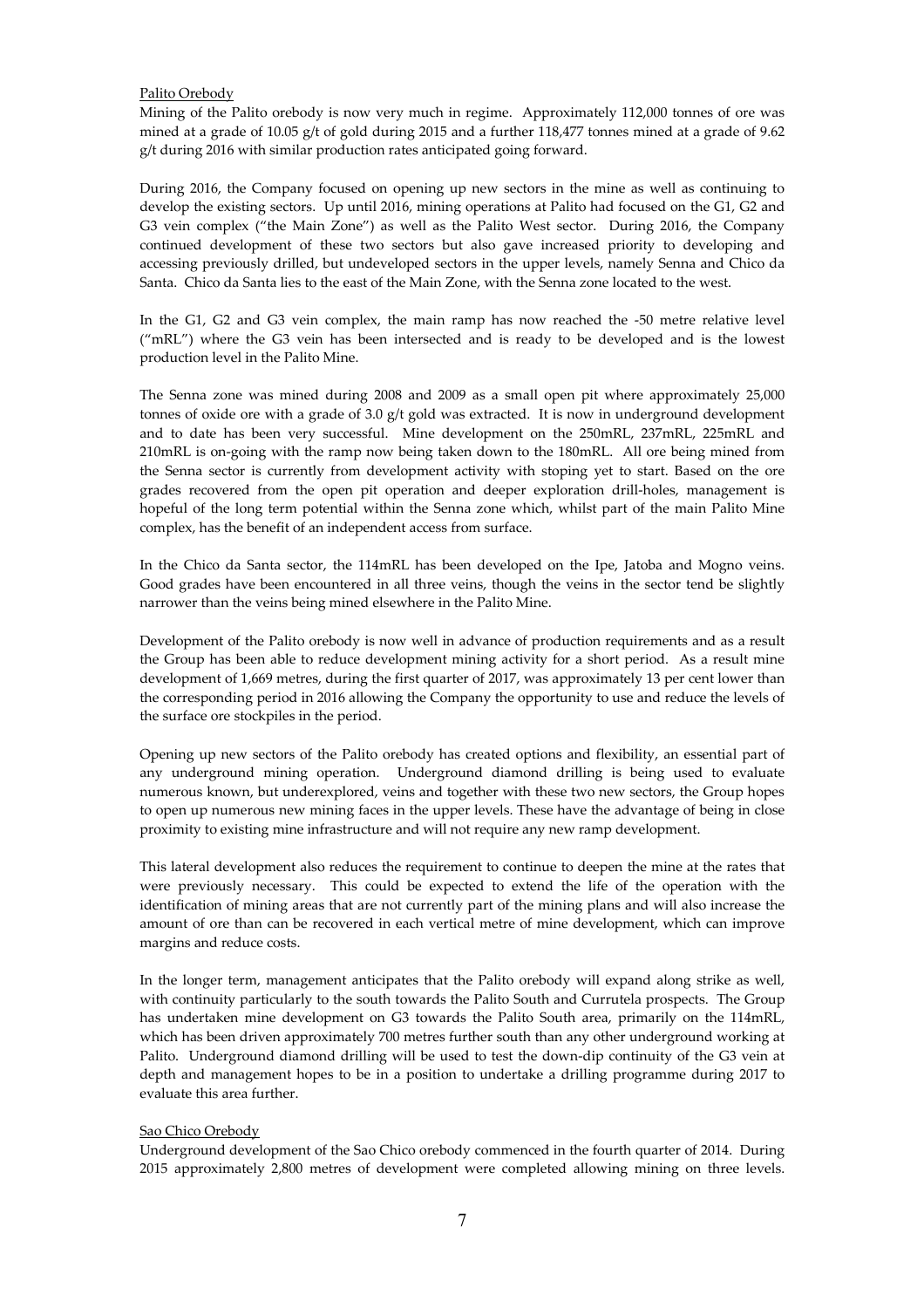### Palito Orebody

Mining of the Palito orebody is now very much in regime. Approximately 112,000 tonnes of ore was mined at a grade of 10.05 g/t of gold during 2015 and a further 118,477 tonnes mined at a grade of 9.62 g/t during 2016 with similar production rates anticipated going forward.

During 2016, the Company focused on opening up new sectors in the mine as well as continuing to develop the existing sectors. Up until 2016, mining operations at Palito had focused on the G1, G2 and G3 vein complex ("the Main Zone") as well as the Palito West sector. During 2016, the Company continued development of these two sectors but also gave increased priority to developing and accessing previously drilled, but undeveloped sectors in the upper levels, namely Senna and Chico da Santa. Chico da Santa lies to the east of the Main Zone, with the Senna zone located to the west.

In the G1, G2 and G3 vein complex, the main ramp has now reached the -50 metre relative level ("mRL") where the G3 vein has been intersected and is ready to be developed and is the lowest production level in the Palito Mine.

The Senna zone was mined during 2008 and 2009 as a small open pit where approximately 25,000 tonnes of oxide ore with a grade of 3.0  $g/t$  gold was extracted. It is now in underground development and to date has been very successful. Mine development on the 250mRL, 237mRL, 225mRL and 210mRL is on-going with the ramp now being taken down to the 180mRL. All ore being mined from the Senna sector is currently from development activity with stoping yet to start. Based on the ore grades recovered from the open pit operation and deeper exploration drill-holes, management is hopeful of the long term potential within the Senna zone which, whilst part of the main Palito Mine complex, has the benefit of an independent access from surface.

In the Chico da Santa sector, the 114mRL has been developed on the Ipe, Jatoba and Mogno veins. Good grades have been encountered in all three veins, though the veins in the sector tend be slightly narrower than the veins being mined elsewhere in the Palito Mine.

Development of the Palito orebody is now well in advance of production requirements and as a result the Group has been able to reduce development mining activity for a short period. As a result mine development of 1,669 metres, during the first quarter of 2017, was approximately 13 per cent lower than the corresponding period in 2016 allowing the Company the opportunity to use and reduce the levels of the surface ore stockpiles in the period.

Opening up new sectors of the Palito orebody has created options and flexibility, an essential part of any underground mining operation. Underground diamond drilling is being used to evaluate numerous known, but underexplored, veins and together with these two new sectors, the Group hopes to open up numerous new mining faces in the upper levels. These have the advantage of being in close proximity to existing mine infrastructure and will not require any new ramp development.

This lateral development also reduces the requirement to continue to deepen the mine at the rates that were previously necessary. This could be expected to extend the life of the operation with the identification of mining areas that are not currently part of the mining plans and will also increase the amount of ore than can be recovered in each vertical metre of mine development, which can improve margins and reduce costs.

In the longer term, management anticipates that the Palito orebody will expand along strike as well, with continuity particularly to the south towards the Palito South and Currutela prospects. The Group has undertaken mine development on G3 towards the Palito South area, primarily on the 114mRL, which has been driven approximately 700 metres further south than any other underground working at Palito. Underground diamond drilling will be used to test the down-dip continuity of the G3 vein at depth and management hopes to be in a position to undertake a drilling programme during 2017 to evaluate this area further.

#### Sao Chico Orebody

Underground development of the Sao Chico orebody commenced in the fourth quarter of 2014. During 2015 approximately 2,800 metres of development were completed allowing mining on three levels.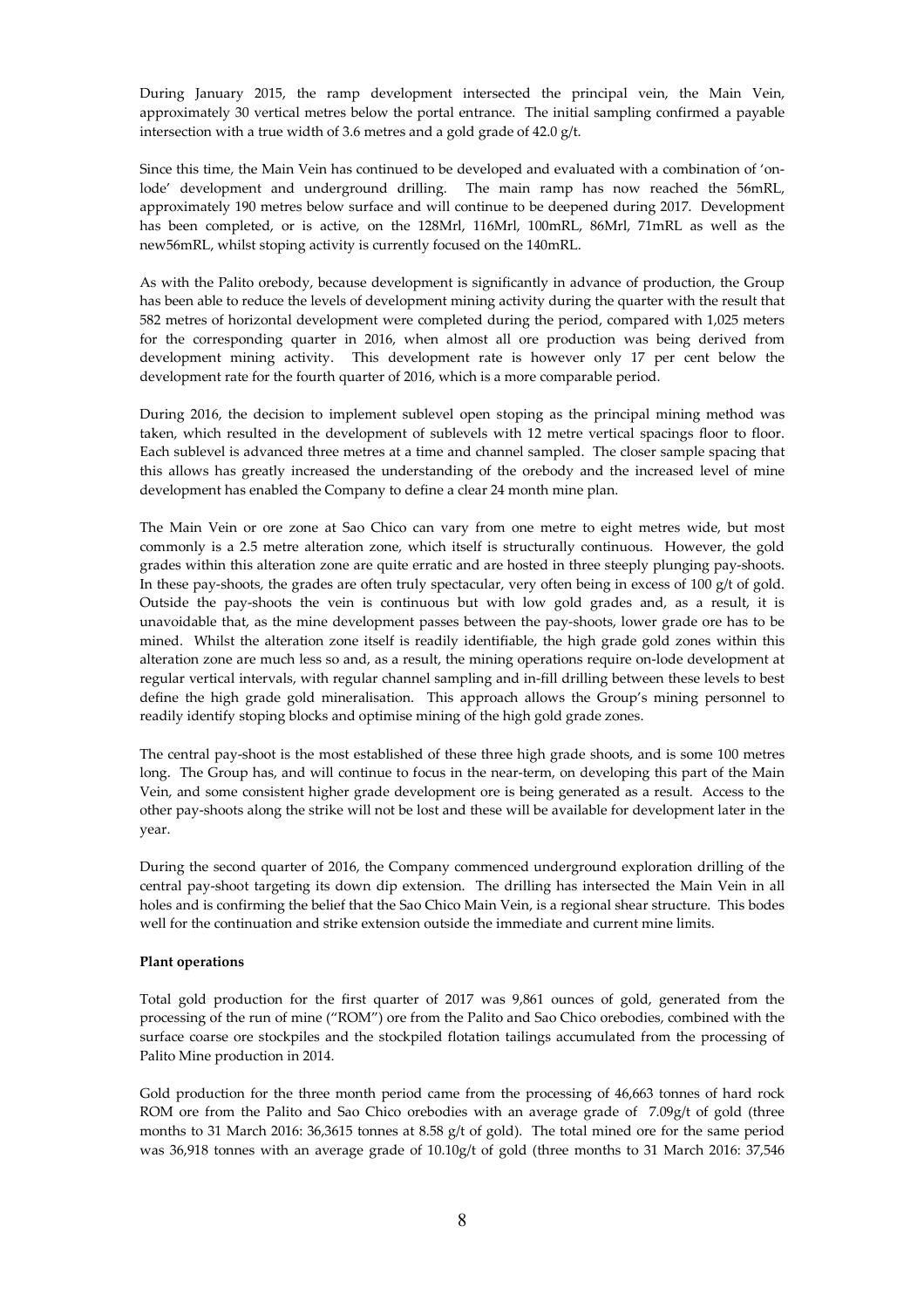During January 2015, the ramp development intersected the principal vein, the Main Vein, approximately 30 vertical metres below the portal entrance. The initial sampling confirmed a payable intersection with a true width of 3.6 metres and a gold grade of 42.0 g/t.

Since this time, the Main Vein has continued to be developed and evaluated with a combination of 'onlode' development and underground drilling. The main ramp has now reached the 56mRL, approximately 190 metres below surface and will continue to be deepened during 2017. Development has been completed, or is active, on the 128Mrl, 116Mrl, 100mRL, 86Mrl, 71mRL as well as the new56mRL, whilst stoping activity is currently focused on the 140mRL.

As with the Palito orebody, because development is significantly in advance of production, the Group has been able to reduce the levels of development mining activity during the quarter with the result that 582 metres of horizontal development were completed during the period, compared with 1,025 meters for the corresponding quarter in 2016, when almost all ore production was being derived from development mining activity. This development rate is however only 17 per cent below the development rate for the fourth quarter of 2016, which is a more comparable period.

During 2016, the decision to implement sublevel open stoping as the principal mining method was taken, which resulted in the development of sublevels with 12 metre vertical spacings floor to floor. Each sublevel is advanced three metres at a time and channel sampled. The closer sample spacing that this allows has greatly increased the understanding of the orebody and the increased level of mine development has enabled the Company to define a clear 24 month mine plan.

The Main Vein or ore zone at Sao Chico can vary from one metre to eight metres wide, but most commonly is a 2.5 metre alteration zone, which itself is structurally continuous. However, the gold grades within this alteration zone are quite erratic and are hosted in three steeply plunging pay-shoots. In these pay-shoots, the grades are often truly spectacular, very often being in excess of 100 g/t of gold. Outside the pay-shoots the vein is continuous but with low gold grades and, as a result, it is unavoidable that, as the mine development passes between the pay-shoots, lower grade ore has to be mined. Whilst the alteration zone itself is readily identifiable, the high grade gold zones within this alteration zone are much less so and, as a result, the mining operations require on-lode development at regular vertical intervals, with regular channel sampling and in-fill drilling between these levels to best define the high grade gold mineralisation. This approach allows the Group's mining personnel to readily identify stoping blocks and optimise mining of the high gold grade zones.

The central pay-shoot is the most established of these three high grade shoots, and is some 100 metres long. The Group has, and will continue to focus in the near-term, on developing this part of the Main Vein, and some consistent higher grade development ore is being generated as a result. Access to the other pay-shoots along the strike will not be lost and these will be available for development later in the year.

During the second quarter of 2016, the Company commenced underground exploration drilling of the central pay-shoot targeting its down dip extension. The drilling has intersected the Main Vein in all holes and is confirming the belief that the Sao Chico Main Vein, is a regional shear structure. This bodes well for the continuation and strike extension outside the immediate and current mine limits.

### **Plant operations**

Total gold production for the first quarter of 2017 was 9,861 ounces of gold, generated from the processing of the run of mine ("ROM") ore from the Palito and Sao Chico orebodies, combined with the surface coarse ore stockpiles and the stockpiled flotation tailings accumulated from the processing of Palito Mine production in 2014.

Gold production for the three month period came from the processing of 46,663 tonnes of hard rock ROM ore from the Palito and Sao Chico orebodies with an average grade of 7.09g/t of gold (three months to 31 March 2016: 36,3615 tonnes at 8.58 g/t of gold). The total mined ore for the same period was 36,918 tonnes with an average grade of 10.10g/t of gold (three months to 31 March 2016: 37,546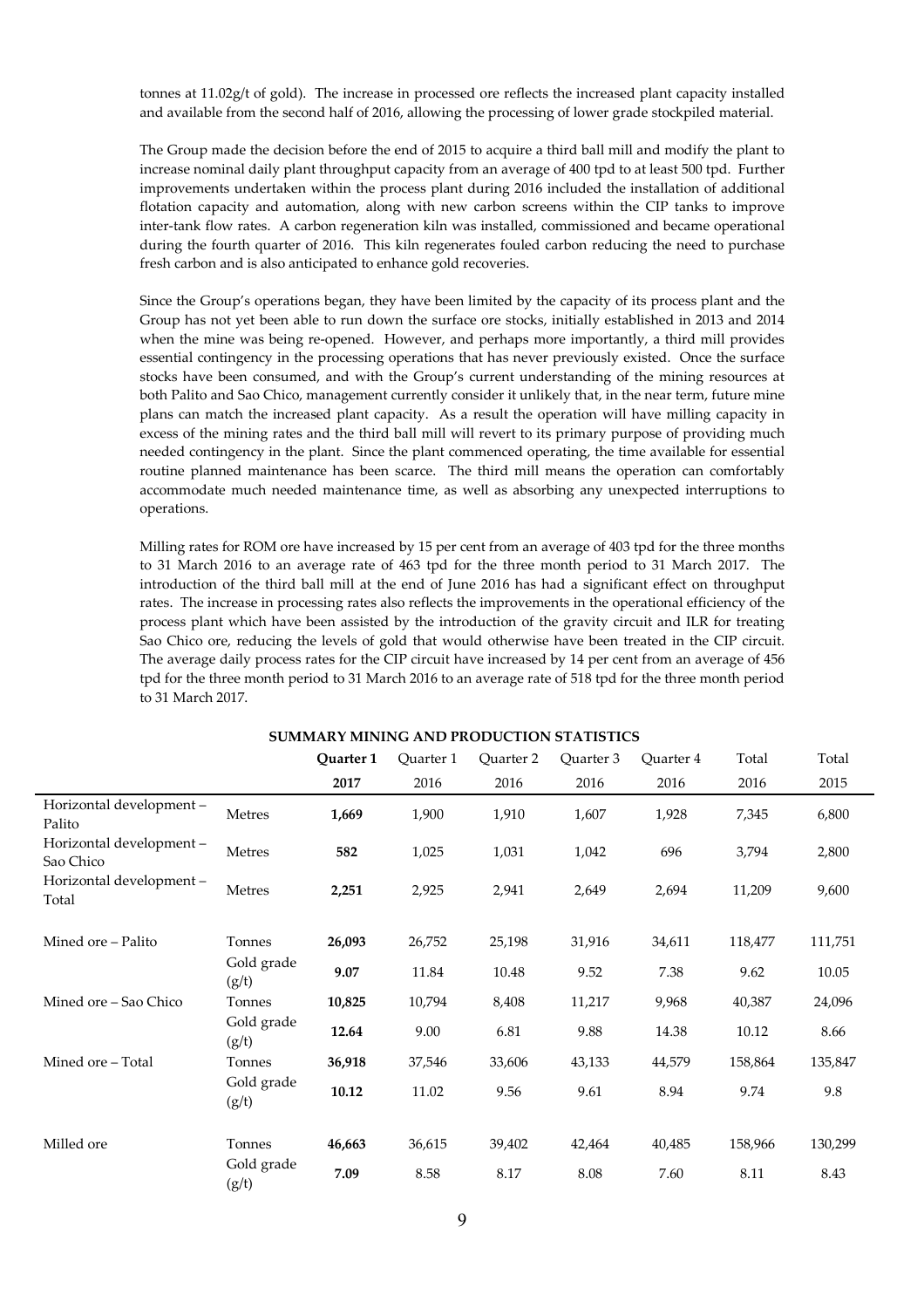tonnes at 11.02g/t of gold). The increase in processed ore reflects the increased plant capacity installed and available from the second half of 2016, allowing the processing of lower grade stockpiled material.

The Group made the decision before the end of 2015 to acquire a third ball mill and modify the plant to increase nominal daily plant throughput capacity from an average of 400 tpd to at least 500 tpd. Further improvements undertaken within the process plant during 2016 included the installation of additional flotation capacity and automation, along with new carbon screens within the CIP tanks to improve inter-tank flow rates. A carbon regeneration kiln was installed, commissioned and became operational during the fourth quarter of 2016. This kiln regenerates fouled carbon reducing the need to purchase fresh carbon and is also anticipated to enhance gold recoveries.

Since the Group's operations began, they have been limited by the capacity of its process plant and the Group has not yet been able to run down the surface ore stocks, initially established in 2013 and 2014 when the mine was being re-opened. However, and perhaps more importantly, a third mill provides essential contingency in the processing operations that has never previously existed. Once the surface stocks have been consumed, and with the Group's current understanding of the mining resources at both Palito and Sao Chico, management currently consider it unlikely that, in the near term, future mine plans can match the increased plant capacity. As a result the operation will have milling capacity in excess of the mining rates and the third ball mill will revert to its primary purpose of providing much needed contingency in the plant. Since the plant commenced operating, the time available for essential routine planned maintenance has been scarce. The third mill means the operation can comfortably accommodate much needed maintenance time, as well as absorbing any unexpected interruptions to operations.

Milling rates for ROM ore have increased by 15 per cent from an average of 403 tpd for the three months to 31 March 2016 to an average rate of 463 tpd for the three month period to 31 March 2017. The introduction of the third ball mill at the end of June 2016 has had a significant effect on throughput rates. The increase in processing rates also reflects the improvements in the operational efficiency of the process plant which have been assisted by the introduction of the gravity circuit and ILR for treating Sao Chico ore, reducing the levels of gold that would otherwise have been treated in the CIP circuit. The average daily process rates for the CIP circuit have increased by 14 per cent from an average of 456 tpd for the three month period to 31 March 2016 to an average rate of 518 tpd for the three month period to 31 March 2017.

**SUMMARY MINING AND PRODUCTION STATISTICS** 

|                                      |                     | Quarter 1 | Quarter 1 | Quarter 2 | Quarter 3 | Quarter 4 | Total   | Total   |
|--------------------------------------|---------------------|-----------|-----------|-----------|-----------|-----------|---------|---------|
|                                      |                     | 2017      | 2016      | 2016      | 2016      | 2016      | 2016    | 2015    |
| Horizontal development-<br>Palito    | Metres              | 1,669     | 1,900     | 1,910     | 1,607     | 1,928     | 7,345   | 6,800   |
| Horizontal development-<br>Sao Chico | Metres              | 582       | 1,025     | 1,031     | 1,042     | 696       | 3,794   | 2,800   |
| Horizontal development-<br>Total     | Metres              | 2,251     | 2,925     | 2,941     | 2,649     | 2,694     | 11,209  | 9,600   |
| Mined ore - Palito                   | Tonnes              | 26,093    | 26,752    | 25,198    | 31,916    | 34,611    | 118,477 | 111,751 |
|                                      | Gold grade<br>(g/t) | 9.07      | 11.84     | 10.48     | 9.52      | 7.38      | 9.62    | 10.05   |
| Mined ore – Sao Chico                | Tonnes              | 10,825    | 10,794    | 8,408     | 11,217    | 9,968     | 40,387  | 24,096  |
|                                      | Gold grade<br>(g/t) | 12.64     | 9.00      | 6.81      | 9.88      | 14.38     | 10.12   | 8.66    |
| Mined ore - Total                    | Tonnes              | 36,918    | 37,546    | 33,606    | 43,133    | 44,579    | 158,864 | 135,847 |
|                                      | Gold grade<br>(g/t) | 10.12     | 11.02     | 9.56      | 9.61      | 8.94      | 9.74    | 9.8     |
| Milled ore                           | Tonnes              | 46,663    | 36,615    | 39,402    | 42,464    | 40,485    | 158,966 | 130,299 |
|                                      | Gold grade<br>(g/t) | 7.09      | 8.58      | 8.17      | 8.08      | 7.60      | 8.11    | 8.43    |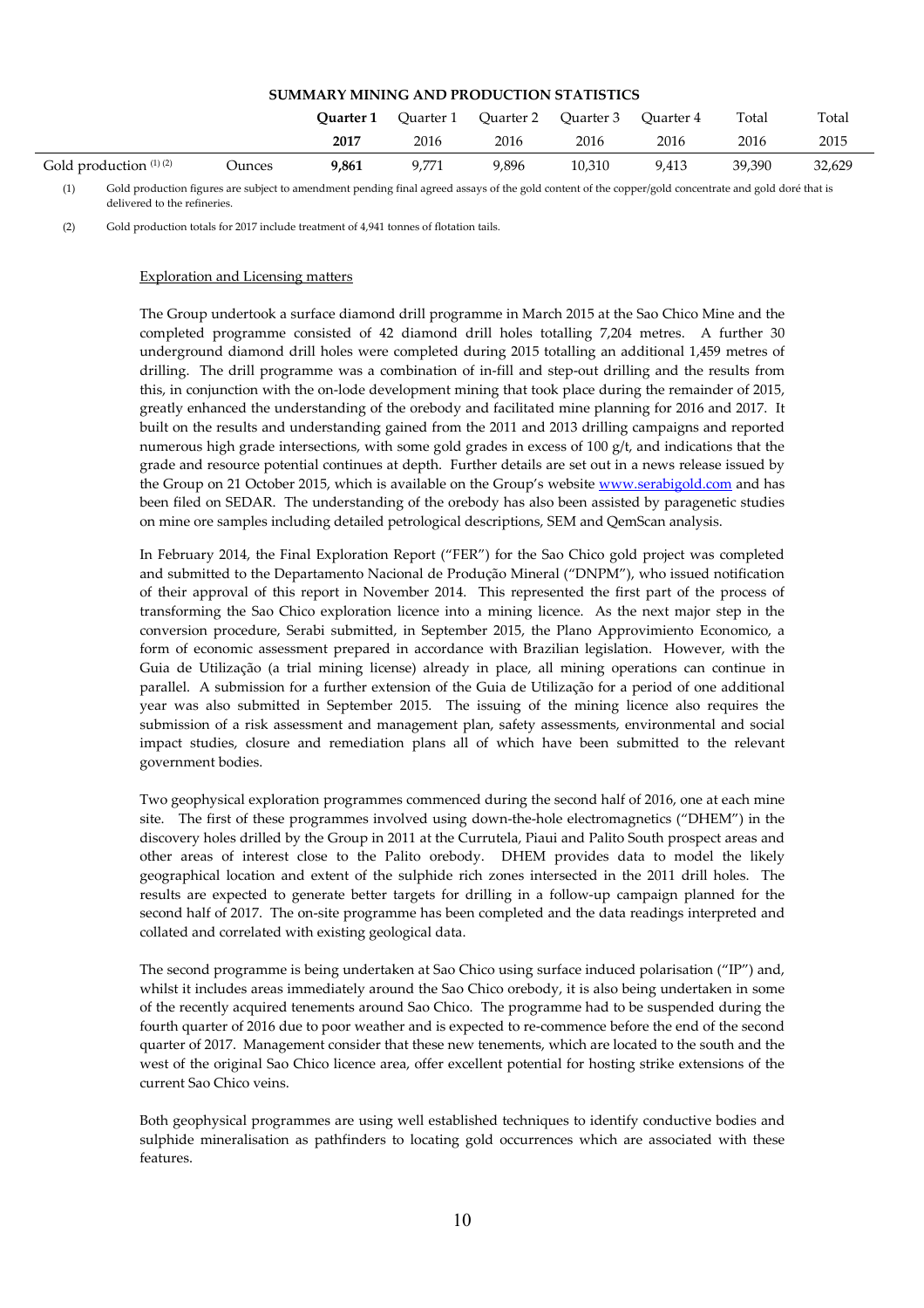# **SUMMARY MINING AND PRODUCTION STATISTICS**

|                          |        | Ouarter 1 | Ouarter 1 | Ouarter 2 | Ouarter 3 | Ouarter 4 | Total  | Total  |
|--------------------------|--------|-----------|-----------|-----------|-----------|-----------|--------|--------|
|                          |        | 2017      | 2016      | 2016      | 2016      | 2016      | 2016   | 2015   |
| Gold production $(1)(2)$ | Ounces | 9,861     | 9,771     | 9,896     | 10,310    | 9,413     | 39.390 | 32,629 |

(1) Gold production figures are subject to amendment pending final agreed assays of the gold content of the copper/gold concentrate and gold doré that is delivered to the refineries.

(2) Gold production totals for 2017 include treatment of 4,941 tonnes of flotation tails.

#### Exploration and Licensing matters

The Group undertook a surface diamond drill programme in March 2015 at the Sao Chico Mine and the completed programme consisted of 42 diamond drill holes totalling 7,204 metres. A further 30 underground diamond drill holes were completed during 2015 totalling an additional 1,459 metres of drilling. The drill programme was a combination of in-fill and step-out drilling and the results from this, in conjunction with the on-lode development mining that took place during the remainder of 2015, greatly enhanced the understanding of the orebody and facilitated mine planning for 2016 and 2017. It built on the results and understanding gained from the 2011 and 2013 drilling campaigns and reported numerous high grade intersections, with some gold grades in excess of 100 g/t, and indications that the grade and resource potential continues at depth. Further details are set out in a news release issued by the Group on 21 October 2015, which is available on the Group's website www.serabigold.com and has been filed on SEDAR. The understanding of the orebody has also been assisted by paragenetic studies on mine ore samples including detailed petrological descriptions, SEM and QemScan analysis.

In February 2014, the Final Exploration Report ("FER") for the Sao Chico gold project was completed and submitted to the Departamento Nacional de Produção Mineral ("DNPM"), who issued notification of their approval of this report in November 2014. This represented the first part of the process of transforming the Sao Chico exploration licence into a mining licence. As the next major step in the conversion procedure, Serabi submitted, in September 2015, the Plano Approvimiento Economico, a form of economic assessment prepared in accordance with Brazilian legislation. However, with the Guia de Utilização (a trial mining license) already in place, all mining operations can continue in parallel. A submission for a further extension of the Guia de Utilização for a period of one additional year was also submitted in September 2015. The issuing of the mining licence also requires the submission of a risk assessment and management plan, safety assessments, environmental and social impact studies, closure and remediation plans all of which have been submitted to the relevant government bodies.

Two geophysical exploration programmes commenced during the second half of 2016, one at each mine site. The first of these programmes involved using down-the-hole electromagnetics ("DHEM") in the discovery holes drilled by the Group in 2011 at the Currutela, Piaui and Palito South prospect areas and other areas of interest close to the Palito orebody. DHEM provides data to model the likely geographical location and extent of the sulphide rich zones intersected in the 2011 drill holes. The results are expected to generate better targets for drilling in a follow-up campaign planned for the second half of 2017. The on-site programme has been completed and the data readings interpreted and collated and correlated with existing geological data.

The second programme is being undertaken at Sao Chico using surface induced polarisation ("IP") and, whilst it includes areas immediately around the Sao Chico orebody, it is also being undertaken in some of the recently acquired tenements around Sao Chico. The programme had to be suspended during the fourth quarter of 2016 due to poor weather and is expected to re-commence before the end of the second quarter of 2017. Management consider that these new tenements, which are located to the south and the west of the original Sao Chico licence area, offer excellent potential for hosting strike extensions of the current Sao Chico veins.

Both geophysical programmes are using well established techniques to identify conductive bodies and sulphide mineralisation as pathfinders to locating gold occurrences which are associated with these features.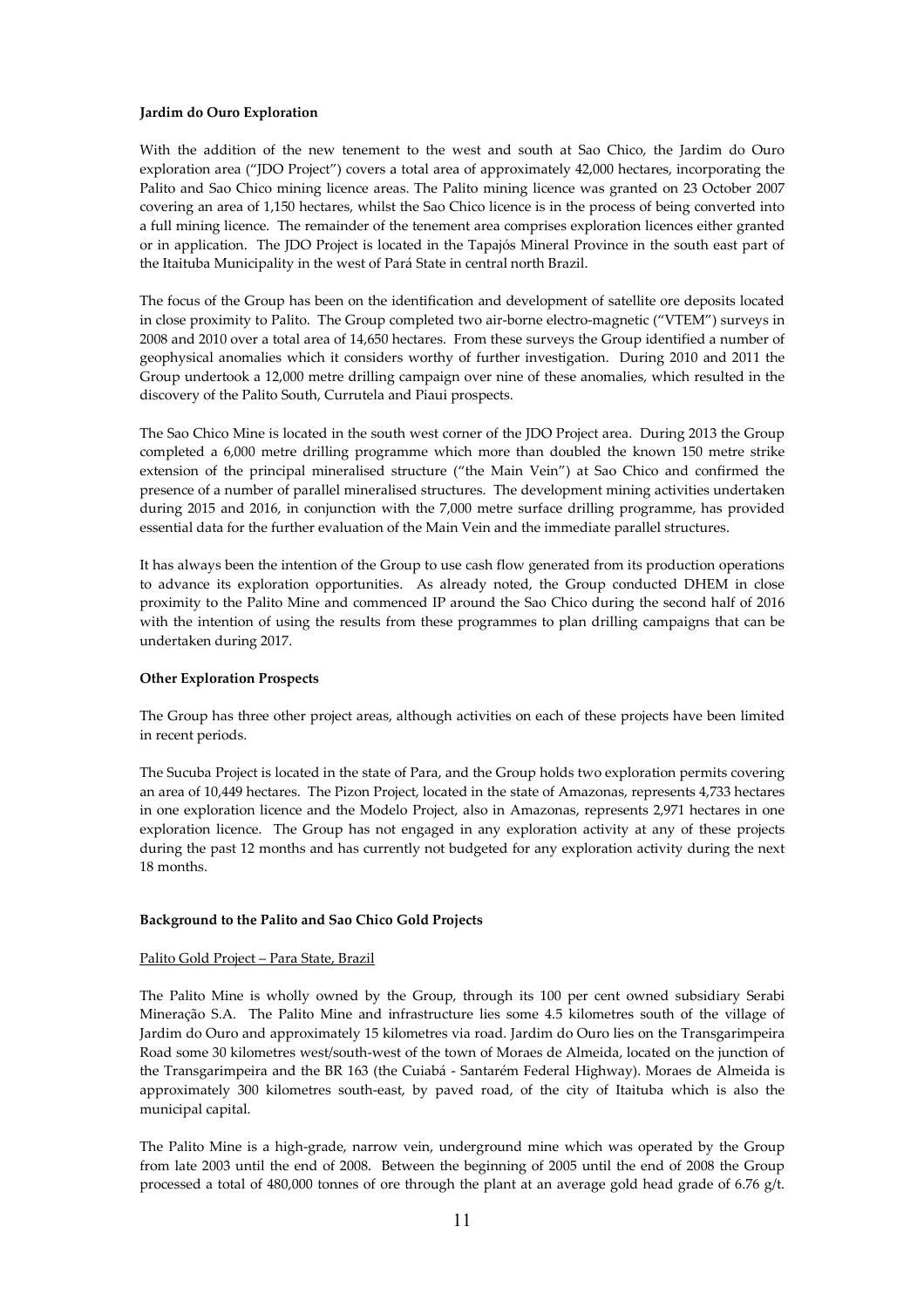## **Jardim do Ouro Exploration**

With the addition of the new tenement to the west and south at Sao Chico, the Jardim do Ouro exploration area ("JDO Project") covers a total area of approximately 42,000 hectares, incorporating the Palito and Sao Chico mining licence areas. The Palito mining licence was granted on 23 October 2007 covering an area of 1,150 hectares, whilst the Sao Chico licence is in the process of being converted into a full mining licence. The remainder of the tenement area comprises exploration licences either granted or in application. The JDO Project is located in the Tapajós Mineral Province in the south east part of the Itaituba Municipality in the west of Pará State in central north Brazil.

The focus of the Group has been on the identification and development of satellite ore deposits located in close proximity to Palito. The Group completed two air-borne electro-magnetic ("VTEM") surveys in 2008 and 2010 over a total area of 14,650 hectares. From these surveys the Group identified a number of geophysical anomalies which it considers worthy of further investigation. During 2010 and 2011 the Group undertook a 12,000 metre drilling campaign over nine of these anomalies, which resulted in the discovery of the Palito South, Currutela and Piaui prospects.

The Sao Chico Mine is located in the south west corner of the JDO Project area. During 2013 the Group completed a 6,000 metre drilling programme which more than doubled the known 150 metre strike extension of the principal mineralised structure ("the Main Vein") at Sao Chico and confirmed the presence of a number of parallel mineralised structures. The development mining activities undertaken during 2015 and 2016, in conjunction with the 7,000 metre surface drilling programme, has provided essential data for the further evaluation of the Main Vein and the immediate parallel structures.

It has always been the intention of the Group to use cash flow generated from its production operations to advance its exploration opportunities. As already noted, the Group conducted DHEM in close proximity to the Palito Mine and commenced IP around the Sao Chico during the second half of 2016 with the intention of using the results from these programmes to plan drilling campaigns that can be undertaken during 2017.

### **Other Exploration Prospects**

The Group has three other project areas, although activities on each of these projects have been limited in recent periods.

The Sucuba Project is located in the state of Para, and the Group holds two exploration permits covering an area of 10,449 hectares. The Pizon Project, located in the state of Amazonas, represents 4,733 hectares in one exploration licence and the Modelo Project, also in Amazonas, represents 2,971 hectares in one exploration licence. The Group has not engaged in any exploration activity at any of these projects during the past 12 months and has currently not budgeted for any exploration activity during the next 18 months.

# **Background to the Palito and Sao Chico Gold Projects**

### Palito Gold Project – Para State, Brazil

The Palito Mine is wholly owned by the Group, through its 100 per cent owned subsidiary Serabi Mineração S.A. The Palito Mine and infrastructure lies some 4.5 kilometres south of the village of Jardim do Ouro and approximately 15 kilometres via road. Jardim do Ouro lies on the Transgarimpeira Road some 30 kilometres west/south-west of the town of Moraes de Almeida, located on the junction of the Transgarimpeira and the BR 163 (the Cuiabá - Santarém Federal Highway). Moraes de Almeida is approximately 300 kilometres south-east, by paved road, of the city of Itaituba which is also the municipal capital.

The Palito Mine is a high-grade, narrow vein, underground mine which was operated by the Group from late 2003 until the end of 2008. Between the beginning of 2005 until the end of 2008 the Group processed a total of 480,000 tonnes of ore through the plant at an average gold head grade of 6.76 g/t.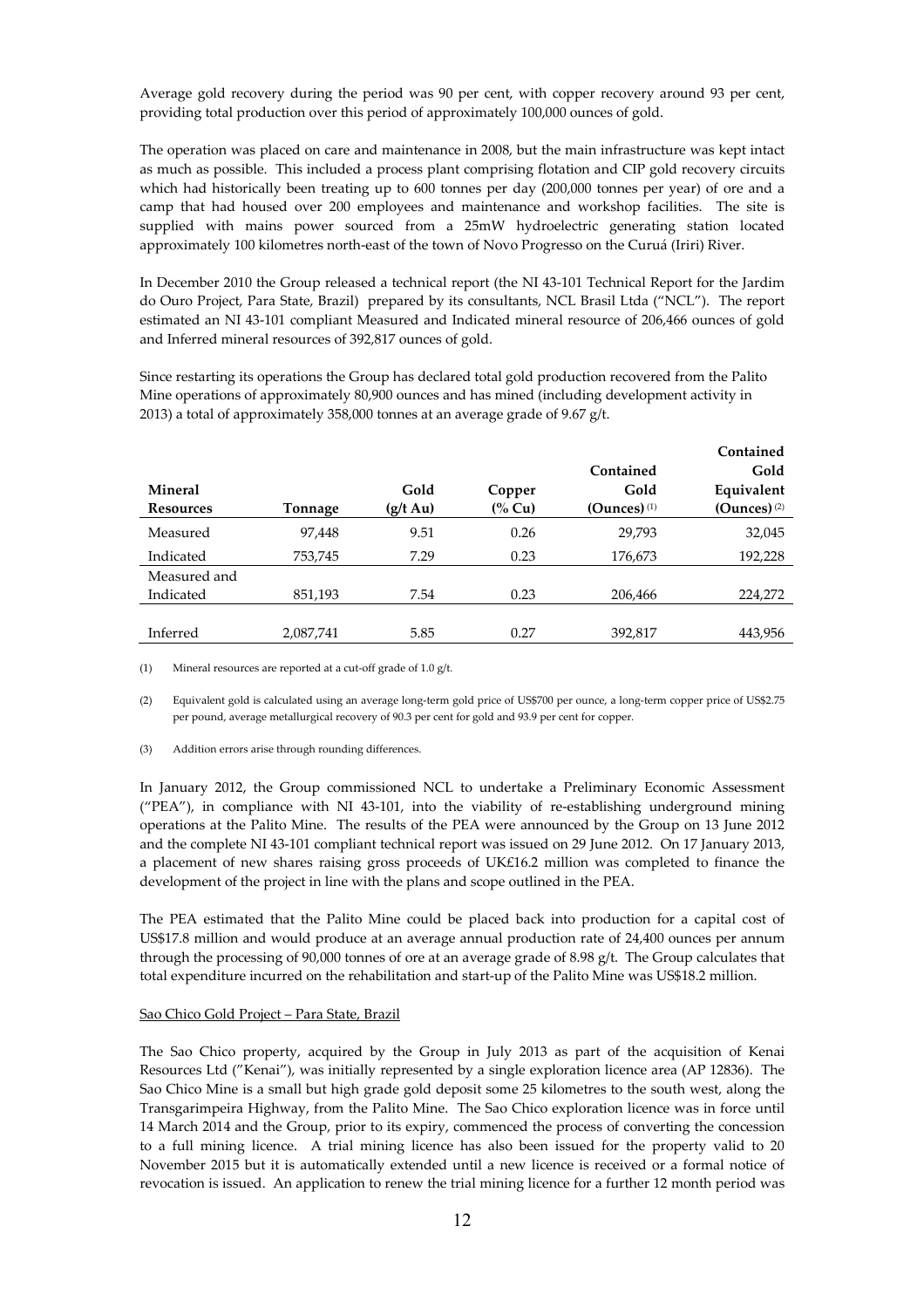Average gold recovery during the period was 90 per cent, with copper recovery around 93 per cent, providing total production over this period of approximately 100,000 ounces of gold.

The operation was placed on care and maintenance in 2008, but the main infrastructure was kept intact as much as possible. This included a process plant comprising flotation and CIP gold recovery circuits which had historically been treating up to 600 tonnes per day (200,000 tonnes per year) of ore and a camp that had housed over 200 employees and maintenance and workshop facilities. The site is supplied with mains power sourced from a 25mW hydroelectric generating station located approximately 100 kilometres north-east of the town of Novo Progresso on the Curuá (Iriri) River.

In December 2010 the Group released a technical report (the NI 43-101 Technical Report for the Jardim do Ouro Project, Para State, Brazil) prepared by its consultants, NCL Brasil Ltda ("NCL"). The report estimated an NI 43-101 compliant Measured and Indicated mineral resource of 206,466 ounces of gold and Inferred mineral resources of 392,817 ounces of gold.

Since restarting its operations the Group has declared total gold production recovered from the Palito Mine operations of approximately 80,900 ounces and has mined (including development activity in 2013) a total of approximately 358,000 tonnes at an average grade of 9.67 g/t.

|                  |           |                    |        |                | Contained        |
|------------------|-----------|--------------------|--------|----------------|------------------|
|                  |           |                    |        | Contained      | Gold             |
| <b>Mineral</b>   |           | Gold               | Copper | Gold           | Equivalent       |
| <b>Resources</b> | Tonnage   | $(g/t \text{ Au})$ | (% Cu) | (Ounces) $(1)$ | $(Qunces)^{(2)}$ |
| Measured         | 97,448    | 9.51               | 0.26   | 29,793         | 32,045           |
| Indicated        | 753,745   | 7.29               | 0.23   | 176,673        | 192,228          |
| Measured and     |           |                    |        |                |                  |
| Indicated        | 851,193   | 7.54               | 0.23   | 206,466        | 224,272          |
|                  |           |                    |        |                |                  |
| Inferred         | 2,087,741 | 5.85               | 0.27   | 392,817        | 443,956          |

(1) Mineral resources are reported at a cut-off grade of 1.0 g/t.

(2) Equivalent gold is calculated using an average long-term gold price of US\$700 per ounce, a long-term copper price of US\$2.75 per pound, average metallurgical recovery of 90.3 per cent for gold and 93.9 per cent for copper.

(3) Addition errors arise through rounding differences.

In January 2012, the Group commissioned NCL to undertake a Preliminary Economic Assessment ("PEA"), in compliance with NI 43-101, into the viability of re-establishing underground mining operations at the Palito Mine. The results of the PEA were announced by the Group on 13 June 2012 and the complete NI 43-101 compliant technical report was issued on 29 June 2012. On 17 January 2013, a placement of new shares raising gross proceeds of UK£16.2 million was completed to finance the development of the project in line with the plans and scope outlined in the PEA.

The PEA estimated that the Palito Mine could be placed back into production for a capital cost of US\$17.8 million and would produce at an average annual production rate of 24,400 ounces per annum through the processing of 90,000 tonnes of ore at an average grade of 8.98 g/t. The Group calculates that total expenditure incurred on the rehabilitation and start-up of the Palito Mine was US\$18.2 million.

## Sao Chico Gold Project – Para State, Brazil

The Sao Chico property, acquired by the Group in July 2013 as part of the acquisition of Kenai Resources Ltd ("Kenai"), was initially represented by a single exploration licence area (AP 12836). The Sao Chico Mine is a small but high grade gold deposit some 25 kilometres to the south west, along the Transgarimpeira Highway, from the Palito Mine. The Sao Chico exploration licence was in force until 14 March 2014 and the Group, prior to its expiry, commenced the process of converting the concession to a full mining licence. A trial mining licence has also been issued for the property valid to 20 November 2015 but it is automatically extended until a new licence is received or a formal notice of revocation is issued. An application to renew the trial mining licence for a further 12 month period was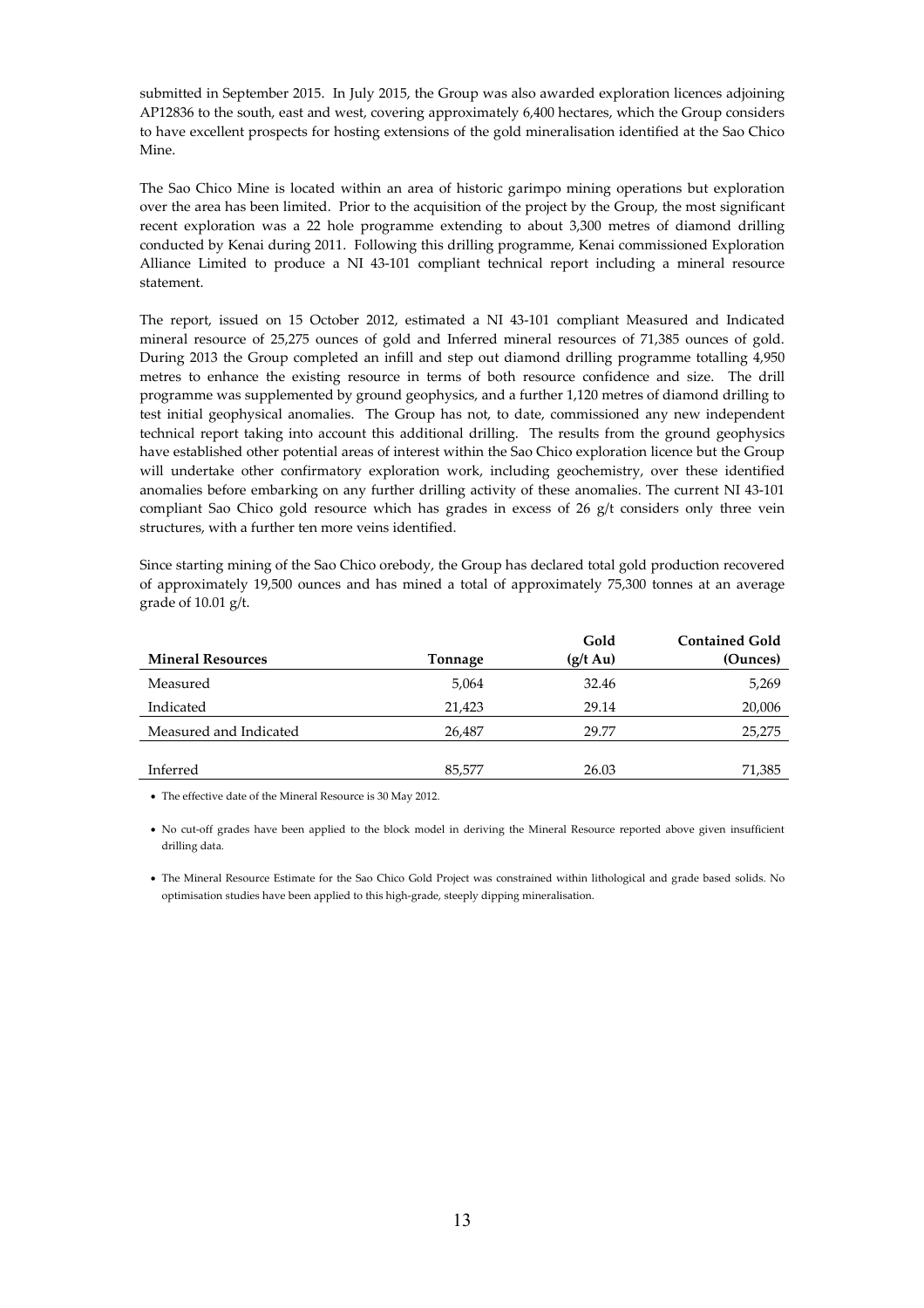submitted in September 2015. In July 2015, the Group was also awarded exploration licences adjoining AP12836 to the south, east and west, covering approximately 6,400 hectares, which the Group considers to have excellent prospects for hosting extensions of the gold mineralisation identified at the Sao Chico Mine.

The Sao Chico Mine is located within an area of historic garimpo mining operations but exploration over the area has been limited. Prior to the acquisition of the project by the Group, the most significant recent exploration was a 22 hole programme extending to about 3,300 metres of diamond drilling conducted by Kenai during 2011. Following this drilling programme, Kenai commissioned Exploration Alliance Limited to produce a NI 43-101 compliant technical report including a mineral resource statement.

The report, issued on 15 October 2012, estimated a NI 43-101 compliant Measured and Indicated mineral resource of 25,275 ounces of gold and Inferred mineral resources of 71,385 ounces of gold. During 2013 the Group completed an infill and step out diamond drilling programme totalling 4,950 metres to enhance the existing resource in terms of both resource confidence and size. The drill programme was supplemented by ground geophysics, and a further 1,120 metres of diamond drilling to test initial geophysical anomalies. The Group has not, to date, commissioned any new independent technical report taking into account this additional drilling. The results from the ground geophysics have established other potential areas of interest within the Sao Chico exploration licence but the Group will undertake other confirmatory exploration work, including geochemistry, over these identified anomalies before embarking on any further drilling activity of these anomalies. The current NI 43-101 compliant Sao Chico gold resource which has grades in excess of 26  $g/t$  considers only three vein structures, with a further ten more veins identified.

Since starting mining of the Sao Chico orebody, the Group has declared total gold production recovered of approximately 19,500 ounces and has mined a total of approximately 75,300 tonnes at an average grade of 10.01 g/t.

|                          |         | Gold               | <b>Contained Gold</b> |
|--------------------------|---------|--------------------|-----------------------|
| <b>Mineral Resources</b> | Tonnage | $(g/t \text{ Au})$ | (Ounces)              |
| Measured                 | 5,064   | 32.46              | 5,269                 |
| Indicated                | 21,423  | 29.14              | 20,006                |
| Measured and Indicated   | 26,487  | 29.77              | 25,275                |
|                          |         |                    |                       |
| Inferred                 | 85,577  | 26.03              | 71,385                |
|                          |         |                    |                       |

• The effective date of the Mineral Resource is 30 May 2012.

• No cut-off grades have been applied to the block model in deriving the Mineral Resource reported above given insufficient drilling data.

• The Mineral Resource Estimate for the Sao Chico Gold Project was constrained within lithological and grade based solids. No optimisation studies have been applied to this high-grade, steeply dipping mineralisation.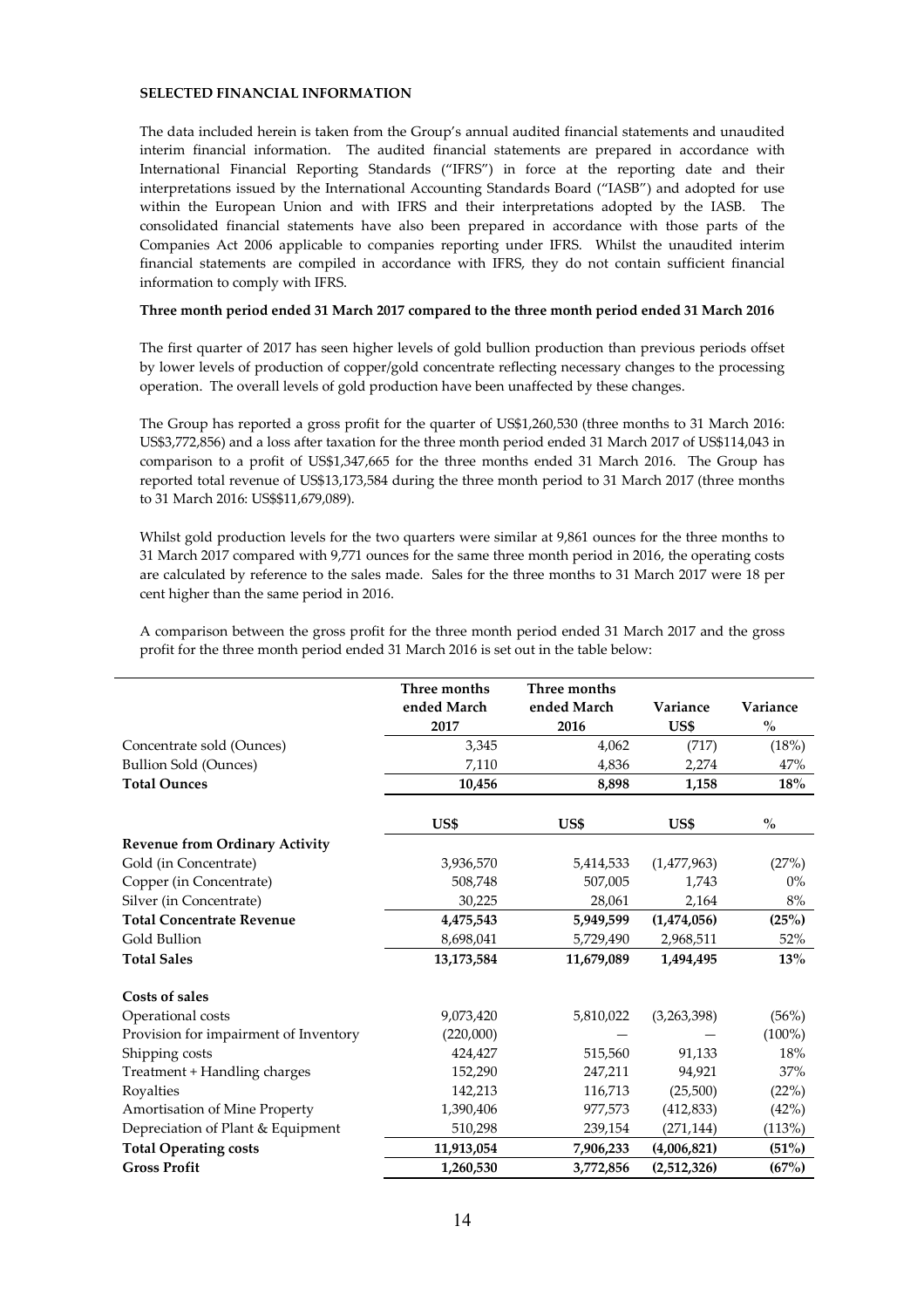# **SELECTED FINANCIAL INFORMATION**

The data included herein is taken from the Group's annual audited financial statements and unaudited interim financial information. The audited financial statements are prepared in accordance with International Financial Reporting Standards ("IFRS") in force at the reporting date and their interpretations issued by the International Accounting Standards Board ("IASB") and adopted for use within the European Union and with IFRS and their interpretations adopted by the IASB. The consolidated financial statements have also been prepared in accordance with those parts of the Companies Act 2006 applicable to companies reporting under IFRS. Whilst the unaudited interim financial statements are compiled in accordance with IFRS, they do not contain sufficient financial information to comply with IFRS.

### **Three month period ended 31 March 2017 compared to the three month period ended 31 March 2016**

The first quarter of 2017 has seen higher levels of gold bullion production than previous periods offset by lower levels of production of copper/gold concentrate reflecting necessary changes to the processing operation. The overall levels of gold production have been unaffected by these changes.

The Group has reported a gross profit for the quarter of US\$1,260,530 (three months to 31 March 2016: US\$3,772,856) and a loss after taxation for the three month period ended 31 March 2017 of US\$114,043 in comparison to a profit of US\$1,347,665 for the three months ended 31 March 2016. The Group has reported total revenue of US\$13,173,584 during the three month period to 31 March 2017 (three months to 31 March 2016: US\$\$11,679,089).

Whilst gold production levels for the two quarters were similar at 9,861 ounces for the three months to 31 March 2017 compared with 9,771 ounces for the same three month period in 2016, the operating costs are calculated by reference to the sales made. Sales for the three months to 31 March 2017 were 18 per cent higher than the same period in 2016.

|                                       | Three months | Three months |             |               |
|---------------------------------------|--------------|--------------|-------------|---------------|
|                                       | ended March  | ended March  | Variance    | Variance      |
|                                       | 2017         | 2016         | US\$        | $\frac{0}{0}$ |
| Concentrate sold (Ounces)             | 3,345        | 4,062        | (717)       | (18%)         |
| <b>Bullion Sold (Ounces)</b>          | 7,110        | 4,836        | 2,274       | 47%           |
| <b>Total Ounces</b>                   | 10,456       | 8,898        | 1,158       | $18\%$        |
|                                       | US\$         | US\$         | US\$        | $\frac{0}{0}$ |
| <b>Revenue from Ordinary Activity</b> |              |              |             |               |
| Gold (in Concentrate)                 | 3,936,570    | 5,414,533    | (1,477,963) | (27%)         |
| Copper (in Concentrate)               | 508,748      | 507,005      | 1,743       | $0\%$         |
| Silver (in Concentrate)               | 30,225       | 28,061       | 2,164       | 8%            |
| <b>Total Concentrate Revenue</b>      | 4,475,543    | 5,949,599    | (1,474,056) | (25%)         |
| Gold Bullion                          | 8,698,041    | 5,729,490    | 2,968,511   | 52%           |
| <b>Total Sales</b>                    | 13,173,584   | 11,679,089   | 1,494,495   | 13%           |
| Costs of sales                        |              |              |             |               |
| Operational costs                     | 9,073,420    | 5,810,022    | (3,263,398) | (56%)         |
| Provision for impairment of Inventory | (220,000)    |              |             | $(100\%)$     |
| Shipping costs                        | 424,427      | 515,560      | 91,133      | 18%           |
| Treatment + Handling charges          | 152,290      | 247,211      | 94,921      | 37%           |
| Royalties                             | 142,213      | 116,713      | (25,500)    | (22%)         |
| Amortisation of Mine Property         | 1,390,406    | 977,573      | (412, 833)  | (42%)         |
| Depreciation of Plant & Equipment     | 510,298      | 239,154      | (271, 144)  | (113%)        |
| <b>Total Operating costs</b>          | 11,913,054   | 7,906,233    | (4,006,821) | (51%)         |
| <b>Gross Profit</b>                   | 1,260,530    | 3,772,856    | (2,512,326) | (67%)         |

A comparison between the gross profit for the three month period ended 31 March 2017 and the gross profit for the three month period ended 31 March 2016 is set out in the table below: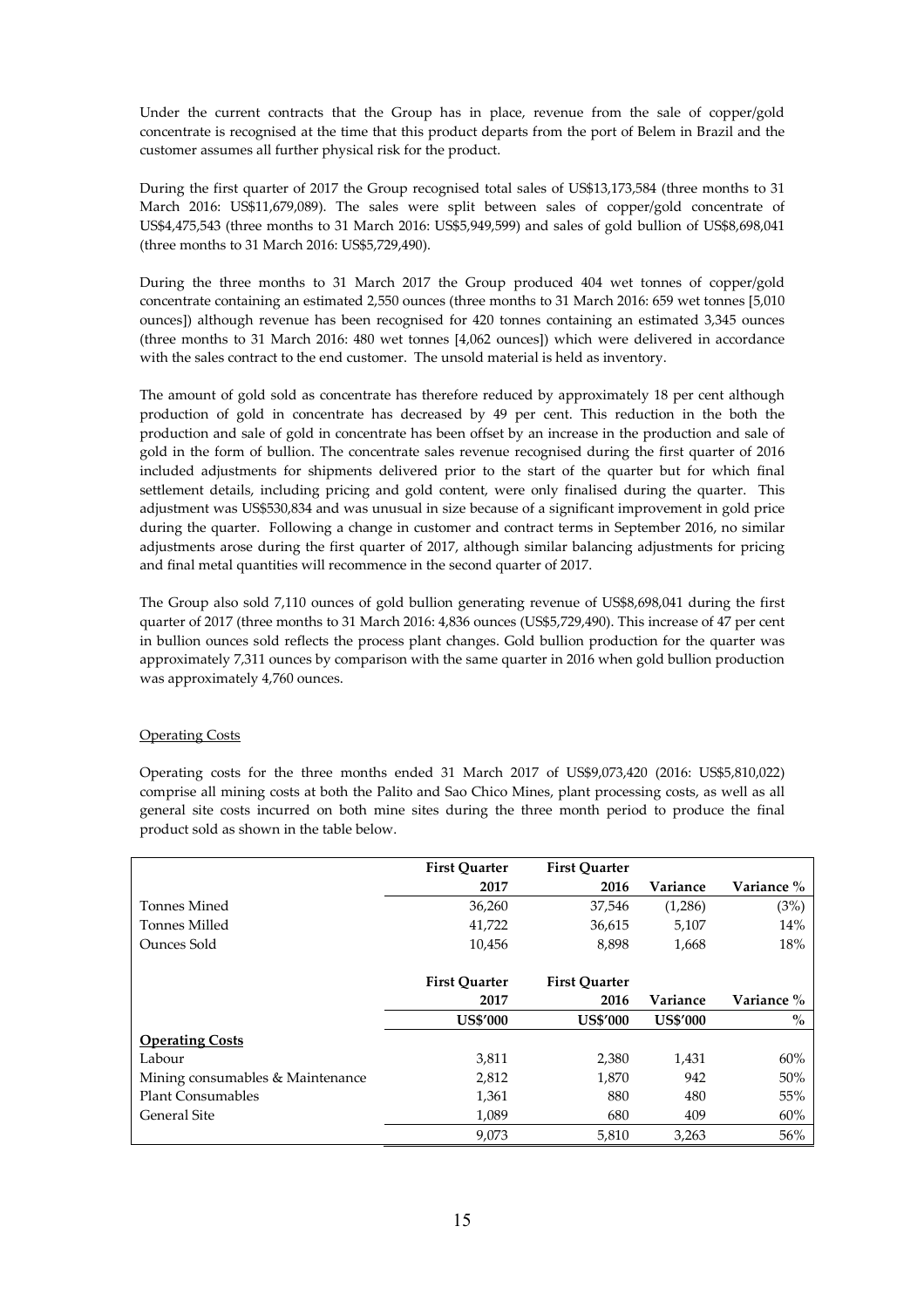Under the current contracts that the Group has in place, revenue from the sale of copper/gold concentrate is recognised at the time that this product departs from the port of Belem in Brazil and the customer assumes all further physical risk for the product.

During the first quarter of 2017 the Group recognised total sales of US\$13,173,584 (three months to 31 March 2016: US\$11,679,089). The sales were split between sales of copper/gold concentrate of US\$4,475,543 (three months to 31 March 2016: US\$5,949,599) and sales of gold bullion of US\$8,698,041 (three months to 31 March 2016: US\$5,729,490).

During the three months to 31 March 2017 the Group produced 404 wet tonnes of copper/gold concentrate containing an estimated 2,550 ounces (three months to 31 March 2016: 659 wet tonnes [5,010 ounces]) although revenue has been recognised for 420 tonnes containing an estimated 3,345 ounces (three months to 31 March 2016: 480 wet tonnes [4,062 ounces]) which were delivered in accordance with the sales contract to the end customer. The unsold material is held as inventory.

The amount of gold sold as concentrate has therefore reduced by approximately 18 per cent although production of gold in concentrate has decreased by 49 per cent. This reduction in the both the production and sale of gold in concentrate has been offset by an increase in the production and sale of gold in the form of bullion. The concentrate sales revenue recognised during the first quarter of 2016 included adjustments for shipments delivered prior to the start of the quarter but for which final settlement details, including pricing and gold content, were only finalised during the quarter. This adjustment was US\$530,834 and was unusual in size because of a significant improvement in gold price during the quarter. Following a change in customer and contract terms in September 2016, no similar adjustments arose during the first quarter of 2017, although similar balancing adjustments for pricing and final metal quantities will recommence in the second quarter of 2017.

The Group also sold 7,110 ounces of gold bullion generating revenue of US\$8,698,041 during the first quarter of 2017 (three months to 31 March 2016: 4,836 ounces (US\$5,729,490). This increase of 47 per cent in bullion ounces sold reflects the process plant changes. Gold bullion production for the quarter was approximately 7,311 ounces by comparison with the same quarter in 2016 when gold bullion production was approximately 4,760 ounces.

# Operating Costs

Operating costs for the three months ended 31 March 2017 of US\$9,073,420 (2016: US\$5,810,022) comprise all mining costs at both the Palito and Sao Chico Mines, plant processing costs, as well as all general site costs incurred on both mine sites during the three month period to produce the final product sold as shown in the table below.

|                                  | <b>First Quarter</b> | <b>First Quarter</b> |                 |            |
|----------------------------------|----------------------|----------------------|-----------------|------------|
|                                  | 2017                 | 2016                 | Variance        | Variance % |
| Tonnes Mined                     | 36,260               | 37,546               | (1,286)         | (3%)       |
| Tonnes Milled                    | 41,722               | 36,615               | 5,107           | 14%        |
| Ounces Sold                      | 10,456               | 8,898                | 1,668           | 18%        |
|                                  | <b>First Ouarter</b> | <b>First Ouarter</b> |                 |            |
|                                  | 2017                 | 2016                 | Variance        | Variance % |
|                                  | <b>US\$'000</b>      | <b>US\$'000</b>      | <b>US\$'000</b> | $\%$       |
| <b>Operating Costs</b>           |                      |                      |                 |            |
| Labour                           | 3,811                | 2,380                | 1,431           | 60%        |
| Mining consumables & Maintenance | 2,812                | 1,870                | 942             | 50%        |
| <b>Plant Consumables</b>         | 1,361                | 880                  | 480             | 55%        |
| <b>General Site</b>              | 1,089                | 680                  | 409             | 60%        |
|                                  | 9,073                | 5,810                | 3,263           | 56%        |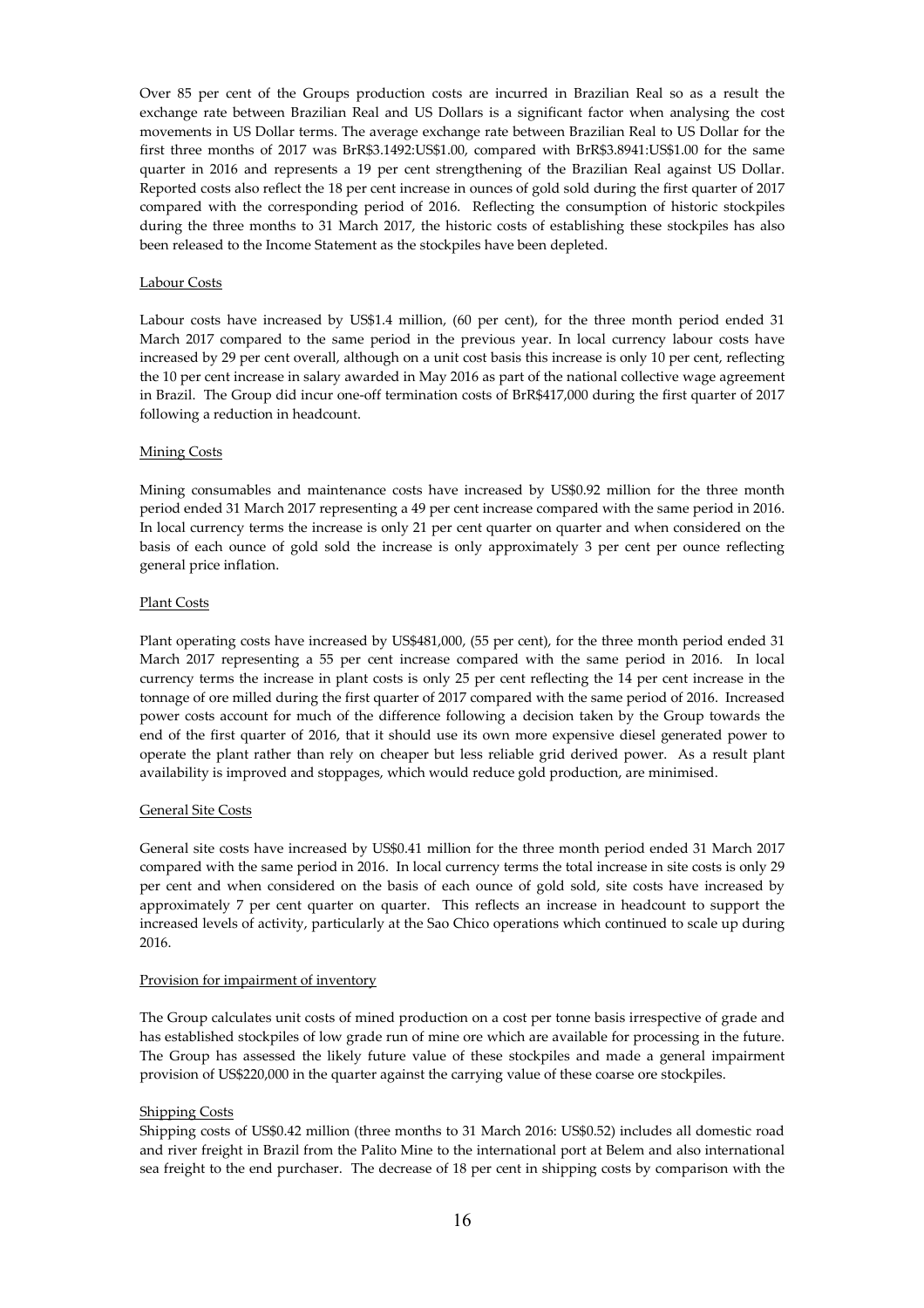Over 85 per cent of the Groups production costs are incurred in Brazilian Real so as a result the exchange rate between Brazilian Real and US Dollars is a significant factor when analysing the cost movements in US Dollar terms. The average exchange rate between Brazilian Real to US Dollar for the first three months of 2017 was BrR\$3.1492:US\$1.00, compared with BrR\$3.8941:US\$1.00 for the same quarter in 2016 and represents a 19 per cent strengthening of the Brazilian Real against US Dollar. Reported costs also reflect the 18 per cent increase in ounces of gold sold during the first quarter of 2017 compared with the corresponding period of 2016. Reflecting the consumption of historic stockpiles during the three months to 31 March 2017, the historic costs of establishing these stockpiles has also been released to the Income Statement as the stockpiles have been depleted.

### Labour Costs

Labour costs have increased by US\$1.4 million, (60 per cent), for the three month period ended 31 March 2017 compared to the same period in the previous year. In local currency labour costs have increased by 29 per cent overall, although on a unit cost basis this increase is only 10 per cent, reflecting the 10 per cent increase in salary awarded in May 2016 as part of the national collective wage agreement in Brazil. The Group did incur one-off termination costs of BrR\$417,000 during the first quarter of 2017 following a reduction in headcount.

## Mining Costs

Mining consumables and maintenance costs have increased by US\$0.92 million for the three month period ended 31 March 2017 representing a 49 per cent increase compared with the same period in 2016. In local currency terms the increase is only 21 per cent quarter on quarter and when considered on the basis of each ounce of gold sold the increase is only approximately 3 per cent per ounce reflecting general price inflation.

## Plant Costs

Plant operating costs have increased by US\$481,000, (55 per cent), for the three month period ended 31 March 2017 representing a 55 per cent increase compared with the same period in 2016. In local currency terms the increase in plant costs is only 25 per cent reflecting the 14 per cent increase in the tonnage of ore milled during the first quarter of 2017 compared with the same period of 2016. Increased power costs account for much of the difference following a decision taken by the Group towards the end of the first quarter of 2016, that it should use its own more expensive diesel generated power to operate the plant rather than rely on cheaper but less reliable grid derived power. As a result plant availability is improved and stoppages, which would reduce gold production, are minimised.

### General Site Costs

General site costs have increased by US\$0.41 million for the three month period ended 31 March 2017 compared with the same period in 2016. In local currency terms the total increase in site costs is only 29 per cent and when considered on the basis of each ounce of gold sold, site costs have increased by approximately 7 per cent quarter on quarter. This reflects an increase in headcount to support the increased levels of activity, particularly at the Sao Chico operations which continued to scale up during 2016.

## Provision for impairment of inventory

The Group calculates unit costs of mined production on a cost per tonne basis irrespective of grade and has established stockpiles of low grade run of mine ore which are available for processing in the future. The Group has assessed the likely future value of these stockpiles and made a general impairment provision of US\$220,000 in the quarter against the carrying value of these coarse ore stockpiles.

# Shipping Costs

Shipping costs of US\$0.42 million (three months to 31 March 2016: US\$0.52) includes all domestic road and river freight in Brazil from the Palito Mine to the international port at Belem and also international sea freight to the end purchaser. The decrease of 18 per cent in shipping costs by comparison with the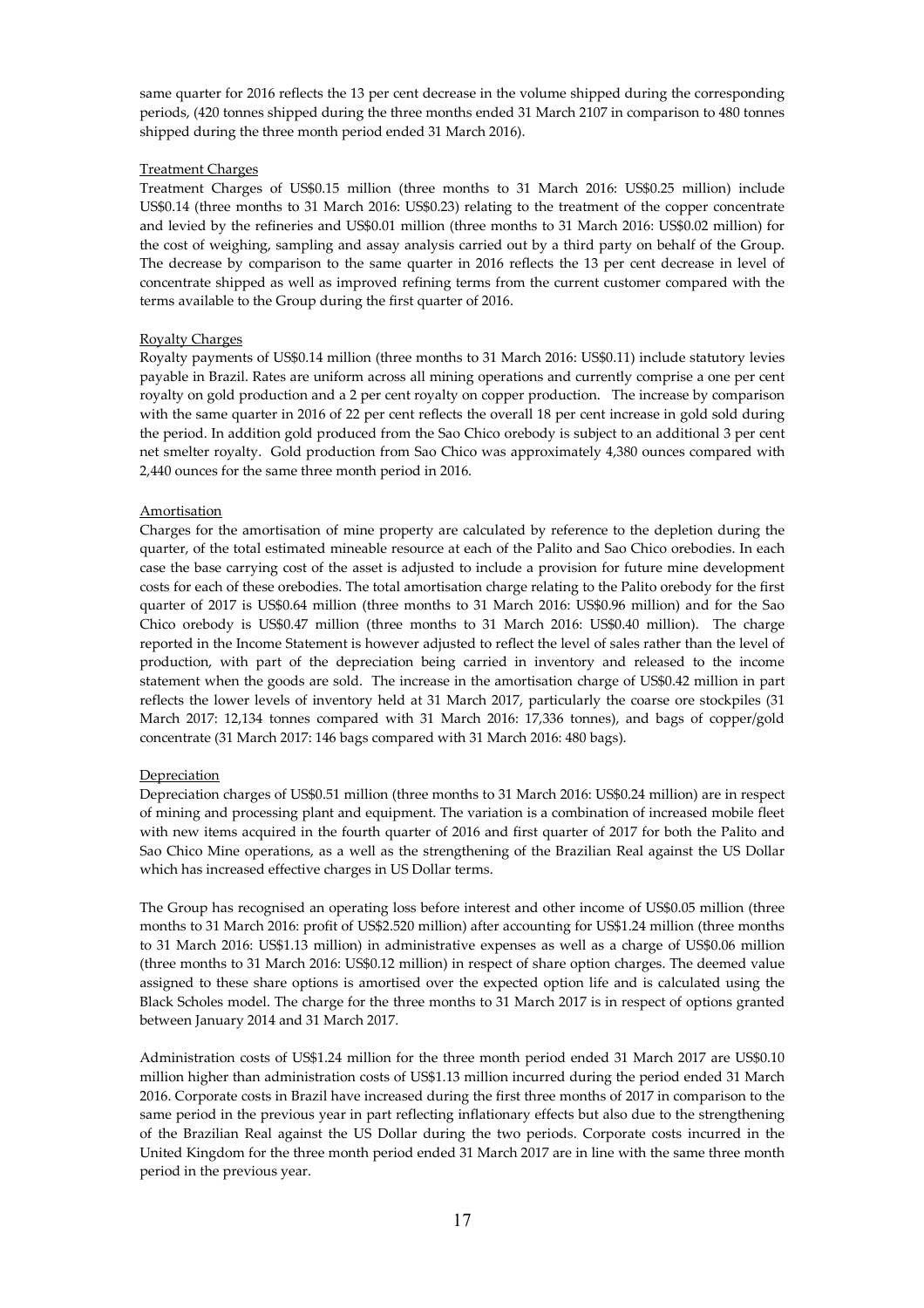same quarter for 2016 reflects the 13 per cent decrease in the volume shipped during the corresponding periods, (420 tonnes shipped during the three months ended 31 March 2107 in comparison to 480 tonnes shipped during the three month period ended 31 March 2016).

## Treatment Charges

Treatment Charges of US\$0.15 million (three months to 31 March 2016: US\$0.25 million) include US\$0.14 (three months to 31 March 2016: US\$0.23) relating to the treatment of the copper concentrate and levied by the refineries and US\$0.01 million (three months to 31 March 2016: US\$0.02 million) for the cost of weighing, sampling and assay analysis carried out by a third party on behalf of the Group. The decrease by comparison to the same quarter in 2016 reflects the 13 per cent decrease in level of concentrate shipped as well as improved refining terms from the current customer compared with the terms available to the Group during the first quarter of 2016.

## Royalty Charges

Royalty payments of US\$0.14 million (three months to 31 March 2016: US\$0.11) include statutory levies payable in Brazil. Rates are uniform across all mining operations and currently comprise a one per cent royalty on gold production and a 2 per cent royalty on copper production. The increase by comparison with the same quarter in 2016 of 22 per cent reflects the overall 18 per cent increase in gold sold during the period. In addition gold produced from the Sao Chico orebody is subject to an additional 3 per cent net smelter royalty. Gold production from Sao Chico was approximately 4,380 ounces compared with 2,440 ounces for the same three month period in 2016.

## Amortisation

Charges for the amortisation of mine property are calculated by reference to the depletion during the quarter, of the total estimated mineable resource at each of the Palito and Sao Chico orebodies. In each case the base carrying cost of the asset is adjusted to include a provision for future mine development costs for each of these orebodies. The total amortisation charge relating to the Palito orebody for the first quarter of 2017 is US\$0.64 million (three months to 31 March 2016: US\$0.96 million) and for the Sao Chico orebody is US\$0.47 million (three months to 31 March 2016: US\$0.40 million). The charge reported in the Income Statement is however adjusted to reflect the level of sales rather than the level of production, with part of the depreciation being carried in inventory and released to the income statement when the goods are sold. The increase in the amortisation charge of US\$0.42 million in part reflects the lower levels of inventory held at 31 March 2017, particularly the coarse ore stockpiles (31 March 2017: 12,134 tonnes compared with 31 March 2016: 17,336 tonnes), and bags of copper/gold concentrate (31 March 2017: 146 bags compared with 31 March 2016: 480 bags).

### Depreciation

Depreciation charges of US\$0.51 million (three months to 31 March 2016: US\$0.24 million) are in respect of mining and processing plant and equipment. The variation is a combination of increased mobile fleet with new items acquired in the fourth quarter of 2016 and first quarter of 2017 for both the Palito and Sao Chico Mine operations, as a well as the strengthening of the Brazilian Real against the US Dollar which has increased effective charges in US Dollar terms.

The Group has recognised an operating loss before interest and other income of US\$0.05 million (three months to 31 March 2016: profit of US\$2.520 million) after accounting for US\$1.24 million (three months to 31 March 2016: US\$1.13 million) in administrative expenses as well as a charge of US\$0.06 million (three months to 31 March 2016: US\$0.12 million) in respect of share option charges. The deemed value assigned to these share options is amortised over the expected option life and is calculated using the Black Scholes model. The charge for the three months to 31 March 2017 is in respect of options granted between January 2014 and 31 March 2017.

Administration costs of US\$1.24 million for the three month period ended 31 March 2017 are US\$0.10 million higher than administration costs of US\$1.13 million incurred during the period ended 31 March 2016. Corporate costs in Brazil have increased during the first three months of 2017 in comparison to the same period in the previous year in part reflecting inflationary effects but also due to the strengthening of the Brazilian Real against the US Dollar during the two periods. Corporate costs incurred in the United Kingdom for the three month period ended 31 March 2017 are in line with the same three month period in the previous year.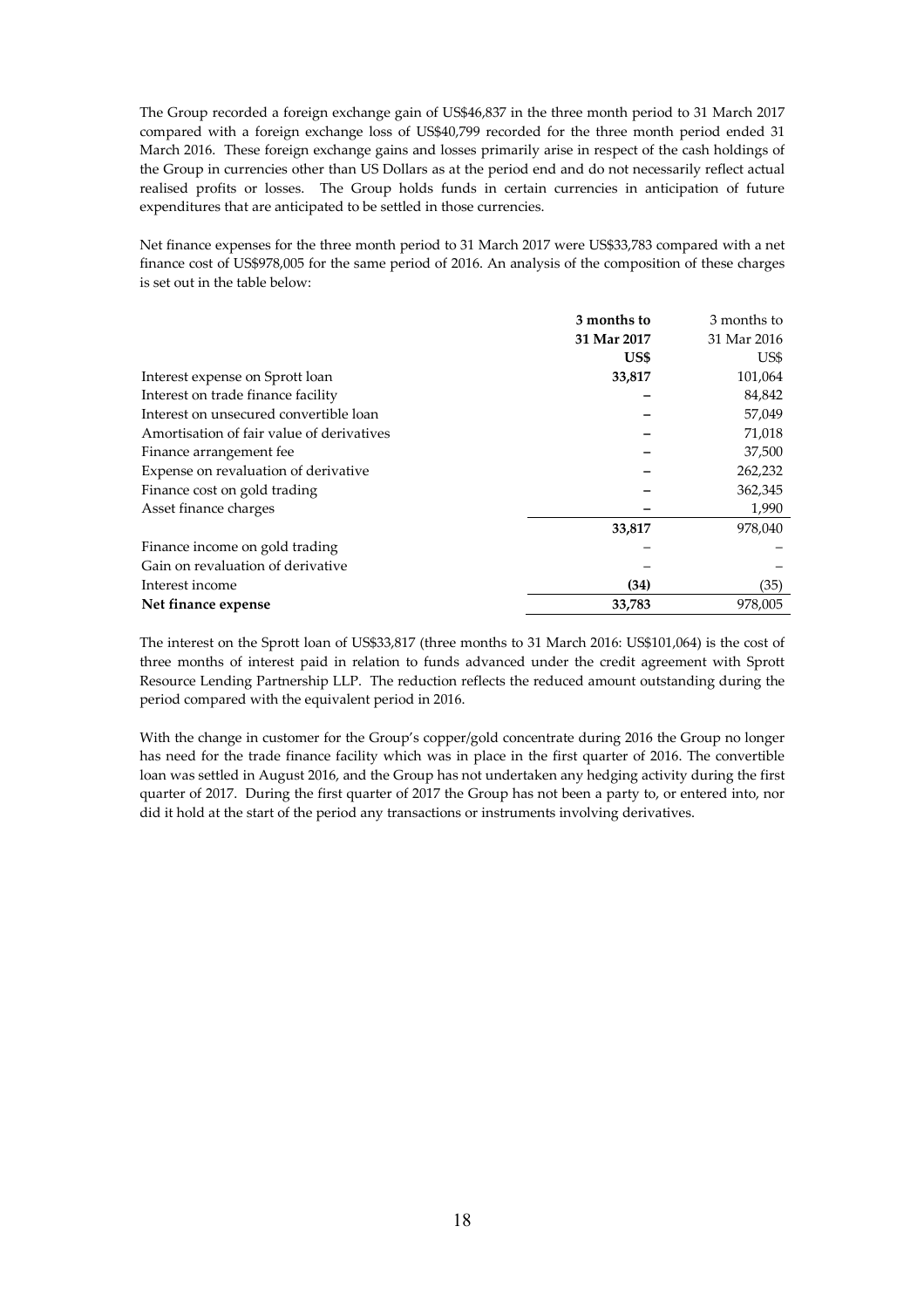The Group recorded a foreign exchange gain of US\$46,837 in the three month period to 31 March 2017 compared with a foreign exchange loss of US\$40,799 recorded for the three month period ended 31 March 2016. These foreign exchange gains and losses primarily arise in respect of the cash holdings of the Group in currencies other than US Dollars as at the period end and do not necessarily reflect actual realised profits or losses. The Group holds funds in certain currencies in anticipation of future expenditures that are anticipated to be settled in those currencies.

Net finance expenses for the three month period to 31 March 2017 were US\$33,783 compared with a net finance cost of US\$978,005 for the same period of 2016. An analysis of the composition of these charges is set out in the table below:

|                                           | 3 months to | 3 months to |
|-------------------------------------------|-------------|-------------|
|                                           | 31 Mar 2017 | 31 Mar 2016 |
|                                           | US\$        | US\$        |
| Interest expense on Sprott loan           | 33,817      | 101,064     |
| Interest on trade finance facility        |             | 84,842      |
| Interest on unsecured convertible loan    |             | 57,049      |
| Amortisation of fair value of derivatives |             | 71,018      |
| Finance arrangement fee                   |             | 37,500      |
| Expense on revaluation of derivative      |             | 262,232     |
| Finance cost on gold trading              |             | 362,345     |
| Asset finance charges                     |             | 1,990       |
|                                           | 33,817      | 978,040     |
| Finance income on gold trading            |             |             |
| Gain on revaluation of derivative         |             |             |
| Interest income                           | (34)        | (35)        |
| Net finance expense                       | 33,783      | 978.005     |

The interest on the Sprott loan of US\$33,817 (three months to 31 March 2016: US\$101,064) is the cost of three months of interest paid in relation to funds advanced under the credit agreement with Sprott Resource Lending Partnership LLP. The reduction reflects the reduced amount outstanding during the period compared with the equivalent period in 2016.

With the change in customer for the Group's copper/gold concentrate during 2016 the Group no longer has need for the trade finance facility which was in place in the first quarter of 2016. The convertible loan was settled in August 2016, and the Group has not undertaken any hedging activity during the first quarter of 2017. During the first quarter of 2017 the Group has not been a party to, or entered into, nor did it hold at the start of the period any transactions or instruments involving derivatives.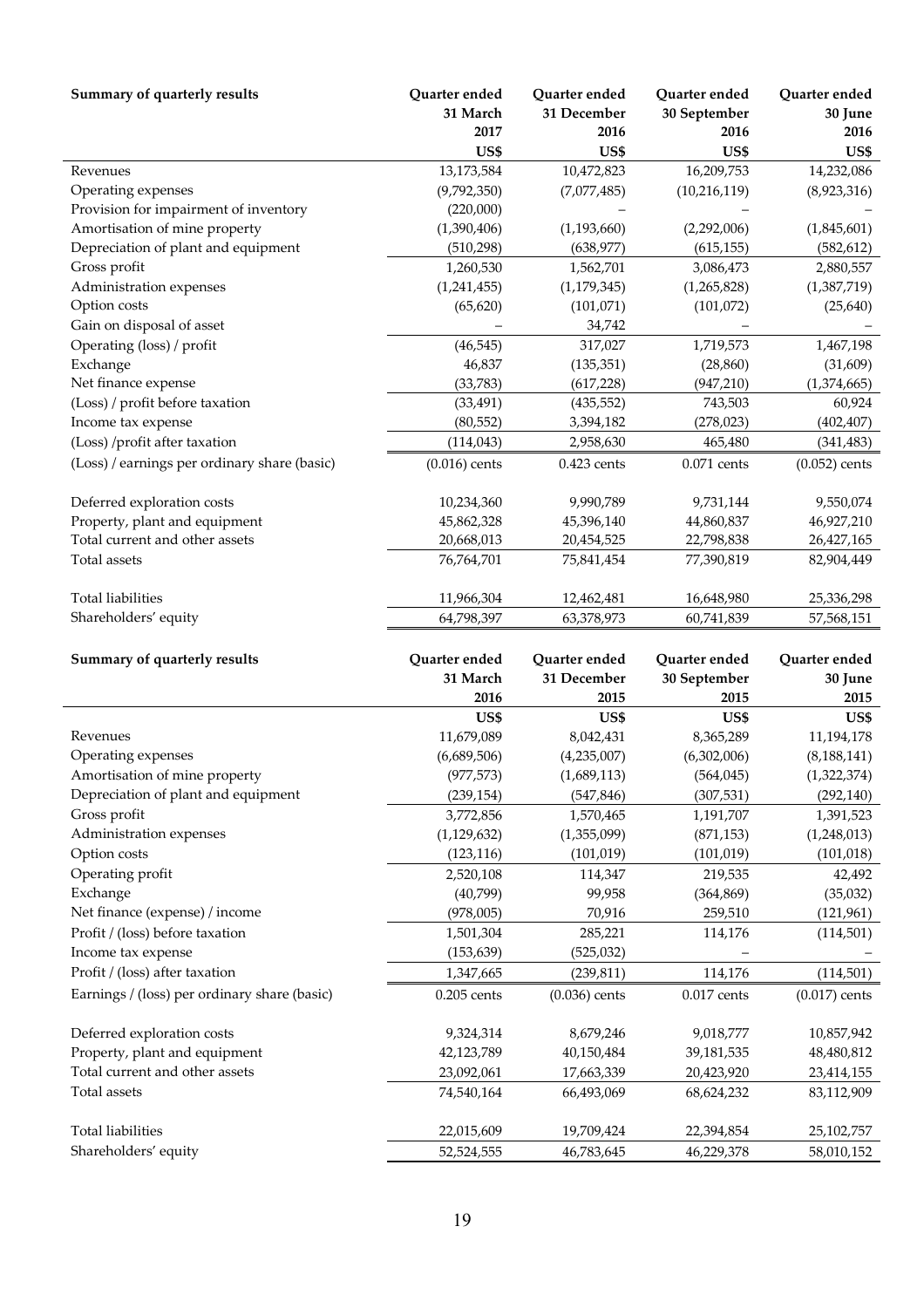| Summary of quarterly results                 | Quarter ended   | Quarter ended   | Quarter ended  | Quarter ended   |
|----------------------------------------------|-----------------|-----------------|----------------|-----------------|
|                                              | 31 March        | 31 December     | 30 September   | 30 June         |
|                                              | 2017            | 2016            | 2016           | 2016            |
|                                              | US\$            | US\$            | US\$           | US\$            |
| Revenues                                     | 13,173,584      | 10,472,823      | 16,209,753     | 14,232,086      |
| Operating expenses                           | (9,792,350)     | (7,077,485)     | (10, 216, 119) | (8,923,316)     |
| Provision for impairment of inventory        | (220,000)       |                 |                |                 |
| Amortisation of mine property                | (1,390,406)     | (1, 193, 660)   | (2,292,006)    | (1,845,601)     |
| Depreciation of plant and equipment          | (510, 298)      | (638, 977)      | (615, 155)     | (582, 612)      |
| Gross profit                                 | 1,260,530       | 1,562,701       | 3,086,473      | 2,880,557       |
| Administration expenses                      | (1,241,455)     | (1, 179, 345)   | (1,265,828)    | (1,387,719)     |
| Option costs                                 | (65, 620)       | (101, 071)      | (101, 072)     | (25, 640)       |
| Gain on disposal of asset                    |                 | 34,742          |                |                 |
| Operating (loss) / profit                    | (46, 545)       | 317,027         | 1,719,573      | 1,467,198       |
| Exchange                                     | 46,837          | (135, 351)      | (28, 860)      | (31,609)        |
| Net finance expense                          | (33, 783)       | (617, 228)      | (947, 210)     | (1,374,665)     |
| (Loss) / profit before taxation              | (33, 491)       | (435, 552)      | 743,503        | 60,924          |
| Income tax expense                           | (80, 552)       | 3,394,182       | (278, 023)     | (402, 407)      |
| (Loss) /profit after taxation                | (114, 043)      | 2,958,630       | 465,480        | (341, 483)      |
| (Loss) / earnings per ordinary share (basic) | $(0.016)$ cents | $0.423$ cents   | $0.071$ cents  | $(0.052)$ cents |
| Deferred exploration costs                   | 10,234,360      | 9,990,789       | 9,731,144      | 9,550,074       |
| Property, plant and equipment                | 45,862,328      | 45,396,140      | 44,860,837     | 46,927,210      |
| Total current and other assets               | 20,668,013      | 20,454,525      | 22,798,838     | 26,427,165      |
| Total assets                                 | 76,764,701      | 75,841,454      | 77,390,819     | 82,904,449      |
|                                              |                 |                 |                |                 |
| <b>Total liabilities</b>                     | 11,966,304      | 12,462,481      | 16,648,980     | 25,336,298      |
| Shareholders' equity                         | 64,798,397      | 63,378,973      | 60,741,839     | 57,568,151      |
|                                              |                 |                 |                |                 |
| Summary of quarterly results                 | Quarter ended   | Quarter ended   | Quarter ended  | Quarter ended   |
|                                              | 31 March        | 31 December     | 30 September   | 30 June         |
|                                              | 2016            | 2015            | 2015           | 2015            |
|                                              | US\$            | US\$            | US\$           | US\$            |
| Revenues                                     | 11,679,089      | 8,042,431       | 8,365,289      | 11,194,178      |
| Operating expenses                           | (6,689,506)     | (4,235,007)     | (6,302,006)    | (8, 188, 141)   |
| Amortisation of mine property                | (977, 573)      | (1,689,113)     | (564, 045)     | (1,322,374)     |
| Depreciation of plant and equipment          | (239, 154)      | (547, 846)      | (307, 531)     | (292, 140)      |
| Gross profit                                 | 3,772,856       | 1,570,465       | 1,191,707      | 1,391,523       |
| Administration expenses                      | (1, 129, 632)   | (1,355,099)     | (871, 153)     | (1,248,013)     |
| Option costs                                 | (123, 116)      | (101, 019)      | (101, 019)     | (101, 018)      |
| Operating profit                             | 2,520,108       | 114,347         | 219,535        | 42,492          |
| Exchange                                     | (40,799)        | 99,958          | (364, 869)     | (35,032)        |
| Net finance (expense) / income               | (978,005)       | 70,916          | 259,510        | (121, 961)      |
| Profit / (loss) before taxation              | 1,501,304       | 285,221         | 114,176        | (114, 501)      |
| Income tax expense                           | (153, 639)      | (525, 032)      |                |                 |
| Profit / (loss) after taxation               | 1,347,665       | (239, 811)      | 114,176        | (114, 501)      |
| Earnings / (loss) per ordinary share (basic) | $0.205$ cents   | $(0.036)$ cents | $0.017$ cents  | $(0.017)$ cents |
|                                              |                 |                 |                |                 |
| Deferred exploration costs                   | 9,324,314       | 8,679,246       | 9,018,777      | 10,857,942      |
| Property, plant and equipment                | 42,123,789      | 40,150,484      | 39,181,535     | 48,480,812      |
| Total current and other assets               | 23,092,061      | 17,663,339      | 20,423,920     | 23,414,155      |
| Total assets                                 | 74,540,164      | 66,493,069      | 68,624,232     | 83,112,909      |
| Total liabilities                            | 22,015,609      | 19,709,424      | 22,394,854     | 25,102,757      |
| Shareholders' equity                         | 52,524,555      | 46,783,645      | 46,229,378     | 58,010,152      |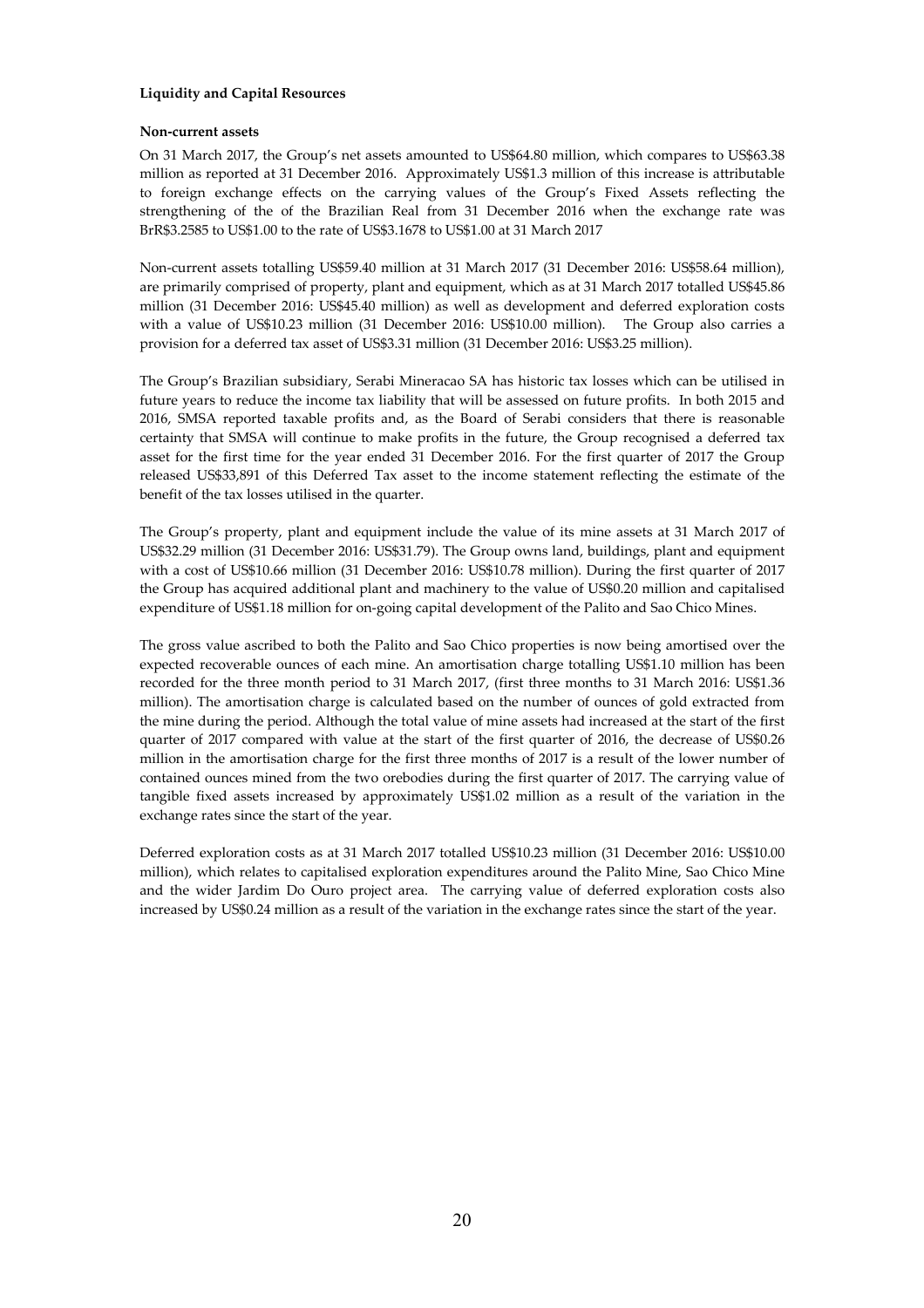## **Liquidity and Capital Resources**

## **Non-current assets**

On 31 March 2017, the Group's net assets amounted to US\$64.80 million, which compares to US\$63.38 million as reported at 31 December 2016. Approximately US\$1.3 million of this increase is attributable to foreign exchange effects on the carrying values of the Group's Fixed Assets reflecting the strengthening of the of the Brazilian Real from 31 December 2016 when the exchange rate was BrR\$3.2585 to US\$1.00 to the rate of US\$3.1678 to US\$1.00 at 31 March 2017

Non-current assets totalling US\$59.40 million at 31 March 2017 (31 December 2016: US\$58.64 million), are primarily comprised of property, plant and equipment, which as at 31 March 2017 totalled US\$45.86 million (31 December 2016: US\$45.40 million) as well as development and deferred exploration costs with a value of US\$10.23 million (31 December 2016: US\$10.00 million). The Group also carries a provision for a deferred tax asset of US\$3.31 million (31 December 2016: US\$3.25 million).

The Group's Brazilian subsidiary, Serabi Mineracao SA has historic tax losses which can be utilised in future years to reduce the income tax liability that will be assessed on future profits. In both 2015 and 2016, SMSA reported taxable profits and, as the Board of Serabi considers that there is reasonable certainty that SMSA will continue to make profits in the future, the Group recognised a deferred tax asset for the first time for the year ended 31 December 2016. For the first quarter of 2017 the Group released US\$33,891 of this Deferred Tax asset to the income statement reflecting the estimate of the benefit of the tax losses utilised in the quarter.

The Group's property, plant and equipment include the value of its mine assets at 31 March 2017 of US\$32.29 million (31 December 2016: US\$31.79). The Group owns land, buildings, plant and equipment with a cost of US\$10.66 million (31 December 2016: US\$10.78 million). During the first quarter of 2017 the Group has acquired additional plant and machinery to the value of US\$0.20 million and capitalised expenditure of US\$1.18 million for on-going capital development of the Palito and Sao Chico Mines.

The gross value ascribed to both the Palito and Sao Chico properties is now being amortised over the expected recoverable ounces of each mine. An amortisation charge totalling US\$1.10 million has been recorded for the three month period to 31 March 2017, (first three months to 31 March 2016: US\$1.36 million). The amortisation charge is calculated based on the number of ounces of gold extracted from the mine during the period. Although the total value of mine assets had increased at the start of the first quarter of 2017 compared with value at the start of the first quarter of 2016, the decrease of US\$0.26 million in the amortisation charge for the first three months of 2017 is a result of the lower number of contained ounces mined from the two orebodies during the first quarter of 2017. The carrying value of tangible fixed assets increased by approximately US\$1.02 million as a result of the variation in the exchange rates since the start of the year.

Deferred exploration costs as at 31 March 2017 totalled US\$10.23 million (31 December 2016: US\$10.00 million), which relates to capitalised exploration expenditures around the Palito Mine, Sao Chico Mine and the wider Jardim Do Ouro project area. The carrying value of deferred exploration costs also increased by US\$0.24 million as a result of the variation in the exchange rates since the start of the year.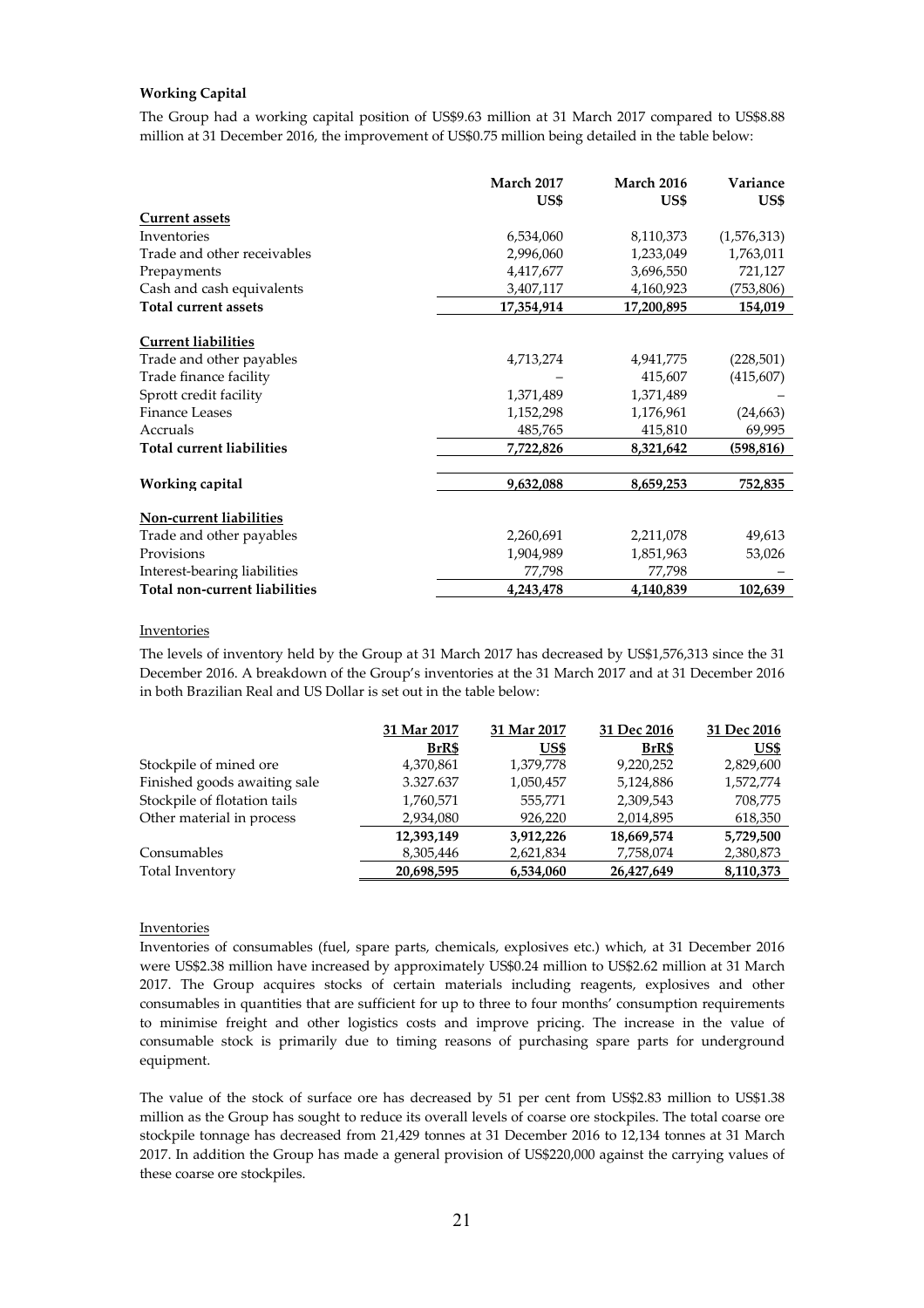# **Working Capital**

The Group had a working capital position of US\$9.63 million at 31 March 2017 compared to US\$8.88 million at 31 December 2016, the improvement of US\$0.75 million being detailed in the table below:

|                                  | <b>March 2017</b> | March 2016 | Variance    |
|----------------------------------|-------------------|------------|-------------|
|                                  | US\$              | US\$       | US\$        |
| <b>Current assets</b>            |                   |            |             |
| Inventories                      | 6,534,060         | 8,110,373  | (1,576,313) |
| Trade and other receivables      | 2,996,060         | 1,233,049  | 1,763,011   |
| Prepayments                      | 4,417,677         | 3,696,550  | 721,127     |
| Cash and cash equivalents        | 3,407,117         | 4,160,923  | (753,806)   |
| <b>Total current assets</b>      | 17,354,914        | 17,200,895 | 154,019     |
| <b>Current liabilities</b>       |                   |            |             |
| Trade and other payables         | 4,713,274         | 4,941,775  | (228, 501)  |
| Trade finance facility           |                   | 415,607    | (415,607)   |
| Sprott credit facility           | 1,371,489         | 1,371,489  |             |
| <b>Finance Leases</b>            | 1,152,298         | 1,176,961  | (24, 663)   |
| Accruals                         | 485,765           | 415,810    | 69,995      |
| <b>Total current liabilities</b> | 7,722,826         | 8,321,642  | (598, 816)  |
| Working capital                  | 9,632,088         | 8,659,253  | 752,835     |
| Non-current liabilities          |                   |            |             |
| Trade and other payables         | 2,260,691         | 2,211,078  | 49,613      |
| Provisions                       | 1,904,989         | 1,851,963  | 53,026      |
| Interest-bearing liabilities     | 77,798            | 77,798     |             |
| Total non-current liabilities    | 4,243,478         | 4,140,839  | 102,639     |

#### **Inventories**

The levels of inventory held by the Group at 31 March 2017 has decreased by US\$1,576,313 since the 31 December 2016. A breakdown of the Group's inventories at the 31 March 2017 and at 31 December 2016 in both Brazilian Real and US Dollar is set out in the table below:

|                              | 31 Mar 2017 | 31 Mar 2017 | 31 Dec 2016 | 31 Dec 2016 |
|------------------------------|-------------|-------------|-------------|-------------|
|                              | BrR\$       | US\$        | BrR\$       | US\$        |
| Stockpile of mined ore       | 4,370,861   | 1,379,778   | 9,220,252   | 2,829,600   |
| Finished goods awaiting sale | 3.327.637   | 1,050,457   | 5,124,886   | 1,572,774   |
| Stockpile of flotation tails | 1,760,571   | 555,771     | 2,309,543   | 708,775     |
| Other material in process    | 2,934,080   | 926,220     | 2,014,895   | 618,350     |
|                              | 12,393,149  | 3.912.226   | 18,669,574  | 5,729,500   |
| Consumables                  | 8,305,446   | 2,621,834   | 7,758,074   | 2,380,873   |
| Total Inventory              | 20,698,595  | 6,534,060   | 26,427,649  | 8,110,373   |

## Inventories

Inventories of consumables (fuel, spare parts, chemicals, explosives etc.) which, at 31 December 2016 were US\$2.38 million have increased by approximately US\$0.24 million to US\$2.62 million at 31 March 2017. The Group acquires stocks of certain materials including reagents, explosives and other consumables in quantities that are sufficient for up to three to four months' consumption requirements to minimise freight and other logistics costs and improve pricing. The increase in the value of consumable stock is primarily due to timing reasons of purchasing spare parts for underground equipment.

The value of the stock of surface ore has decreased by 51 per cent from US\$2.83 million to US\$1.38 million as the Group has sought to reduce its overall levels of coarse ore stockpiles. The total coarse ore stockpile tonnage has decreased from 21,429 tonnes at 31 December 2016 to 12,134 tonnes at 31 March 2017. In addition the Group has made a general provision of US\$220,000 against the carrying values of these coarse ore stockpiles.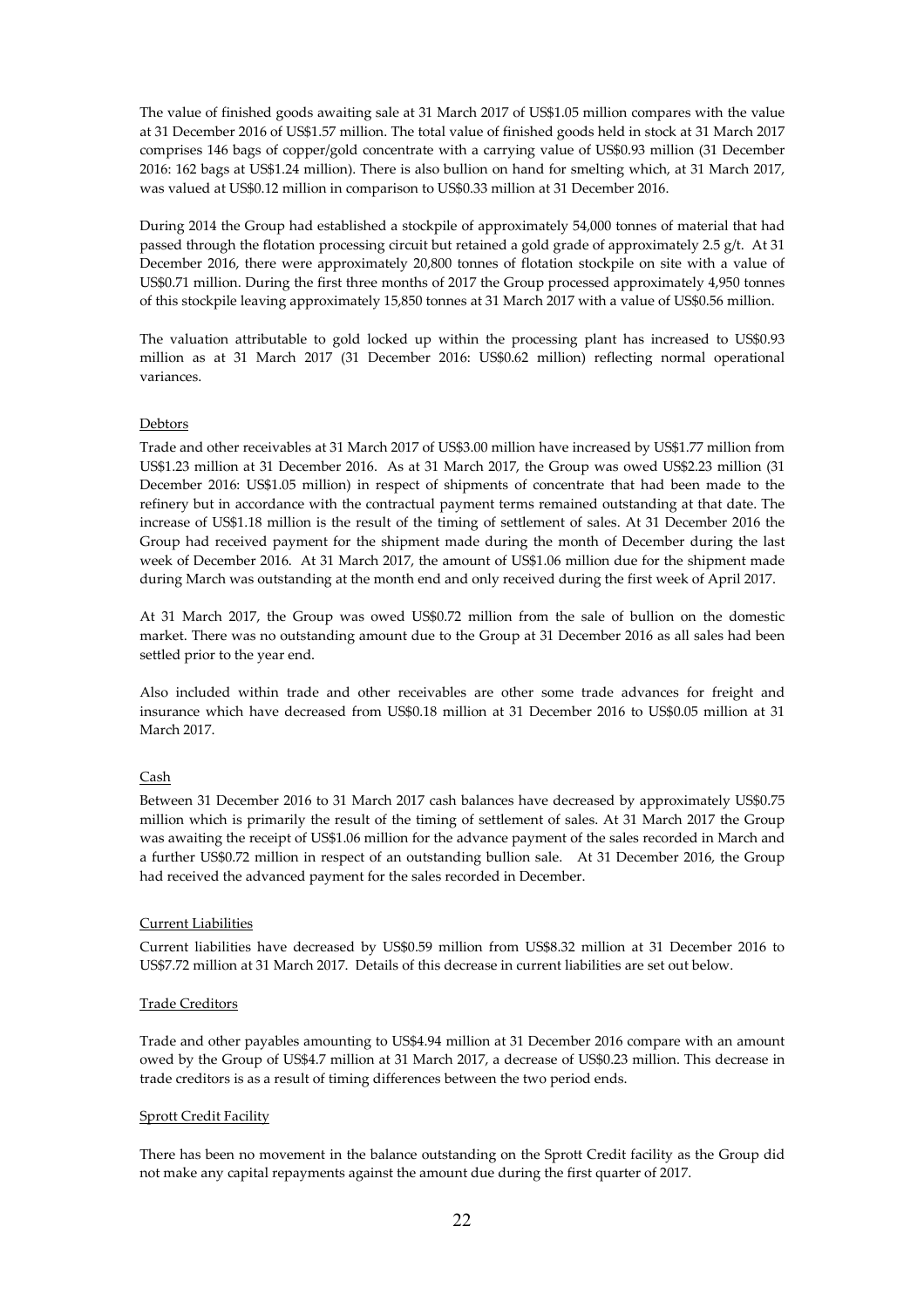The value of finished goods awaiting sale at 31 March 2017 of US\$1.05 million compares with the value at 31 December 2016 of US\$1.57 million. The total value of finished goods held in stock at 31 March 2017 comprises 146 bags of copper/gold concentrate with a carrying value of US\$0.93 million (31 December 2016: 162 bags at US\$1.24 million). There is also bullion on hand for smelting which, at 31 March 2017, was valued at US\$0.12 million in comparison to US\$0.33 million at 31 December 2016.

During 2014 the Group had established a stockpile of approximately 54,000 tonnes of material that had passed through the flotation processing circuit but retained a gold grade of approximately 2.5 g/t. At 31 December 2016, there were approximately 20,800 tonnes of flotation stockpile on site with a value of US\$0.71 million. During the first three months of 2017 the Group processed approximately 4,950 tonnes of this stockpile leaving approximately 15,850 tonnes at 31 March 2017 with a value of US\$0.56 million.

The valuation attributable to gold locked up within the processing plant has increased to US\$0.93 million as at 31 March 2017 (31 December 2016: US\$0.62 million) reflecting normal operational variances.

## Debtors

Trade and other receivables at 31 March 2017 of US\$3.00 million have increased by US\$1.77 million from US\$1.23 million at 31 December 2016. As at 31 March 2017, the Group was owed US\$2.23 million (31 December 2016: US\$1.05 million) in respect of shipments of concentrate that had been made to the refinery but in accordance with the contractual payment terms remained outstanding at that date. The increase of US\$1.18 million is the result of the timing of settlement of sales. At 31 December 2016 the Group had received payment for the shipment made during the month of December during the last week of December 2016. At 31 March 2017, the amount of US\$1.06 million due for the shipment made during March was outstanding at the month end and only received during the first week of April 2017.

At 31 March 2017, the Group was owed US\$0.72 million from the sale of bullion on the domestic market. There was no outstanding amount due to the Group at 31 December 2016 as all sales had been settled prior to the year end.

Also included within trade and other receivables are other some trade advances for freight and insurance which have decreased from US\$0.18 million at 31 December 2016 to US\$0.05 million at 31 March 2017.

## Cash

Between 31 December 2016 to 31 March 2017 cash balances have decreased by approximately US\$0.75 million which is primarily the result of the timing of settlement of sales. At 31 March 2017 the Group was awaiting the receipt of US\$1.06 million for the advance payment of the sales recorded in March and a further US\$0.72 million in respect of an outstanding bullion sale. At 31 December 2016, the Group had received the advanced payment for the sales recorded in December.

# Current Liabilities

Current liabilities have decreased by US\$0.59 million from US\$8.32 million at 31 December 2016 to US\$7.72 million at 31 March 2017. Details of this decrease in current liabilities are set out below.

### Trade Creditors

Trade and other payables amounting to US\$4.94 million at 31 December 2016 compare with an amount owed by the Group of US\$4.7 million at 31 March 2017, a decrease of US\$0.23 million. This decrease in trade creditors is as a result of timing differences between the two period ends.

### Sprott Credit Facility

There has been no movement in the balance outstanding on the Sprott Credit facility as the Group did not make any capital repayments against the amount due during the first quarter of 2017.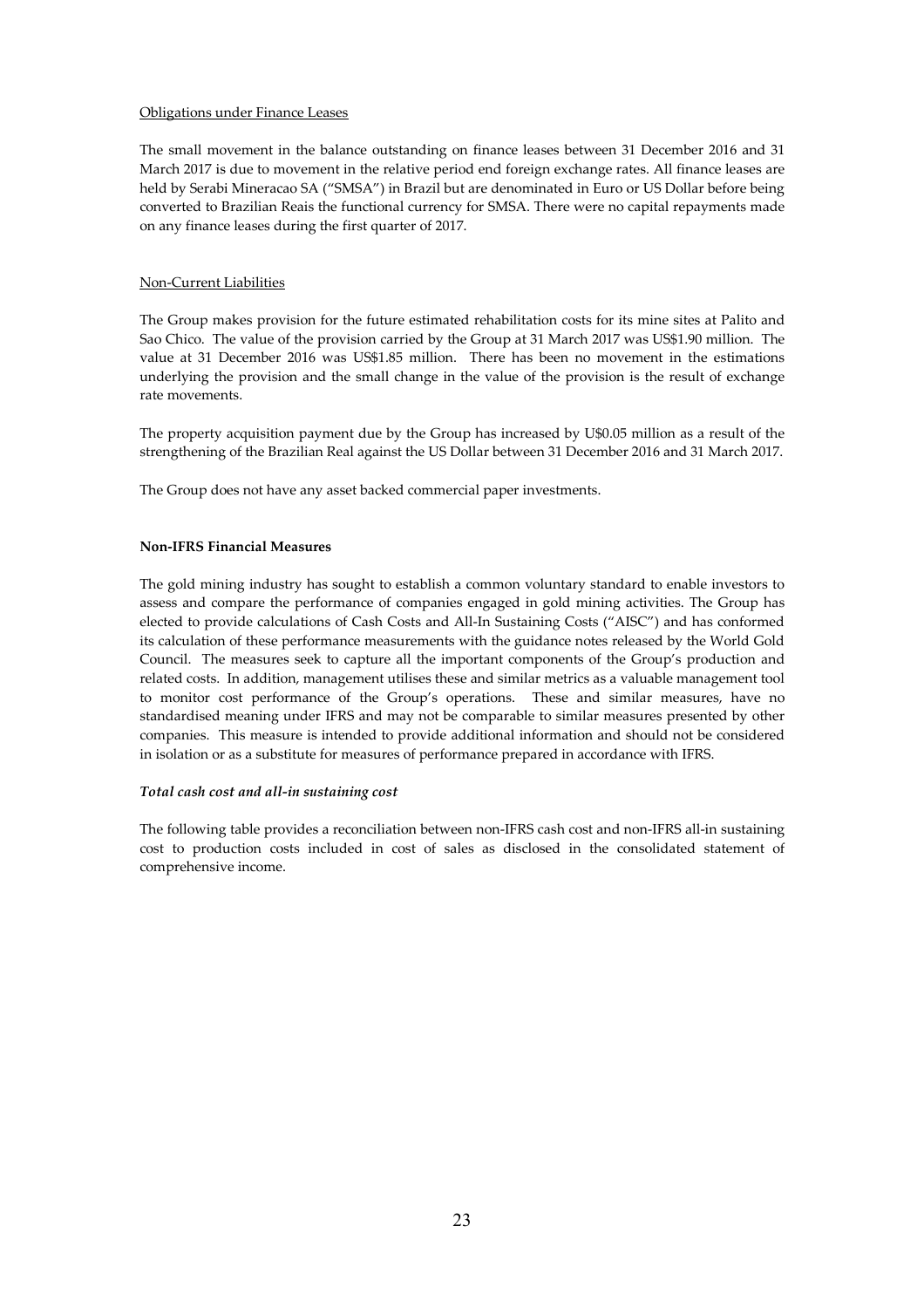### Obligations under Finance Leases

The small movement in the balance outstanding on finance leases between 31 December 2016 and 31 March 2017 is due to movement in the relative period end foreign exchange rates. All finance leases are held by Serabi Mineracao SA ("SMSA") in Brazil but are denominated in Euro or US Dollar before being converted to Brazilian Reais the functional currency for SMSA. There were no capital repayments made on any finance leases during the first quarter of 2017.

## Non-Current Liabilities

The Group makes provision for the future estimated rehabilitation costs for its mine sites at Palito and Sao Chico. The value of the provision carried by the Group at 31 March 2017 was US\$1.90 million. The value at 31 December 2016 was US\$1.85 million. There has been no movement in the estimations underlying the provision and the small change in the value of the provision is the result of exchange rate movements.

The property acquisition payment due by the Group has increased by U\$0.05 million as a result of the strengthening of the Brazilian Real against the US Dollar between 31 December 2016 and 31 March 2017.

The Group does not have any asset backed commercial paper investments.

## **Non-IFRS Financial Measures**

The gold mining industry has sought to establish a common voluntary standard to enable investors to assess and compare the performance of companies engaged in gold mining activities. The Group has elected to provide calculations of Cash Costs and All-In Sustaining Costs ("AISC") and has conformed its calculation of these performance measurements with the guidance notes released by the World Gold Council. The measures seek to capture all the important components of the Group's production and related costs. In addition, management utilises these and similar metrics as a valuable management tool to monitor cost performance of the Group's operations. These and similar measures, have no standardised meaning under IFRS and may not be comparable to similar measures presented by other companies. This measure is intended to provide additional information and should not be considered in isolation or as a substitute for measures of performance prepared in accordance with IFRS.

# *Total cash cost and all-in sustaining cost*

The following table provides a reconciliation between non-IFRS cash cost and non-IFRS all-in sustaining cost to production costs included in cost of sales as disclosed in the consolidated statement of comprehensive income.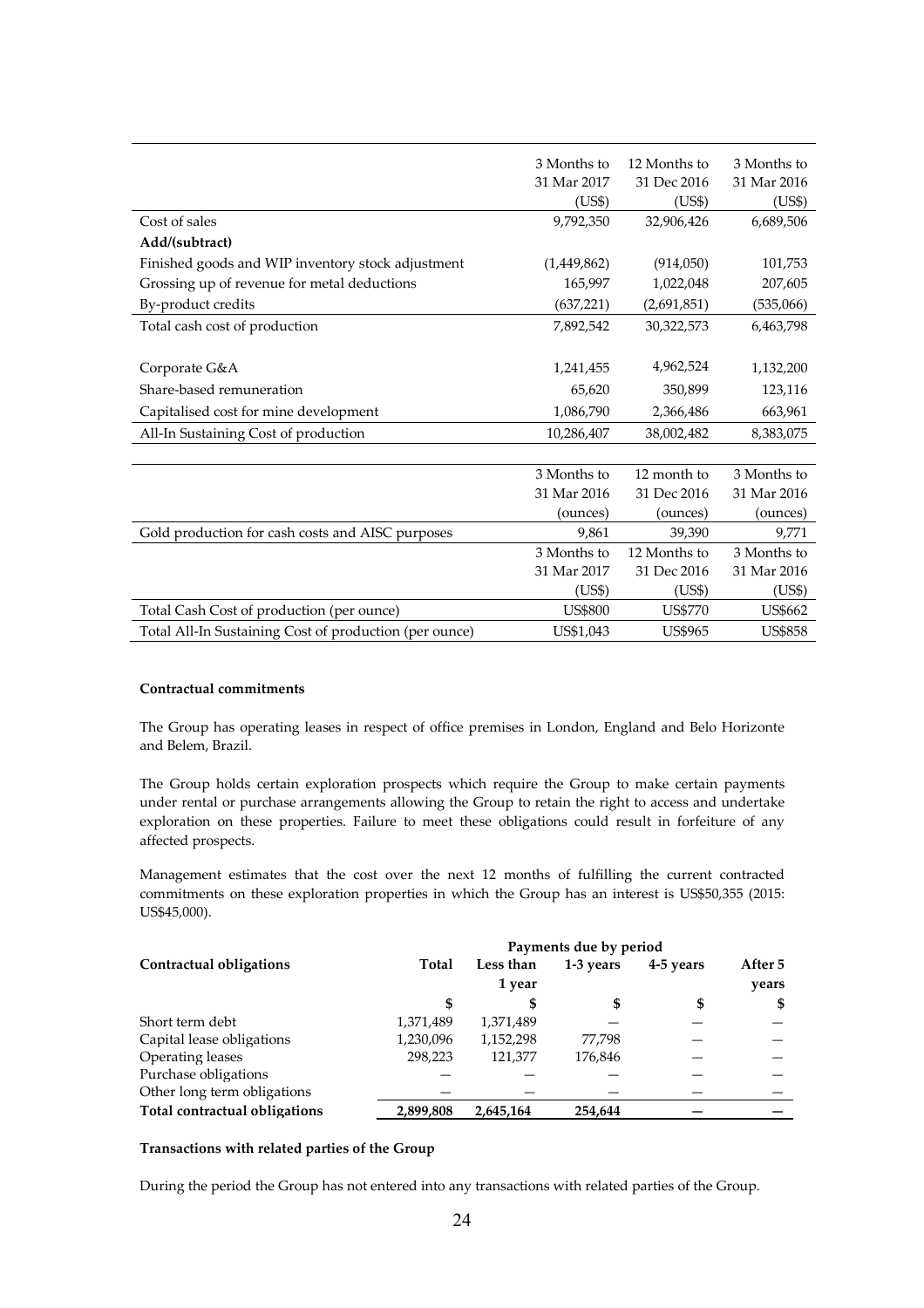|                                                        | 3 Months to    | 12 Months to   | 3 Months to    |
|--------------------------------------------------------|----------------|----------------|----------------|
|                                                        | 31 Mar 2017    | 31 Dec 2016    | 31 Mar 2016    |
|                                                        | (US\$)         | (US\$)         | (US\$)         |
| Cost of sales                                          | 9,792,350      | 32,906,426     | 6,689,506      |
| Add/(subtract)                                         |                |                |                |
| Finished goods and WIP inventory stock adjustment      | (1,449,862)    | (914,050)      | 101,753        |
| Grossing up of revenue for metal deductions            | 165,997        | 1,022,048      | 207,605        |
| By-product credits                                     | (637, 221)     | (2,691,851)    | (535,066)      |
| Total cash cost of production                          | 7,892,542      | 30,322,573     | 6,463,798      |
|                                                        |                |                |                |
| Corporate G&A                                          | 1,241,455      | 4,962,524      | 1,132,200      |
| Share-based remuneration                               | 65,620         | 350,899        | 123,116        |
| Capitalised cost for mine development                  | 1,086,790      | 2,366,486      | 663,961        |
| All-In Sustaining Cost of production                   | 10,286,407     | 38,002,482     | 8,383,075      |
|                                                        |                |                |                |
|                                                        | 3 Months to    | 12 month to    | 3 Months to    |
|                                                        | 31 Mar 2016    | 31 Dec 2016    | 31 Mar 2016    |
|                                                        | (ounces)       | (ounces)       | (ounces)       |
| Gold production for cash costs and AISC purposes       | 9,861          | 39,390         | 9,771          |
|                                                        | 3 Months to    | 12 Months to   | 3 Months to    |
|                                                        | 31 Mar 2017    | 31 Dec 2016    | 31 Mar 2016    |
|                                                        | (US\$)         | (US\$)         | (US\$)         |
| Total Cash Cost of production (per ounce)              | <b>US\$800</b> | <b>US\$770</b> | US\$662        |
| Total All-In Sustaining Cost of production (per ounce) | US\$1,043      | <b>US\$965</b> | <b>US\$858</b> |

## **Contractual commitments**

The Group has operating leases in respect of office premises in London, England and Belo Horizonte and Belem, Brazil.

The Group holds certain exploration prospects which require the Group to make certain payments under rental or purchase arrangements allowing the Group to retain the right to access and undertake exploration on these properties. Failure to meet these obligations could result in forfeiture of any affected prospects.

Management estimates that the cost over the next 12 months of fulfilling the current contracted commitments on these exploration properties in which the Group has an interest is US\$50,355 (2015: US\$45,000).

|                               | Payments due by period |           |           |           |         |
|-------------------------------|------------------------|-----------|-----------|-----------|---------|
| Contractual obligations       | Total                  | Less than | 1-3 years | 4-5 years | After 5 |
|                               |                        | 1 year    |           |           | years   |
|                               | \$                     | S         | \$        | \$        | \$      |
| Short term debt               | 1,371,489              | 1,371,489 |           |           |         |
| Capital lease obligations     | 1,230,096              | 1,152,298 | 77,798    |           |         |
| Operating leases              | 298,223                | 121,377   | 176,846   |           |         |
| Purchase obligations          |                        |           |           |           |         |
| Other long term obligations   |                        |           |           |           |         |
| Total contractual obligations | 2,899,808              | 2,645,164 | 254.644   |           |         |

# **Transactions with related parties of the Group**

During the period the Group has not entered into any transactions with related parties of the Group.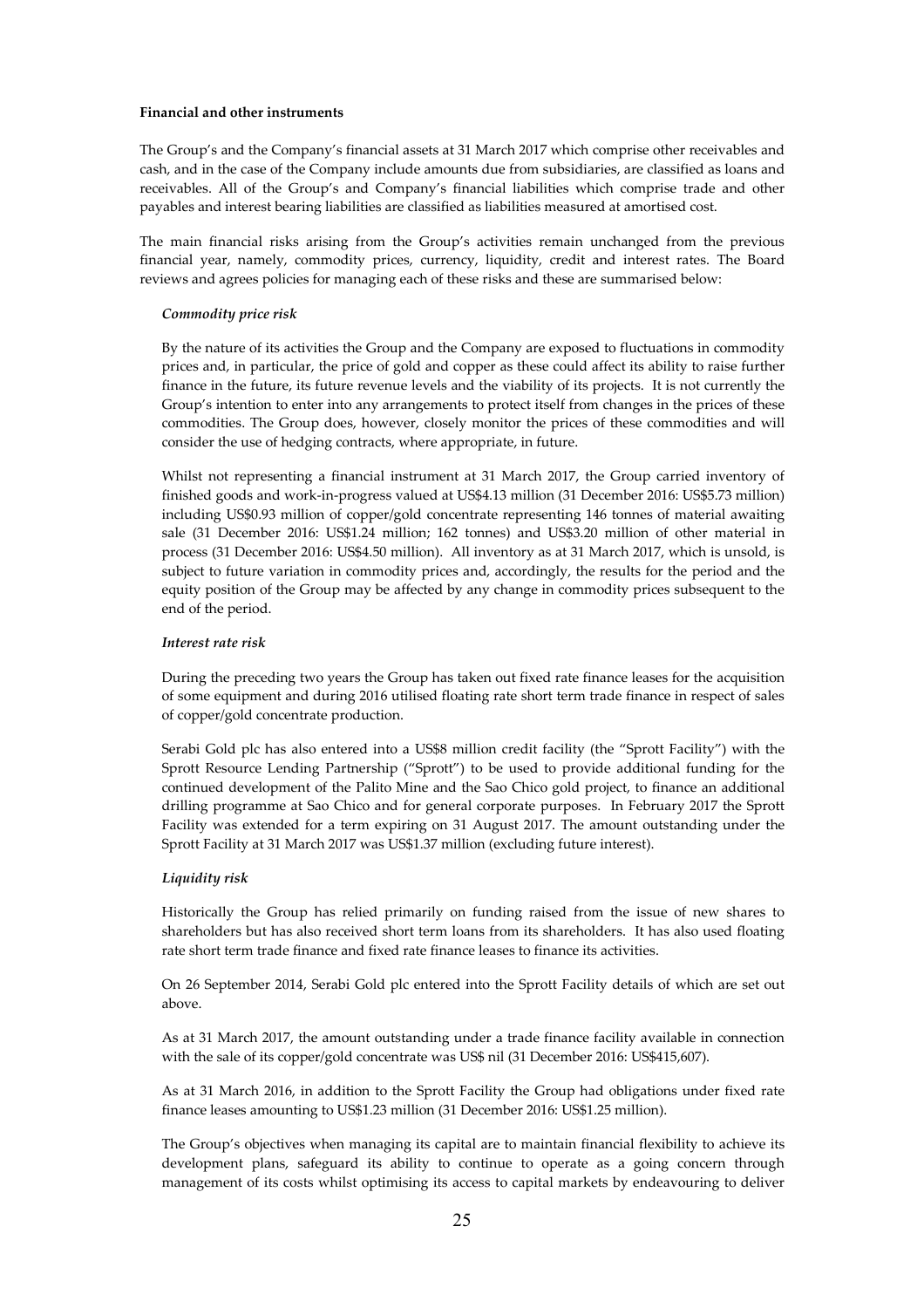### **Financial and other instruments**

The Group's and the Company's financial assets at 31 March 2017 which comprise other receivables and cash, and in the case of the Company include amounts due from subsidiaries, are classified as loans and receivables. All of the Group's and Company's financial liabilities which comprise trade and other payables and interest bearing liabilities are classified as liabilities measured at amortised cost.

The main financial risks arising from the Group's activities remain unchanged from the previous financial year, namely, commodity prices, currency, liquidity, credit and interest rates. The Board reviews and agrees policies for managing each of these risks and these are summarised below:

### *Commodity price risk*

By the nature of its activities the Group and the Company are exposed to fluctuations in commodity prices and, in particular, the price of gold and copper as these could affect its ability to raise further finance in the future, its future revenue levels and the viability of its projects. It is not currently the Group's intention to enter into any arrangements to protect itself from changes in the prices of these commodities. The Group does, however, closely monitor the prices of these commodities and will consider the use of hedging contracts, where appropriate, in future.

Whilst not representing a financial instrument at 31 March 2017, the Group carried inventory of finished goods and work-in-progress valued at US\$4.13 million (31 December 2016: US\$5.73 million) including US\$0.93 million of copper/gold concentrate representing 146 tonnes of material awaiting sale (31 December 2016: US\$1.24 million; 162 tonnes) and US\$3.20 million of other material in process (31 December 2016: US\$4.50 million). All inventory as at 31 March 2017, which is unsold, is subject to future variation in commodity prices and, accordingly, the results for the period and the equity position of the Group may be affected by any change in commodity prices subsequent to the end of the period.

## *Interest rate risk*

During the preceding two years the Group has taken out fixed rate finance leases for the acquisition of some equipment and during 2016 utilised floating rate short term trade finance in respect of sales of copper/gold concentrate production.

Serabi Gold plc has also entered into a US\$8 million credit facility (the "Sprott Facility") with the Sprott Resource Lending Partnership ("Sprott") to be used to provide additional funding for the continued development of the Palito Mine and the Sao Chico gold project, to finance an additional drilling programme at Sao Chico and for general corporate purposes. In February 2017 the Sprott Facility was extended for a term expiring on 31 August 2017. The amount outstanding under the Sprott Facility at 31 March 2017 was US\$1.37 million (excluding future interest).

### *Liquidity risk*

Historically the Group has relied primarily on funding raised from the issue of new shares to shareholders but has also received short term loans from its shareholders. It has also used floating rate short term trade finance and fixed rate finance leases to finance its activities.

On 26 September 2014, Serabi Gold plc entered into the Sprott Facility details of which are set out above.

As at 31 March 2017, the amount outstanding under a trade finance facility available in connection with the sale of its copper/gold concentrate was US\$ nil (31 December 2016: US\$415,607).

As at 31 March 2016, in addition to the Sprott Facility the Group had obligations under fixed rate finance leases amounting to US\$1.23 million (31 December 2016: US\$1.25 million).

The Group's objectives when managing its capital are to maintain financial flexibility to achieve its development plans, safeguard its ability to continue to operate as a going concern through management of its costs whilst optimising its access to capital markets by endeavouring to deliver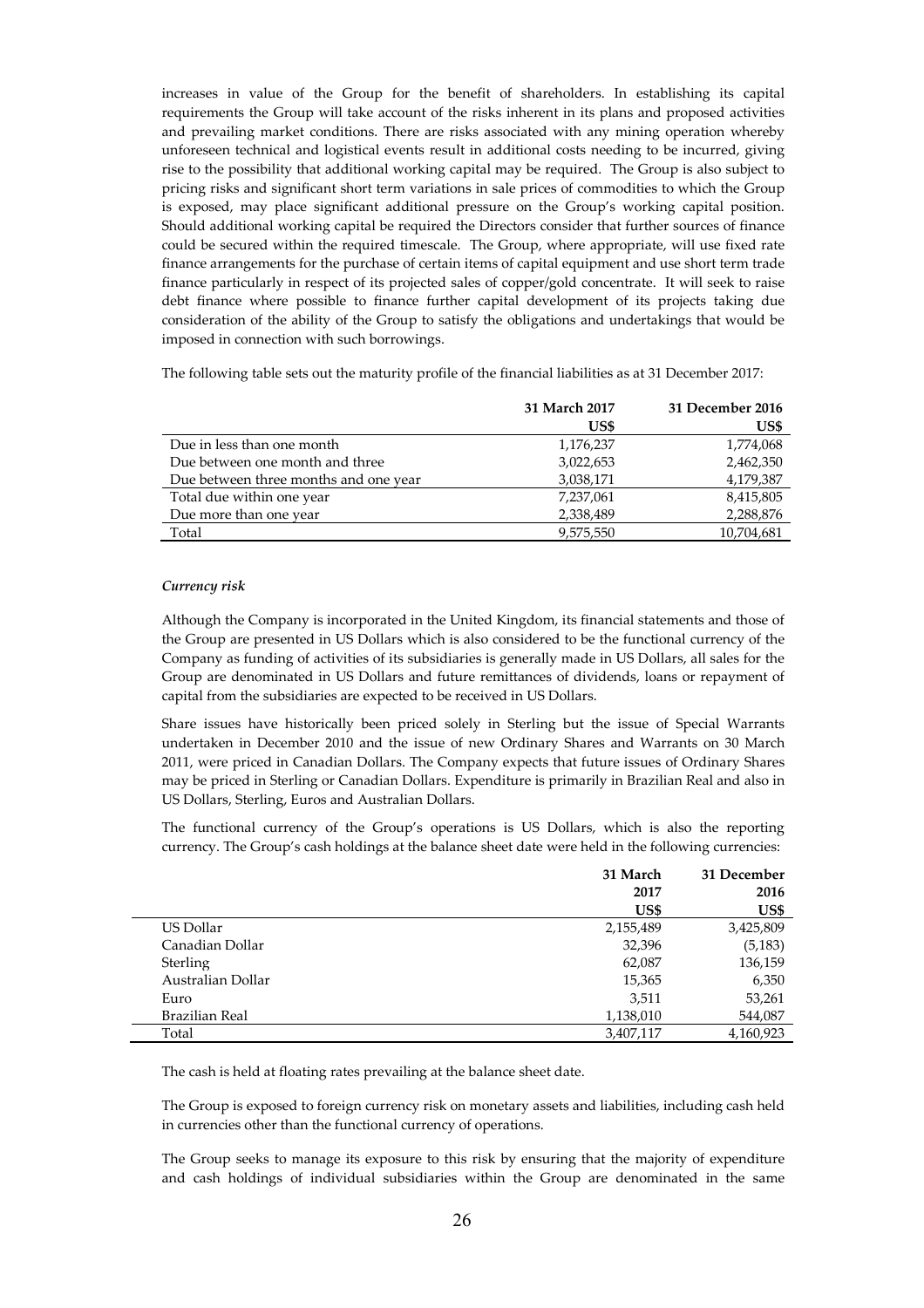increases in value of the Group for the benefit of shareholders. In establishing its capital requirements the Group will take account of the risks inherent in its plans and proposed activities and prevailing market conditions. There are risks associated with any mining operation whereby unforeseen technical and logistical events result in additional costs needing to be incurred, giving rise to the possibility that additional working capital may be required. The Group is also subject to pricing risks and significant short term variations in sale prices of commodities to which the Group is exposed, may place significant additional pressure on the Group's working capital position. Should additional working capital be required the Directors consider that further sources of finance could be secured within the required timescale. The Group, where appropriate, will use fixed rate finance arrangements for the purchase of certain items of capital equipment and use short term trade finance particularly in respect of its projected sales of copper/gold concentrate. It will seek to raise debt finance where possible to finance further capital development of its projects taking due consideration of the ability of the Group to satisfy the obligations and undertakings that would be imposed in connection with such borrowings.

The following table sets out the maturity profile of the financial liabilities as at 31 December 2017:

|                                       | 31 March 2017 | 31 December 2016 |
|---------------------------------------|---------------|------------------|
|                                       | US\$          | US\$             |
| Due in less than one month            | 1,176,237     | 1,774,068        |
| Due between one month and three       | 3,022,653     | 2,462,350        |
| Due between three months and one year | 3,038,171     | 4,179,387        |
| Total due within one year             | 7,237,061     | 8,415,805        |
| Due more than one year                | 2,338,489     | 2,288,876        |
| Total                                 | 9,575,550     | 10,704,681       |

## *Currency risk*

Although the Company is incorporated in the United Kingdom, its financial statements and those of the Group are presented in US Dollars which is also considered to be the functional currency of the Company as funding of activities of its subsidiaries is generally made in US Dollars, all sales for the Group are denominated in US Dollars and future remittances of dividends, loans or repayment of capital from the subsidiaries are expected to be received in US Dollars.

Share issues have historically been priced solely in Sterling but the issue of Special Warrants undertaken in December 2010 and the issue of new Ordinary Shares and Warrants on 30 March 2011, were priced in Canadian Dollars. The Company expects that future issues of Ordinary Shares may be priced in Sterling or Canadian Dollars. Expenditure is primarily in Brazilian Real and also in US Dollars, Sterling, Euros and Australian Dollars.

The functional currency of the Group's operations is US Dollars, which is also the reporting currency. The Group's cash holdings at the balance sheet date were held in the following currencies:

|                   | 31 March  | 31 December |
|-------------------|-----------|-------------|
|                   | 2017      | 2016        |
|                   | US\$      | US\$        |
| US Dollar         | 2,155,489 | 3,425,809   |
| Canadian Dollar   | 32,396    | (5, 183)    |
| Sterling          | 62,087    | 136,159     |
| Australian Dollar | 15,365    | 6,350       |
| Euro              | 3,511     | 53,261      |
| Brazilian Real    | 1,138,010 | 544,087     |
| Total             | 3,407,117 | 4,160,923   |

The cash is held at floating rates prevailing at the balance sheet date.

The Group is exposed to foreign currency risk on monetary assets and liabilities, including cash held in currencies other than the functional currency of operations.

The Group seeks to manage its exposure to this risk by ensuring that the majority of expenditure and cash holdings of individual subsidiaries within the Group are denominated in the same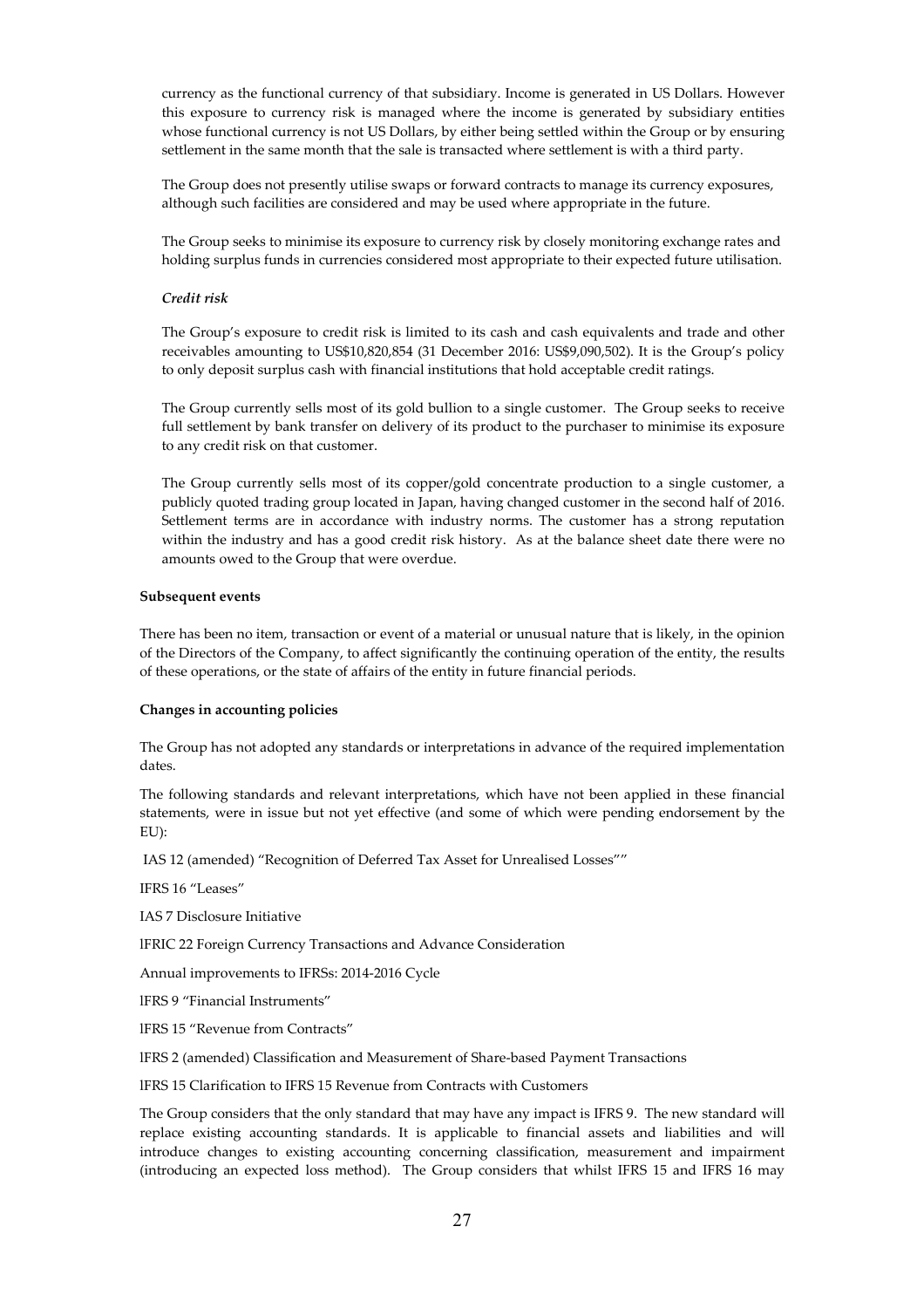currency as the functional currency of that subsidiary. Income is generated in US Dollars. However this exposure to currency risk is managed where the income is generated by subsidiary entities whose functional currency is not US Dollars, by either being settled within the Group or by ensuring settlement in the same month that the sale is transacted where settlement is with a third party.

The Group does not presently utilise swaps or forward contracts to manage its currency exposures, although such facilities are considered and may be used where appropriate in the future.

The Group seeks to minimise its exposure to currency risk by closely monitoring exchange rates and holding surplus funds in currencies considered most appropriate to their expected future utilisation.

## *Credit risk*

The Group's exposure to credit risk is limited to its cash and cash equivalents and trade and other receivables amounting to US\$10,820,854 (31 December 2016: US\$9,090,502). It is the Group's policy to only deposit surplus cash with financial institutions that hold acceptable credit ratings.

The Group currently sells most of its gold bullion to a single customer. The Group seeks to receive full settlement by bank transfer on delivery of its product to the purchaser to minimise its exposure to any credit risk on that customer.

The Group currently sells most of its copper/gold concentrate production to a single customer, a publicly quoted trading group located in Japan, having changed customer in the second half of 2016. Settlement terms are in accordance with industry norms. The customer has a strong reputation within the industry and has a good credit risk history. As at the balance sheet date there were no amounts owed to the Group that were overdue.

#### **Subsequent events**

There has been no item, transaction or event of a material or unusual nature that is likely, in the opinion of the Directors of the Company, to affect significantly the continuing operation of the entity, the results of these operations, or the state of affairs of the entity in future financial periods.

#### **Changes in accounting policies**

The Group has not adopted any standards or interpretations in advance of the required implementation dates.

The following standards and relevant interpretations, which have not been applied in these financial statements, were in issue but not yet effective (and some of which were pending endorsement by the EU):

IAS 12 (amended) "Recognition of Deferred Tax Asset for Unrealised Losses""

IFRS 16 "Leases"

IAS 7 Disclosure Initiative

lFRIC 22 Foreign Currency Transactions and Advance Consideration

Annual improvements to IFRSs: 2014-2016 Cycle

lFRS 9 "Financial Instruments"

lFRS 15 "Revenue from Contracts"

lFRS 2 (amended) Classification and Measurement of Share-based Payment Transactions

lFRS 15 Clarification to IFRS 15 Revenue from Contracts with Customers

The Group considers that the only standard that may have any impact is IFRS 9. The new standard will replace existing accounting standards. It is applicable to financial assets and liabilities and will introduce changes to existing accounting concerning classification, measurement and impairment (introducing an expected loss method). The Group considers that whilst IFRS 15 and IFRS 16 may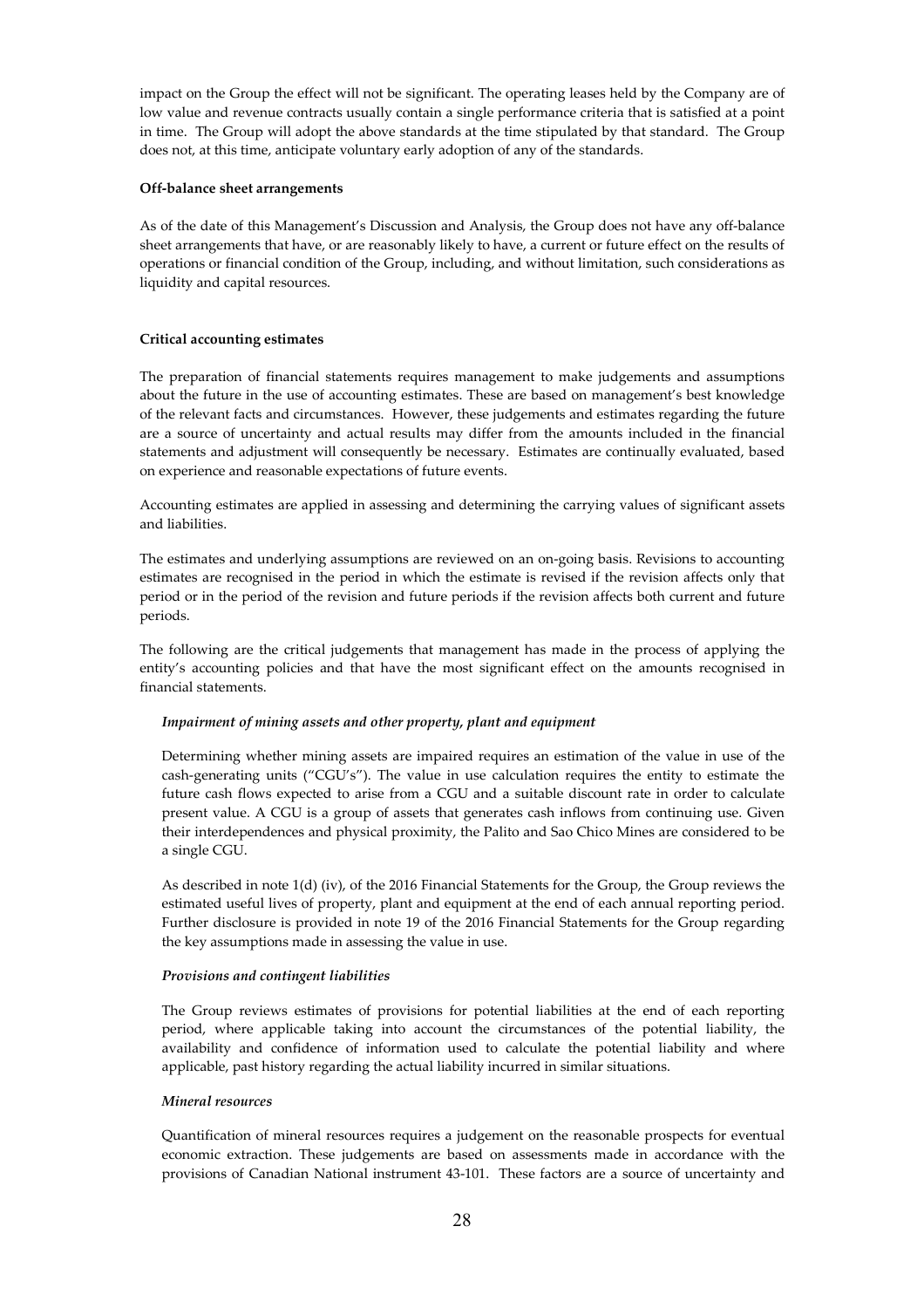impact on the Group the effect will not be significant. The operating leases held by the Company are of low value and revenue contracts usually contain a single performance criteria that is satisfied at a point in time. The Group will adopt the above standards at the time stipulated by that standard. The Group does not, at this time, anticipate voluntary early adoption of any of the standards.

## **Off-balance sheet arrangements**

As of the date of this Management's Discussion and Analysis, the Group does not have any off-balance sheet arrangements that have, or are reasonably likely to have, a current or future effect on the results of operations or financial condition of the Group, including, and without limitation, such considerations as liquidity and capital resources.

# **Critical accounting estimates**

The preparation of financial statements requires management to make judgements and assumptions about the future in the use of accounting estimates. These are based on management's best knowledge of the relevant facts and circumstances. However, these judgements and estimates regarding the future are a source of uncertainty and actual results may differ from the amounts included in the financial statements and adjustment will consequently be necessary. Estimates are continually evaluated, based on experience and reasonable expectations of future events.

Accounting estimates are applied in assessing and determining the carrying values of significant assets and liabilities.

The estimates and underlying assumptions are reviewed on an on-going basis. Revisions to accounting estimates are recognised in the period in which the estimate is revised if the revision affects only that period or in the period of the revision and future periods if the revision affects both current and future periods.

The following are the critical judgements that management has made in the process of applying the entity's accounting policies and that have the most significant effect on the amounts recognised in financial statements.

## *Impairment of mining assets and other property, plant and equipment*

Determining whether mining assets are impaired requires an estimation of the value in use of the cash-generating units ("CGU's"). The value in use calculation requires the entity to estimate the future cash flows expected to arise from a CGU and a suitable discount rate in order to calculate present value. A CGU is a group of assets that generates cash inflows from continuing use. Given their interdependences and physical proximity, the Palito and Sao Chico Mines are considered to be a single CGU.

As described in note 1(d) (iv), of the 2016 Financial Statements for the Group, the Group reviews the estimated useful lives of property, plant and equipment at the end of each annual reporting period. Further disclosure is provided in note 19 of the 2016 Financial Statements for the Group regarding the key assumptions made in assessing the value in use.

### *Provisions and contingent liabilities*

The Group reviews estimates of provisions for potential liabilities at the end of each reporting period, where applicable taking into account the circumstances of the potential liability, the availability and confidence of information used to calculate the potential liability and where applicable, past history regarding the actual liability incurred in similar situations.

### *Mineral resources*

Quantification of mineral resources requires a judgement on the reasonable prospects for eventual economic extraction. These judgements are based on assessments made in accordance with the provisions of Canadian National instrument 43-101. These factors are a source of uncertainty and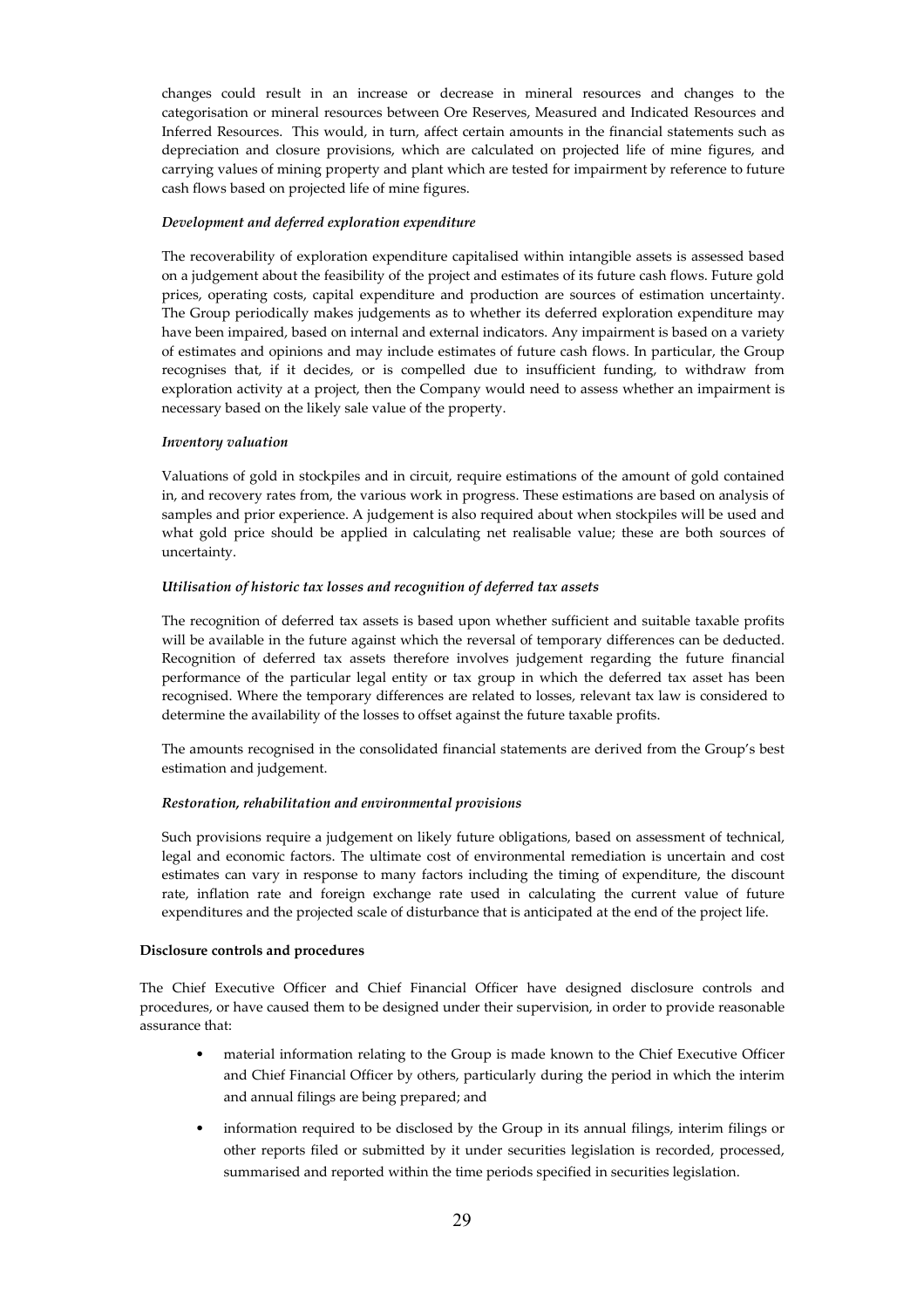changes could result in an increase or decrease in mineral resources and changes to the categorisation or mineral resources between Ore Reserves, Measured and Indicated Resources and Inferred Resources. This would, in turn, affect certain amounts in the financial statements such as depreciation and closure provisions, which are calculated on projected life of mine figures, and carrying values of mining property and plant which are tested for impairment by reference to future cash flows based on projected life of mine figures.

### *Development and deferred exploration expenditure*

The recoverability of exploration expenditure capitalised within intangible assets is assessed based on a judgement about the feasibility of the project and estimates of its future cash flows. Future gold prices, operating costs, capital expenditure and production are sources of estimation uncertainty. The Group periodically makes judgements as to whether its deferred exploration expenditure may have been impaired, based on internal and external indicators. Any impairment is based on a variety of estimates and opinions and may include estimates of future cash flows. In particular, the Group recognises that, if it decides, or is compelled due to insufficient funding, to withdraw from exploration activity at a project, then the Company would need to assess whether an impairment is necessary based on the likely sale value of the property.

### *Inventory valuation*

Valuations of gold in stockpiles and in circuit, require estimations of the amount of gold contained in, and recovery rates from, the various work in progress. These estimations are based on analysis of samples and prior experience. A judgement is also required about when stockpiles will be used and what gold price should be applied in calculating net realisable value; these are both sources of uncertainty.

#### *Utilisation of historic tax losses and recognition of deferred tax assets*

The recognition of deferred tax assets is based upon whether sufficient and suitable taxable profits will be available in the future against which the reversal of temporary differences can be deducted. Recognition of deferred tax assets therefore involves judgement regarding the future financial performance of the particular legal entity or tax group in which the deferred tax asset has been recognised. Where the temporary differences are related to losses, relevant tax law is considered to determine the availability of the losses to offset against the future taxable profits.

The amounts recognised in the consolidated financial statements are derived from the Group's best estimation and judgement.

## *Restoration, rehabilitation and environmental provisions*

Such provisions require a judgement on likely future obligations, based on assessment of technical, legal and economic factors. The ultimate cost of environmental remediation is uncertain and cost estimates can vary in response to many factors including the timing of expenditure, the discount rate, inflation rate and foreign exchange rate used in calculating the current value of future expenditures and the projected scale of disturbance that is anticipated at the end of the project life.

#### **Disclosure controls and procedures**

The Chief Executive Officer and Chief Financial Officer have designed disclosure controls and procedures, or have caused them to be designed under their supervision, in order to provide reasonable assurance that:

- material information relating to the Group is made known to the Chief Executive Officer and Chief Financial Officer by others, particularly during the period in which the interim and annual filings are being prepared; and
- information required to be disclosed by the Group in its annual filings, interim filings or other reports filed or submitted by it under securities legislation is recorded, processed, summarised and reported within the time periods specified in securities legislation.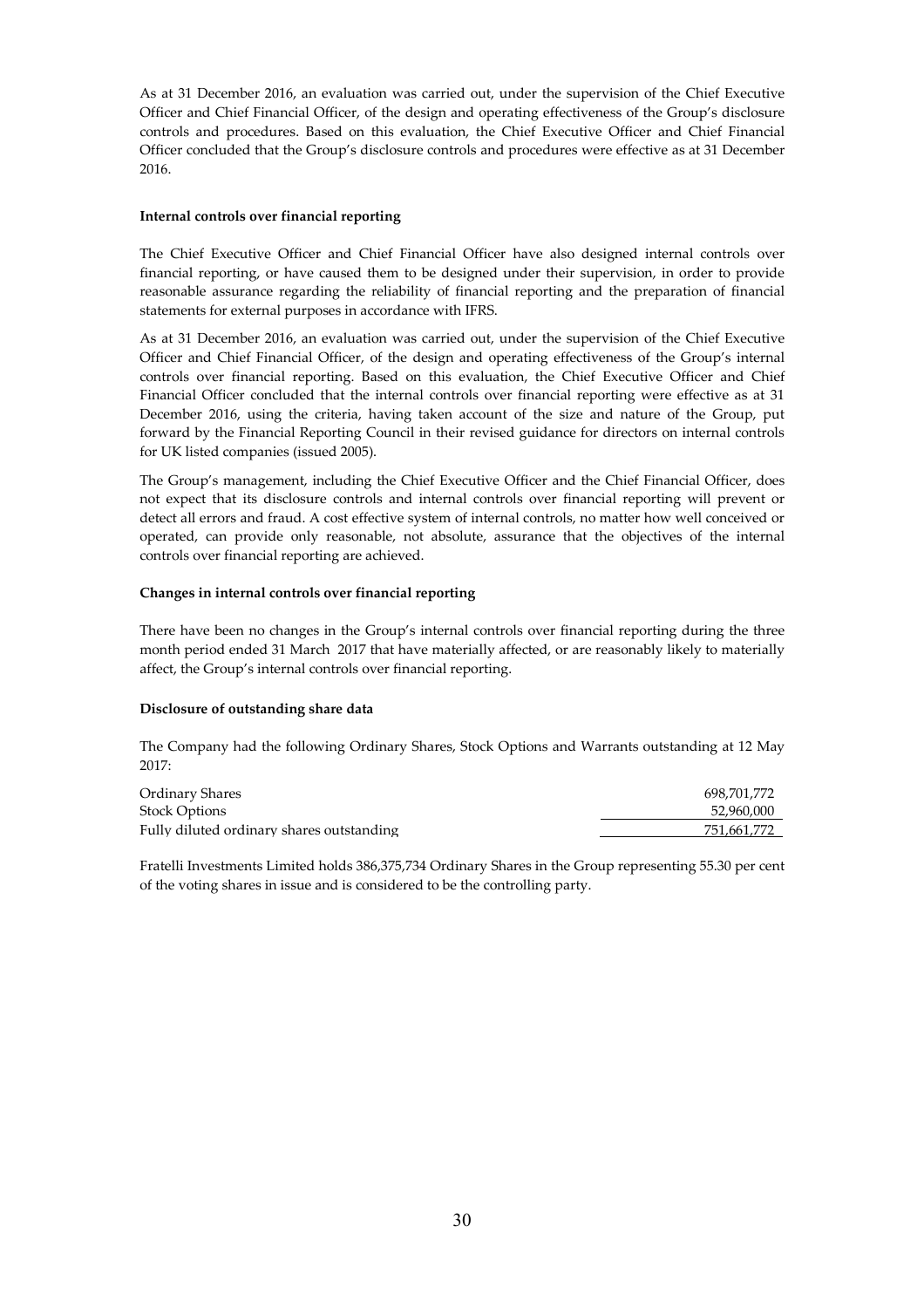As at 31 December 2016, an evaluation was carried out, under the supervision of the Chief Executive Officer and Chief Financial Officer, of the design and operating effectiveness of the Group's disclosure controls and procedures. Based on this evaluation, the Chief Executive Officer and Chief Financial Officer concluded that the Group's disclosure controls and procedures were effective as at 31 December 2016.

## **Internal controls over financial reporting**

The Chief Executive Officer and Chief Financial Officer have also designed internal controls over financial reporting, or have caused them to be designed under their supervision, in order to provide reasonable assurance regarding the reliability of financial reporting and the preparation of financial statements for external purposes in accordance with IFRS.

As at 31 December 2016, an evaluation was carried out, under the supervision of the Chief Executive Officer and Chief Financial Officer, of the design and operating effectiveness of the Group's internal controls over financial reporting. Based on this evaluation, the Chief Executive Officer and Chief Financial Officer concluded that the internal controls over financial reporting were effective as at 31 December 2016, using the criteria, having taken account of the size and nature of the Group, put forward by the Financial Reporting Council in their revised guidance for directors on internal controls for UK listed companies (issued 2005).

The Group's management, including the Chief Executive Officer and the Chief Financial Officer, does not expect that its disclosure controls and internal controls over financial reporting will prevent or detect all errors and fraud. A cost effective system of internal controls, no matter how well conceived or operated, can provide only reasonable, not absolute, assurance that the objectives of the internal controls over financial reporting are achieved.

## **Changes in internal controls over financial reporting**

There have been no changes in the Group's internal controls over financial reporting during the three month period ended 31 March 2017 that have materially affected, or are reasonably likely to materially affect, the Group's internal controls over financial reporting.

# **Disclosure of outstanding share data**

The Company had the following Ordinary Shares, Stock Options and Warrants outstanding at 12 May 2017:

| Ordinary Shares                           | 698.701.772 |
|-------------------------------------------|-------------|
| <b>Stock Options</b>                      | 52.960.000  |
| Fully diluted ordinary shares outstanding | 751.661.772 |

Fratelli Investments Limited holds 386,375,734 Ordinary Shares in the Group representing 55.30 per cent of the voting shares in issue and is considered to be the controlling party.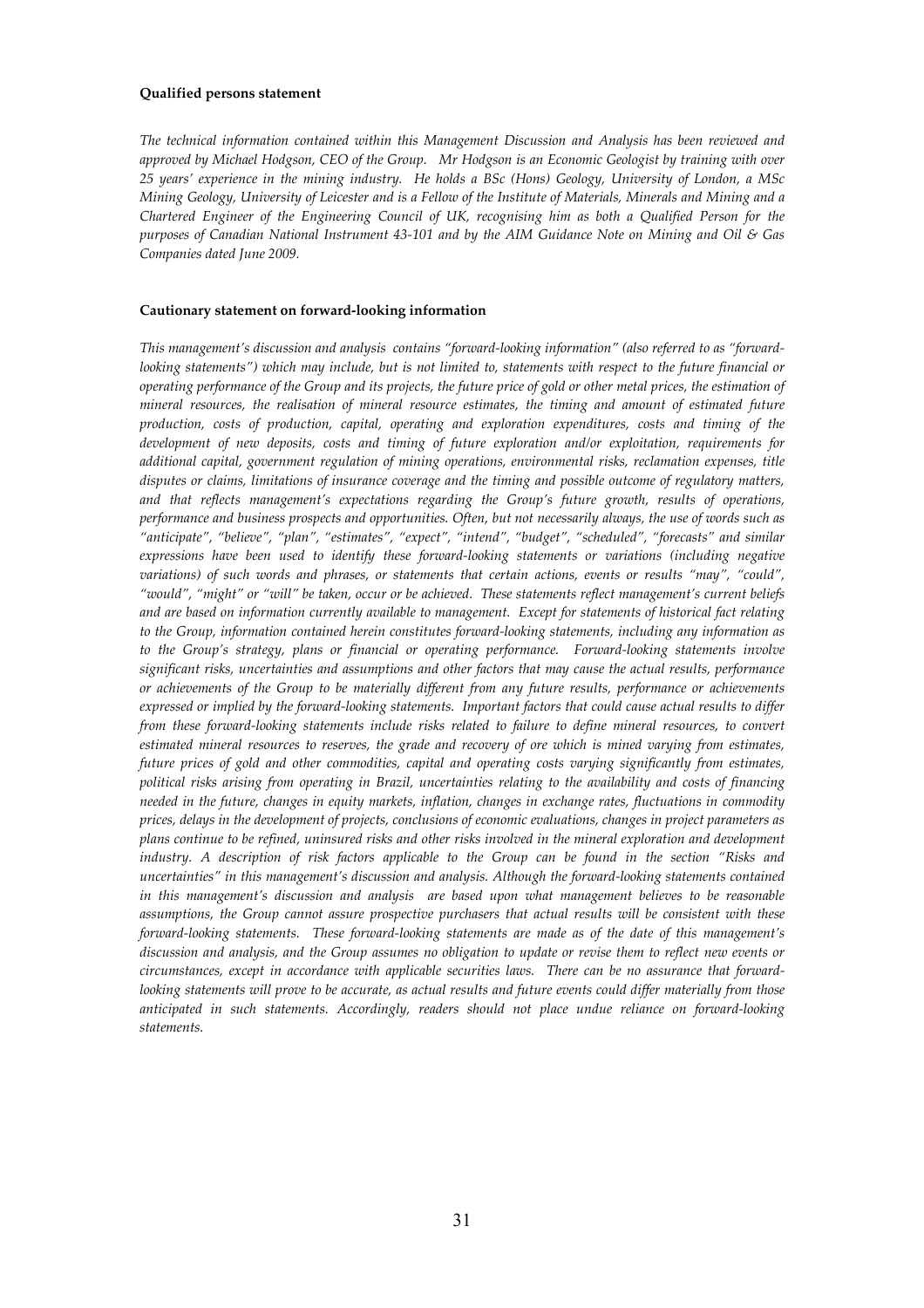#### **Qualified persons statement**

*The technical information contained within this Management Discussion and Analysis has been reviewed and approved by Michael Hodgson, CEO of the Group. Mr Hodgson is an Economic Geologist by training with over 25 years' experience in the mining industry. He holds a BSc (Hons) Geology, University of London, a MSc Mining Geology, University of Leicester and is a Fellow of the Institute of Materials, Minerals and Mining and a Chartered Engineer of the Engineering Council of UK, recognising him as both a Qualified Person for the purposes of Canadian National Instrument 43-101 and by the AIM Guidance Note on Mining and Oil & Gas Companies dated June 2009.* 

#### **Cautionary statement on forward-looking information**

*This management's discussion and analysis contains "forward-looking information" (also referred to as "forwardlooking statements") which may include, but is not limited to, statements with respect to the future financial or operating performance of the Group and its projects, the future price of gold or other metal prices, the estimation of mineral resources, the realisation of mineral resource estimates, the timing and amount of estimated future production, costs of production, capital, operating and exploration expenditures, costs and timing of the development of new deposits, costs and timing of future exploration and/or exploitation, requirements for additional capital, government regulation of mining operations, environmental risks, reclamation expenses, title disputes or claims, limitations of insurance coverage and the timing and possible outcome of regulatory matters, and that reflects management's expectations regarding the Group's future growth, results of operations, performance and business prospects and opportunities. Often, but not necessarily always, the use of words such as "anticipate", "believe", "plan", "estimates", "expect", "intend", "budget", "scheduled", "forecasts" and similar expressions have been used to identify these forward-looking statements or variations (including negative variations) of such words and phrases, or statements that certain actions, events or results "may", "could", "would", "might" or "will" be taken, occur or be achieved. These statements reflect management's current beliefs and are based on information currently available to management. Except for statements of historical fact relating to the Group, information contained herein constitutes forward-looking statements, including any information as to the Group's strategy, plans or financial or operating performance. Forward-looking statements involve significant risks, uncertainties and assumptions and other factors that may cause the actual results, performance or achievements of the Group to be materially different from any future results, performance or achievements expressed or implied by the forward-looking statements. Important factors that could cause actual results to differ from these forward-looking statements include risks related to failure to define mineral resources, to convert estimated mineral resources to reserves, the grade and recovery of ore which is mined varying from estimates, future prices of gold and other commodities, capital and operating costs varying significantly from estimates, political risks arising from operating in Brazil, uncertainties relating to the availability and costs of financing needed in the future, changes in equity markets, inflation, changes in exchange rates, fluctuations in commodity prices, delays in the development of projects, conclusions of economic evaluations, changes in project parameters as plans continue to be refined, uninsured risks and other risks involved in the mineral exploration and development industry. A description of risk factors applicable to the Group can be found in the section "Risks and uncertainties" in this management's discussion and analysis. Although the forward-looking statements contained in this management's discussion and analysis are based upon what management believes to be reasonable assumptions, the Group cannot assure prospective purchasers that actual results will be consistent with these forward-looking statements. These forward-looking statements are made as of the date of this management's discussion and analysis, and the Group assumes no obligation to update or revise them to reflect new events or circumstances, except in accordance with applicable securities laws. There can be no assurance that forwardlooking statements will prove to be accurate, as actual results and future events could differ materially from those anticipated in such statements. Accordingly, readers should not place undue reliance on forward-looking statements.*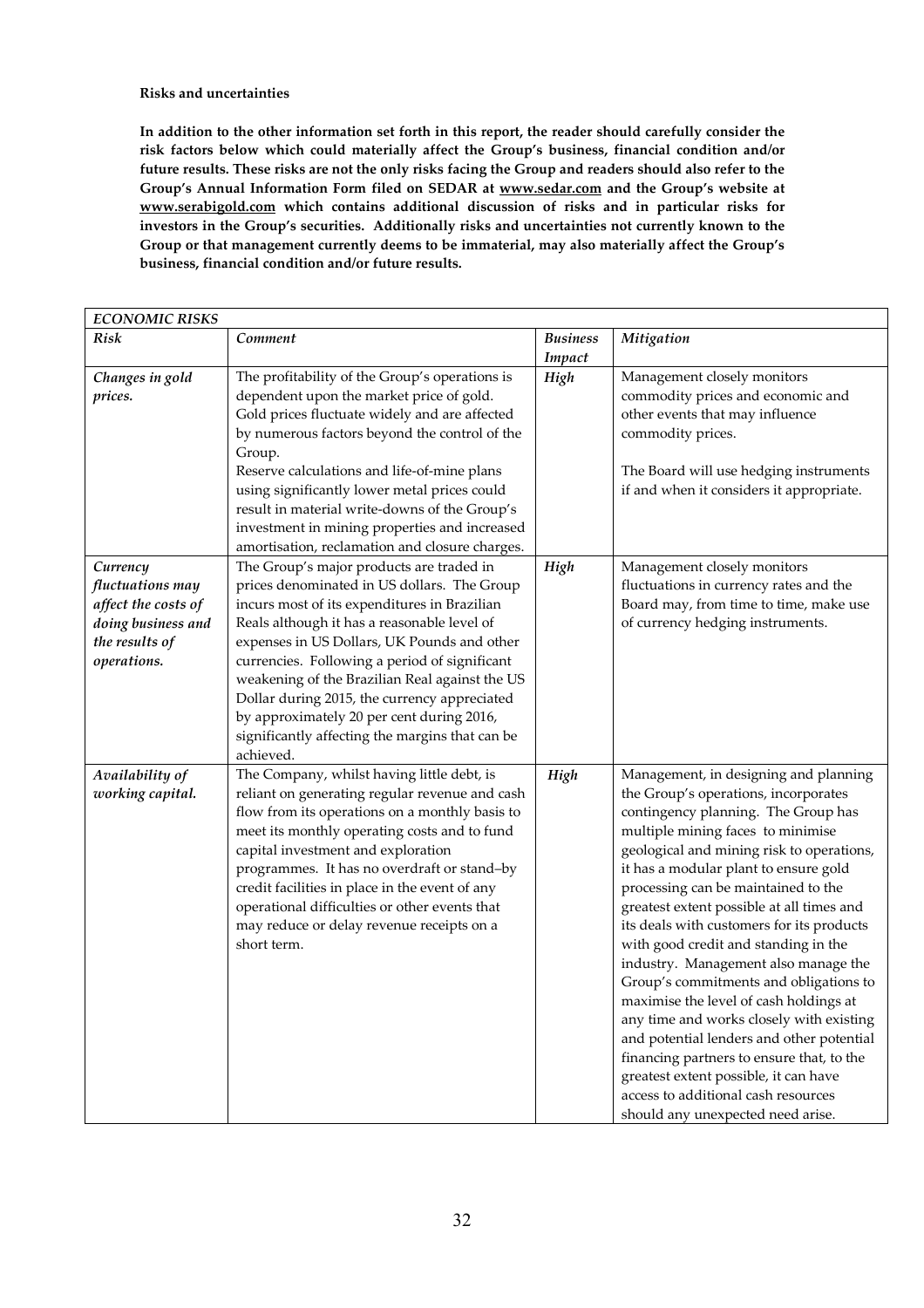## **Risks and uncertainties**

**In addition to the other information set forth in this report, the reader should carefully consider the risk factors below which could materially affect the Group's business, financial condition and/or future results. These risks are not the only risks facing the Group and readers should also refer to the Group's Annual Information Form filed on SEDAR at www.sedar.com and the Group's website at www.serabigold.com which contains additional discussion of risks and in particular risks for investors in the Group's securities. Additionally risks and uncertainties not currently known to the Group or that management currently deems to be immaterial, may also materially affect the Group's business, financial condition and/or future results.** 

| <b>ECONOMIC RISKS</b>                                                                                      |                                                                                                                                                                                                                                                                                                                                                                                                                                                                                                       |                    |                                                                                                                                                                                                                                                                                                                                                                                                                                                                                                                                                                                                                                                                                                                                                                                                                 |
|------------------------------------------------------------------------------------------------------------|-------------------------------------------------------------------------------------------------------------------------------------------------------------------------------------------------------------------------------------------------------------------------------------------------------------------------------------------------------------------------------------------------------------------------------------------------------------------------------------------------------|--------------------|-----------------------------------------------------------------------------------------------------------------------------------------------------------------------------------------------------------------------------------------------------------------------------------------------------------------------------------------------------------------------------------------------------------------------------------------------------------------------------------------------------------------------------------------------------------------------------------------------------------------------------------------------------------------------------------------------------------------------------------------------------------------------------------------------------------------|
| Risk                                                                                                       | Comment                                                                                                                                                                                                                                                                                                                                                                                                                                                                                               | Business<br>Impact | Mitigation                                                                                                                                                                                                                                                                                                                                                                                                                                                                                                                                                                                                                                                                                                                                                                                                      |
| Changes in gold<br>prices.                                                                                 | The profitability of the Group's operations is<br>dependent upon the market price of gold.<br>Gold prices fluctuate widely and are affected<br>by numerous factors beyond the control of the<br>Group.<br>Reserve calculations and life-of-mine plans<br>using significantly lower metal prices could<br>result in material write-downs of the Group's<br>investment in mining properties and increased<br>amortisation, reclamation and closure charges.                                             | High               | Management closely monitors<br>commodity prices and economic and<br>other events that may influence<br>commodity prices.<br>The Board will use hedging instruments<br>if and when it considers it appropriate.                                                                                                                                                                                                                                                                                                                                                                                                                                                                                                                                                                                                  |
| Currency<br>fluctuations may<br>affect the costs of<br>doing business and<br>the results of<br>operations. | The Group's major products are traded in<br>prices denominated in US dollars. The Group<br>incurs most of its expenditures in Brazilian<br>Reals although it has a reasonable level of<br>expenses in US Dollars, UK Pounds and other<br>currencies. Following a period of significant<br>weakening of the Brazilian Real against the US<br>Dollar during 2015, the currency appreciated<br>by approximately 20 per cent during 2016,<br>significantly affecting the margins that can be<br>achieved. | High               | Management closely monitors<br>fluctuations in currency rates and the<br>Board may, from time to time, make use<br>of currency hedging instruments.                                                                                                                                                                                                                                                                                                                                                                                                                                                                                                                                                                                                                                                             |
| Availability of<br>working capital.                                                                        | The Company, whilst having little debt, is<br>reliant on generating regular revenue and cash<br>flow from its operations on a monthly basis to<br>meet its monthly operating costs and to fund<br>capital investment and exploration<br>programmes. It has no overdraft or stand-by<br>credit facilities in place in the event of any<br>operational difficulties or other events that<br>may reduce or delay revenue receipts on a<br>short term.                                                    | High               | Management, in designing and planning<br>the Group's operations, incorporates<br>contingency planning. The Group has<br>multiple mining faces to minimise<br>geological and mining risk to operations,<br>it has a modular plant to ensure gold<br>processing can be maintained to the<br>greatest extent possible at all times and<br>its deals with customers for its products<br>with good credit and standing in the<br>industry. Management also manage the<br>Group's commitments and obligations to<br>maximise the level of cash holdings at<br>any time and works closely with existing<br>and potential lenders and other potential<br>financing partners to ensure that, to the<br>greatest extent possible, it can have<br>access to additional cash resources<br>should any unexpected need arise. |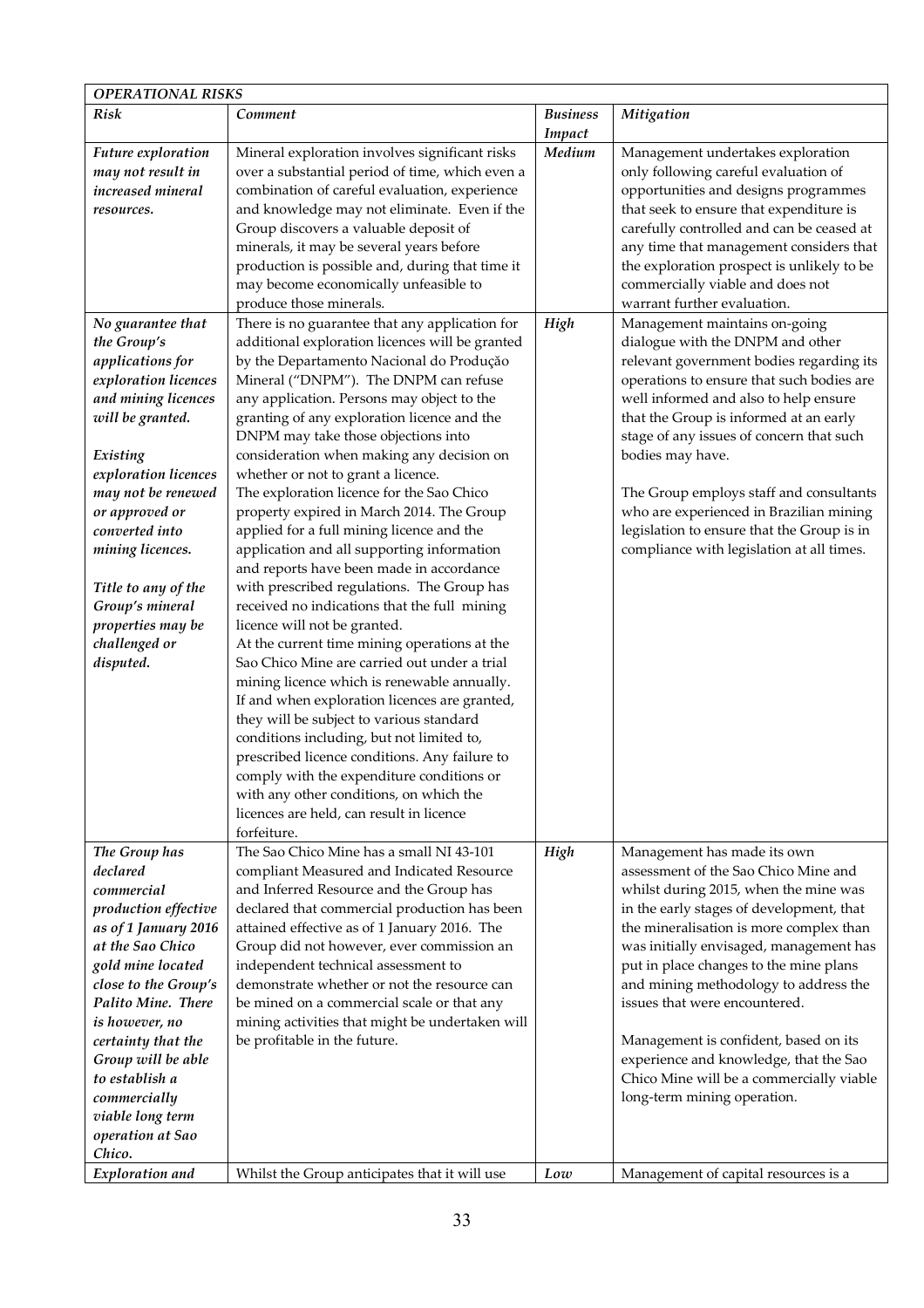| <b>OPERATIONAL RISKS</b>                                                                                                                                                                                                                                                                                                               |                                                                                                                                                                                                                                                                                                                                                                                                                                                                                                                                                                                                                                                                                                                                                                                                                                                                                                                                                                                                                                                                                                                                                                                                                                                                           |                           |                                                                                                                                                                                                                                                                                                                                                                                                                                                                                                                                  |  |
|----------------------------------------------------------------------------------------------------------------------------------------------------------------------------------------------------------------------------------------------------------------------------------------------------------------------------------------|---------------------------------------------------------------------------------------------------------------------------------------------------------------------------------------------------------------------------------------------------------------------------------------------------------------------------------------------------------------------------------------------------------------------------------------------------------------------------------------------------------------------------------------------------------------------------------------------------------------------------------------------------------------------------------------------------------------------------------------------------------------------------------------------------------------------------------------------------------------------------------------------------------------------------------------------------------------------------------------------------------------------------------------------------------------------------------------------------------------------------------------------------------------------------------------------------------------------------------------------------------------------------|---------------------------|----------------------------------------------------------------------------------------------------------------------------------------------------------------------------------------------------------------------------------------------------------------------------------------------------------------------------------------------------------------------------------------------------------------------------------------------------------------------------------------------------------------------------------|--|
| <b>Risk</b>                                                                                                                                                                                                                                                                                                                            | Comment                                                                                                                                                                                                                                                                                                                                                                                                                                                                                                                                                                                                                                                                                                                                                                                                                                                                                                                                                                                                                                                                                                                                                                                                                                                                   | <b>Business</b><br>Impact | Mitigation                                                                                                                                                                                                                                                                                                                                                                                                                                                                                                                       |  |
| Future exploration<br>may not result in<br>increased mineral<br>resources.                                                                                                                                                                                                                                                             | Mineral exploration involves significant risks<br>over a substantial period of time, which even a<br>combination of careful evaluation, experience<br>and knowledge may not eliminate. Even if the<br>Group discovers a valuable deposit of<br>minerals, it may be several years before<br>production is possible and, during that time it<br>may become economically unfeasible to<br>produce those minerals.                                                                                                                                                                                                                                                                                                                                                                                                                                                                                                                                                                                                                                                                                                                                                                                                                                                            | Medium                    | Management undertakes exploration<br>only following careful evaluation of<br>opportunities and designs programmes<br>that seek to ensure that expenditure is<br>carefully controlled and can be ceased at<br>any time that management considers that<br>the exploration prospect is unlikely to be<br>commercially viable and does not<br>warrant further evaluation.                                                                                                                                                            |  |
| No guarantee that<br>the Group's<br>applications for<br>exploration licences<br>and mining licences<br>will be granted.<br>Existing<br>exploration licences<br>may not be renewed<br>or approved or<br>converted into<br>mining licences.<br>Title to any of the<br>Group's mineral<br>properties may be<br>challenged or<br>disputed. | There is no guarantee that any application for<br>additional exploration licences will be granted<br>by the Departamento Nacional do Produção<br>Mineral ("DNPM"). The DNPM can refuse<br>any application. Persons may object to the<br>granting of any exploration licence and the<br>DNPM may take those objections into<br>consideration when making any decision on<br>whether or not to grant a licence.<br>The exploration licence for the Sao Chico<br>property expired in March 2014. The Group<br>applied for a full mining licence and the<br>application and all supporting information<br>and reports have been made in accordance<br>with prescribed regulations. The Group has<br>received no indications that the full mining<br>licence will not be granted.<br>At the current time mining operations at the<br>Sao Chico Mine are carried out under a trial<br>mining licence which is renewable annually.<br>If and when exploration licences are granted,<br>they will be subject to various standard<br>conditions including, but not limited to,<br>prescribed licence conditions. Any failure to<br>comply with the expenditure conditions or<br>with any other conditions, on which the<br>licences are held, can result in licence<br>forfeiture. | High                      | Management maintains on-going<br>dialogue with the DNPM and other<br>relevant government bodies regarding its<br>operations to ensure that such bodies are<br>well informed and also to help ensure<br>that the Group is informed at an early<br>stage of any issues of concern that such<br>bodies may have.<br>The Group employs staff and consultants<br>who are experienced in Brazilian mining<br>legislation to ensure that the Group is in<br>compliance with legislation at all times.                                   |  |
| The Group has<br>declared<br>commercial<br>production effective<br>as of 1 January 2016<br>at the Sao Chico<br>gold mine located<br>close to the Group's<br>Palito Mine. There<br>is however, no<br>certainty that the<br>Group will be able<br>to establish a<br>commercially<br>viable long term<br>operation at Sao<br>Chico.       | The Sao Chico Mine has a small NI 43-101<br>compliant Measured and Indicated Resource<br>and Inferred Resource and the Group has<br>declared that commercial production has been<br>attained effective as of 1 January 2016. The<br>Group did not however, ever commission an<br>independent technical assessment to<br>demonstrate whether or not the resource can<br>be mined on a commercial scale or that any<br>mining activities that might be undertaken will<br>be profitable in the future.                                                                                                                                                                                                                                                                                                                                                                                                                                                                                                                                                                                                                                                                                                                                                                      | High                      | Management has made its own<br>assessment of the Sao Chico Mine and<br>whilst during 2015, when the mine was<br>in the early stages of development, that<br>the mineralisation is more complex than<br>was initially envisaged, management has<br>put in place changes to the mine plans<br>and mining methodology to address the<br>issues that were encountered.<br>Management is confident, based on its<br>experience and knowledge, that the Sao<br>Chico Mine will be a commercially viable<br>long-term mining operation. |  |
| Exploration and                                                                                                                                                                                                                                                                                                                        | Whilst the Group anticipates that it will use                                                                                                                                                                                                                                                                                                                                                                                                                                                                                                                                                                                                                                                                                                                                                                                                                                                                                                                                                                                                                                                                                                                                                                                                                             | Low                       | Management of capital resources is a                                                                                                                                                                                                                                                                                                                                                                                                                                                                                             |  |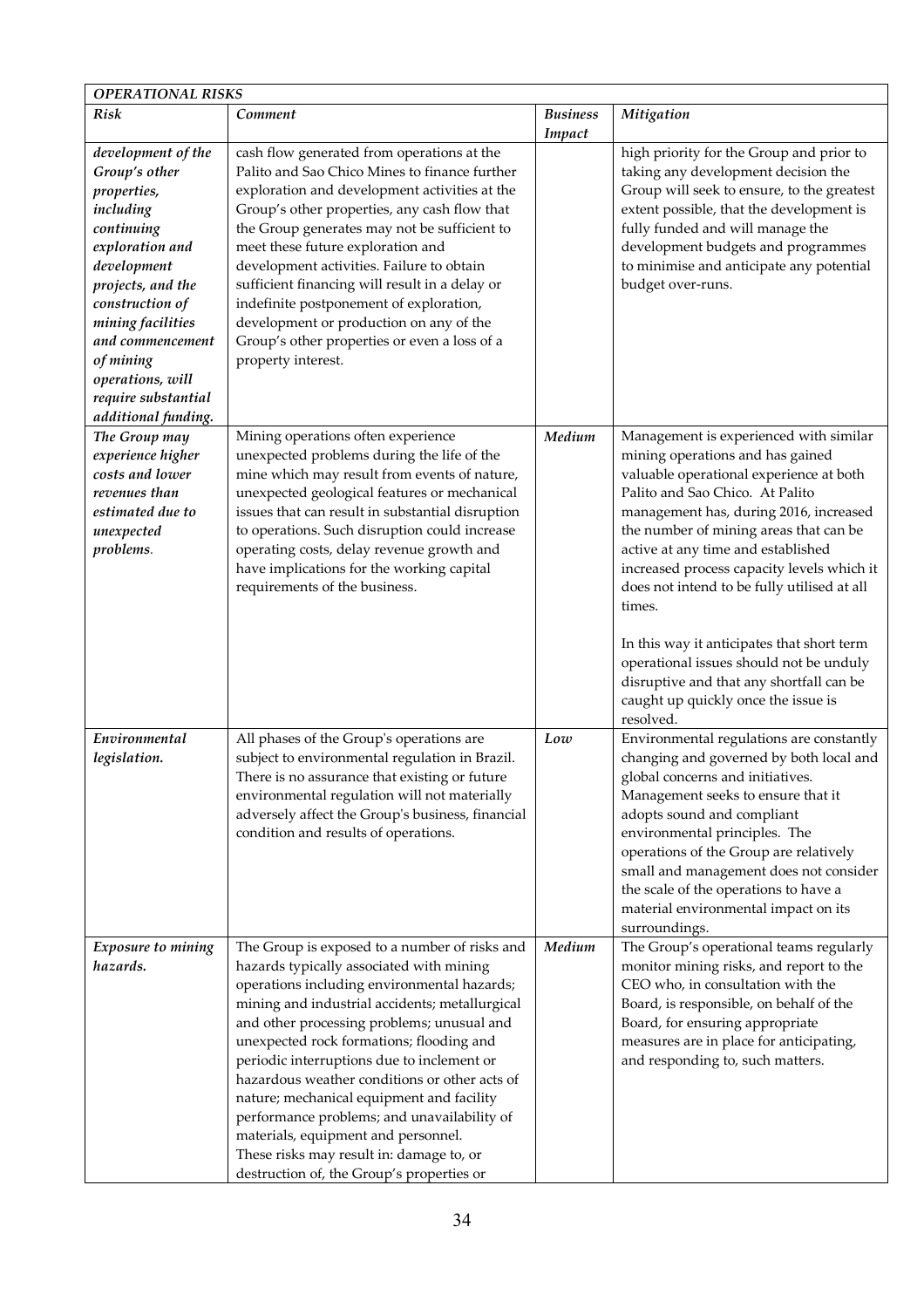|                                                                                                                                                                                                                                                                                 | <b>OPERATIONAL RISKS</b>                                                                                                                                                                                                                                                                                                                                                                                                                                                                                                                                                                                        |                           |                                                                                                                                                                                                                                                                                                                                                                                                                                                                                                                                                                                    |  |  |
|---------------------------------------------------------------------------------------------------------------------------------------------------------------------------------------------------------------------------------------------------------------------------------|-----------------------------------------------------------------------------------------------------------------------------------------------------------------------------------------------------------------------------------------------------------------------------------------------------------------------------------------------------------------------------------------------------------------------------------------------------------------------------------------------------------------------------------------------------------------------------------------------------------------|---------------------------|------------------------------------------------------------------------------------------------------------------------------------------------------------------------------------------------------------------------------------------------------------------------------------------------------------------------------------------------------------------------------------------------------------------------------------------------------------------------------------------------------------------------------------------------------------------------------------|--|--|
| Risk                                                                                                                                                                                                                                                                            | Comment                                                                                                                                                                                                                                                                                                                                                                                                                                                                                                                                                                                                         | <b>Business</b><br>Impact | Mitigation                                                                                                                                                                                                                                                                                                                                                                                                                                                                                                                                                                         |  |  |
| development of the<br>Group's other<br>properties,<br>including<br>continuing<br>exploration and<br>development<br>projects, and the<br>construction of<br>mining facilities<br>and commencement<br>of mining<br>operations, will<br>require substantial<br>additional funding. | cash flow generated from operations at the<br>Palito and Sao Chico Mines to finance further<br>exploration and development activities at the<br>Group's other properties, any cash flow that<br>the Group generates may not be sufficient to<br>meet these future exploration and<br>development activities. Failure to obtain<br>sufficient financing will result in a delay or<br>indefinite postponement of exploration,<br>development or production on any of the<br>Group's other properties or even a loss of a<br>property interest.                                                                    |                           | high priority for the Group and prior to<br>taking any development decision the<br>Group will seek to ensure, to the greatest<br>extent possible, that the development is<br>fully funded and will manage the<br>development budgets and programmes<br>to minimise and anticipate any potential<br>budget over-runs.                                                                                                                                                                                                                                                               |  |  |
| The Group may<br>experience higher<br>costs and lower<br>revenues than<br>estimated due to<br>unexpected<br>problems.                                                                                                                                                           | Mining operations often experience<br>unexpected problems during the life of the<br>mine which may result from events of nature,<br>unexpected geological features or mechanical<br>issues that can result in substantial disruption<br>to operations. Such disruption could increase<br>operating costs, delay revenue growth and<br>have implications for the working capital<br>requirements of the business.                                                                                                                                                                                                | Medium                    | Management is experienced with similar<br>mining operations and has gained<br>valuable operational experience at both<br>Palito and Sao Chico. At Palito<br>management has, during 2016, increased<br>the number of mining areas that can be<br>active at any time and established<br>increased process capacity levels which it<br>does not intend to be fully utilised at all<br>times.<br>In this way it anticipates that short term<br>operational issues should not be unduly<br>disruptive and that any shortfall can be<br>caught up quickly once the issue is<br>resolved. |  |  |
| Environmental<br>legislation.                                                                                                                                                                                                                                                   | All phases of the Group's operations are<br>subject to environmental regulation in Brazil.<br>There is no assurance that existing or future<br>environmental regulation will not materially<br>adversely affect the Group's business, financial<br>condition and results of operations.                                                                                                                                                                                                                                                                                                                         | Low                       | Environmental regulations are constantly<br>changing and governed by both local and<br>global concerns and initiatives.<br>Management seeks to ensure that it<br>adopts sound and compliant<br>environmental principles. The<br>operations of the Group are relatively<br>small and management does not consider<br>the scale of the operations to have a<br>material environmental impact on its<br>surroundings.                                                                                                                                                                 |  |  |
| Exposure to mining<br>hazards.                                                                                                                                                                                                                                                  | The Group is exposed to a number of risks and<br>hazards typically associated with mining<br>operations including environmental hazards;<br>mining and industrial accidents; metallurgical<br>and other processing problems; unusual and<br>unexpected rock formations; flooding and<br>periodic interruptions due to inclement or<br>hazardous weather conditions or other acts of<br>nature; mechanical equipment and facility<br>performance problems; and unavailability of<br>materials, equipment and personnel.<br>These risks may result in: damage to, or<br>destruction of, the Group's properties or | Medium                    | The Group's operational teams regularly<br>monitor mining risks, and report to the<br>CEO who, in consultation with the<br>Board, is responsible, on behalf of the<br>Board, for ensuring appropriate<br>measures are in place for anticipating,<br>and responding to, such matters.                                                                                                                                                                                                                                                                                               |  |  |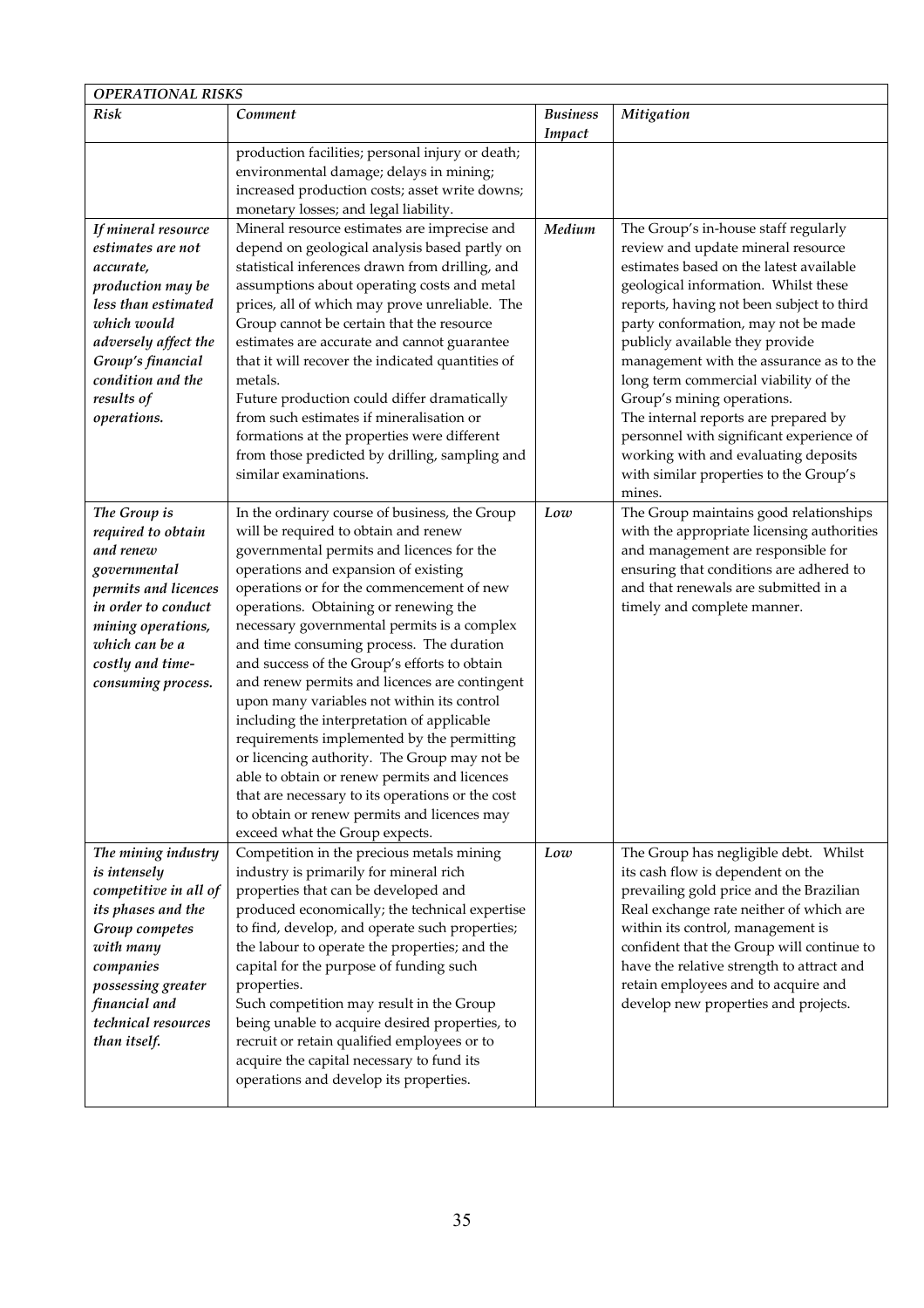| <b>OPERATIONAL RISKS</b>                                                                                                                                                                                        |                                                                                                                                                                                                                                                                                                                                                                                                                                                                                                                                                                                                                                                                                                                                                                                                                                             |                           |                                                                                                                                                                                                                                                                                                                                                                                                                                                                                                                                                                              |  |
|-----------------------------------------------------------------------------------------------------------------------------------------------------------------------------------------------------------------|---------------------------------------------------------------------------------------------------------------------------------------------------------------------------------------------------------------------------------------------------------------------------------------------------------------------------------------------------------------------------------------------------------------------------------------------------------------------------------------------------------------------------------------------------------------------------------------------------------------------------------------------------------------------------------------------------------------------------------------------------------------------------------------------------------------------------------------------|---------------------------|------------------------------------------------------------------------------------------------------------------------------------------------------------------------------------------------------------------------------------------------------------------------------------------------------------------------------------------------------------------------------------------------------------------------------------------------------------------------------------------------------------------------------------------------------------------------------|--|
| Risk                                                                                                                                                                                                            | Comment                                                                                                                                                                                                                                                                                                                                                                                                                                                                                                                                                                                                                                                                                                                                                                                                                                     | <b>Business</b><br>Impact | Mitigation                                                                                                                                                                                                                                                                                                                                                                                                                                                                                                                                                                   |  |
|                                                                                                                                                                                                                 | production facilities; personal injury or death;<br>environmental damage; delays in mining;<br>increased production costs; asset write downs;<br>monetary losses; and legal liability.                                                                                                                                                                                                                                                                                                                                                                                                                                                                                                                                                                                                                                                      |                           |                                                                                                                                                                                                                                                                                                                                                                                                                                                                                                                                                                              |  |
| If mineral resource<br>estimates are not<br>accurate,<br>production may be<br>less than estimated<br>which would<br>adversely affect the<br>Group's financial<br>condition and the<br>results of<br>operations. | Mineral resource estimates are imprecise and<br>depend on geological analysis based partly on<br>statistical inferences drawn from drilling, and<br>assumptions about operating costs and metal<br>prices, all of which may prove unreliable. The<br>Group cannot be certain that the resource<br>estimates are accurate and cannot guarantee<br>that it will recover the indicated quantities of<br>metals.<br>Future production could differ dramatically<br>from such estimates if mineralisation or<br>formations at the properties were different<br>from those predicted by drilling, sampling and<br>similar examinations.                                                                                                                                                                                                           | Medium                    | The Group's in-house staff regularly<br>review and update mineral resource<br>estimates based on the latest available<br>geological information. Whilst these<br>reports, having not been subject to third<br>party conformation, may not be made<br>publicly available they provide<br>management with the assurance as to the<br>long term commercial viability of the<br>Group's mining operations.<br>The internal reports are prepared by<br>personnel with significant experience of<br>working with and evaluating deposits<br>with similar properties to the Group's |  |
| The Group is<br>required to obtain<br>and renew<br>governmental<br>permits and licences<br>in order to conduct<br>mining operations,<br>which can be a<br>costly and time-<br>consuming process.                | In the ordinary course of business, the Group<br>will be required to obtain and renew<br>governmental permits and licences for the<br>operations and expansion of existing<br>operations or for the commencement of new<br>operations. Obtaining or renewing the<br>necessary governmental permits is a complex<br>and time consuming process. The duration<br>and success of the Group's efforts to obtain<br>and renew permits and licences are contingent<br>upon many variables not within its control<br>including the interpretation of applicable<br>requirements implemented by the permitting<br>or licencing authority. The Group may not be<br>able to obtain or renew permits and licences<br>that are necessary to its operations or the cost<br>to obtain or renew permits and licences may<br>exceed what the Group expects. | Low                       | mines.<br>The Group maintains good relationships<br>with the appropriate licensing authorities<br>and management are responsible for<br>ensuring that conditions are adhered to<br>and that renewals are submitted in a<br>timely and complete manner.                                                                                                                                                                                                                                                                                                                       |  |
| The mining industry<br>is intensely<br>competitive in all of<br>its phases and the<br>Group competes<br>with many<br>companies<br>possessing greater<br>financial and<br>technical resources<br>than itself.    | Competition in the precious metals mining<br>industry is primarily for mineral rich<br>properties that can be developed and<br>produced economically; the technical expertise<br>to find, develop, and operate such properties;<br>the labour to operate the properties; and the<br>capital for the purpose of funding such<br>properties.<br>Such competition may result in the Group<br>being unable to acquire desired properties, to<br>recruit or retain qualified employees or to<br>acquire the capital necessary to fund its<br>operations and develop its properties.                                                                                                                                                                                                                                                              | Low                       | The Group has negligible debt. Whilst<br>its cash flow is dependent on the<br>prevailing gold price and the Brazilian<br>Real exchange rate neither of which are<br>within its control, management is<br>confident that the Group will continue to<br>have the relative strength to attract and<br>retain employees and to acquire and<br>develop new properties and projects.                                                                                                                                                                                               |  |